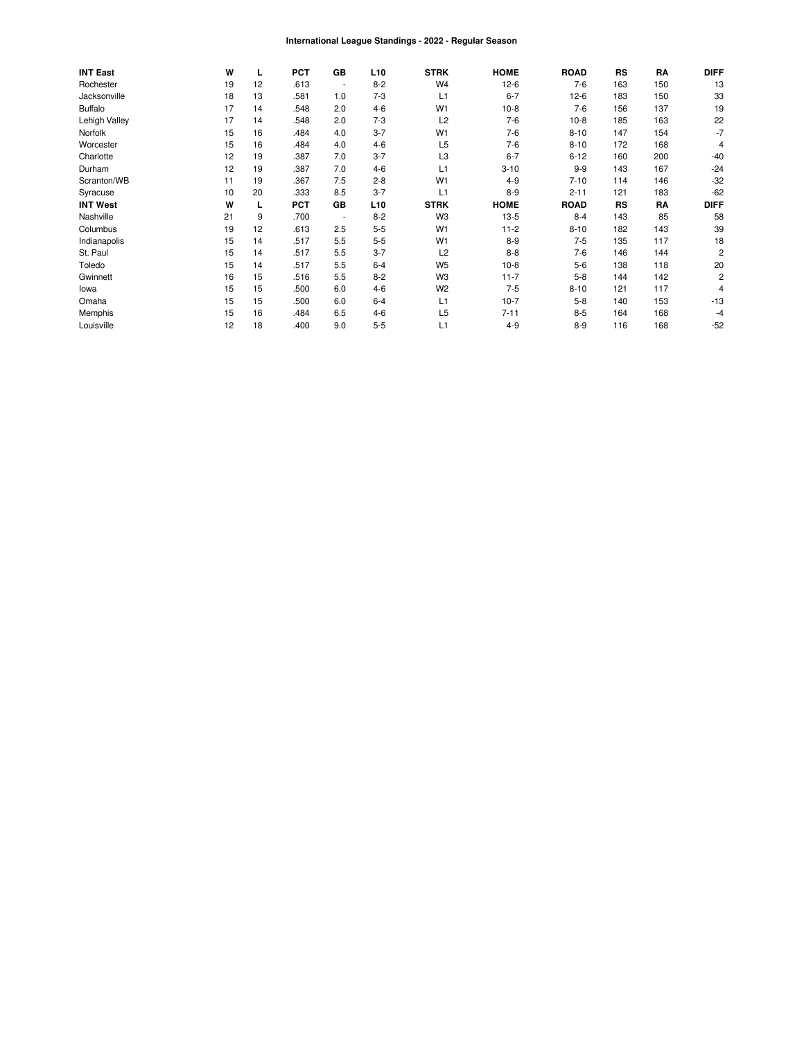#### International League Standings - 2022 - Regular Season

| <b>INT East</b> | W  | L  | <b>PCT</b> | GB                       | L <sub>10</sub> | <b>STRK</b>    | <b>HOME</b> | <b>ROAD</b> | <b>RS</b> | RA  | <b>DIFF</b>    |
|-----------------|----|----|------------|--------------------------|-----------------|----------------|-------------|-------------|-----------|-----|----------------|
| Rochester       | 19 | 12 | .613       | ٠                        | $8 - 2$         | W <sub>4</sub> | $12-6$      | $7-6$       | 163       | 150 | 13             |
| Jacksonville    | 18 | 13 | .581       | 1.0                      | $7-3$           | L1             | $6 - 7$     | $12-6$      | 183       | 150 | 33             |
| <b>Buffalo</b>  | 17 | 14 | .548       | 2.0                      | $4 - 6$         | W1             | $10-8$      | $7-6$       | 156       | 137 | 19             |
| Lehigh Valley   | 17 | 14 | .548       | 2.0                      | $7-3$           | L2             | $7-6$       | $10-8$      | 185       | 163 | 22             |
| Norfolk         | 15 | 16 | .484       | 4.0                      | $3 - 7$         | W <sub>1</sub> | $7-6$       | $8 - 10$    | 147       | 154 | $-7$           |
| Worcester       | 15 | 16 | .484       | 4.0                      | $4 - 6$         | L <sub>5</sub> | $7-6$       | $8 - 10$    | 172       | 168 | 4              |
| Charlotte       | 12 | 19 | .387       | 7.0                      | $3 - 7$         | L <sub>3</sub> | $6 - 7$     | $6 - 12$    | 160       | 200 | $-40$          |
| Durham          | 12 | 19 | .387       | 7.0                      | $4 - 6$         | L1             | $3 - 10$    | $9 - 9$     | 143       | 167 | $-24$          |
| Scranton/WB     | 11 | 19 | .367       | 7.5                      | $2 - 8$         | W <sub>1</sub> | $4 - 9$     | $7 - 10$    | 114       | 146 | $-32$          |
| Syracuse        | 10 | 20 | .333       | 8.5                      | $3 - 7$         | L1             | $8-9$       | $2 - 11$    | 121       | 183 | $-62$          |
| <b>INT West</b> | W  |    | <b>PCT</b> | GВ                       | L <sub>10</sub> | <b>STRK</b>    | <b>HOME</b> | <b>ROAD</b> | <b>RS</b> | RA  | <b>DIFF</b>    |
| Nashville       | 21 | 9  | .700       | $\overline{\phantom{a}}$ | $8 - 2$         | W <sub>3</sub> | $13-5$      | $8 - 4$     | 143       | 85  | 58             |
| Columbus        | 19 | 12 | .613       | 2.5                      | $5 - 5$         | W <sub>1</sub> | $11 - 2$    | $8 - 10$    | 182       | 143 | 39             |
| Indianapolis    | 15 | 14 | .517       | 5.5                      | $5 - 5$         | W <sub>1</sub> | $8-9$       | $7-5$       | 135       | 117 | 18             |
| St. Paul        | 15 | 14 | .517       | 5.5                      | $3 - 7$         | L2             | $8 - 8$     | $7-6$       | 146       | 144 | $\overline{2}$ |
| Toledo          | 15 | 14 | .517       | 5.5                      | $6-4$           | W <sub>5</sub> | $10-8$      | $5-6$       | 138       | 118 | 20             |
| Gwinnett        | 16 | 15 | .516       | 5.5                      | $8 - 2$         | W <sub>3</sub> | $11 - 7$    | $5 - 8$     | 144       | 142 | $\overline{c}$ |
| lowa            | 15 | 15 | .500       | 6.0                      | $4 - 6$         | W <sub>2</sub> | $7-5$       | $8 - 10$    | 121       | 117 | 4              |
| Omaha           | 15 | 15 | .500       | 6.0                      | $6-4$           | L1             | $10-7$      | $5 - 8$     | 140       | 153 | $-13$          |
| Memphis         | 15 | 16 | .484       | 6.5                      | $4 - 6$         | L <sub>5</sub> | $7 - 11$    | $8 - 5$     | 164       | 168 | -4             |
| Louisville      | 12 | 18 | .400       | 9.0                      | $5 - 5$         | L1             | $4 - 9$     | $8 - 9$     | 116       | 168 | $-52$          |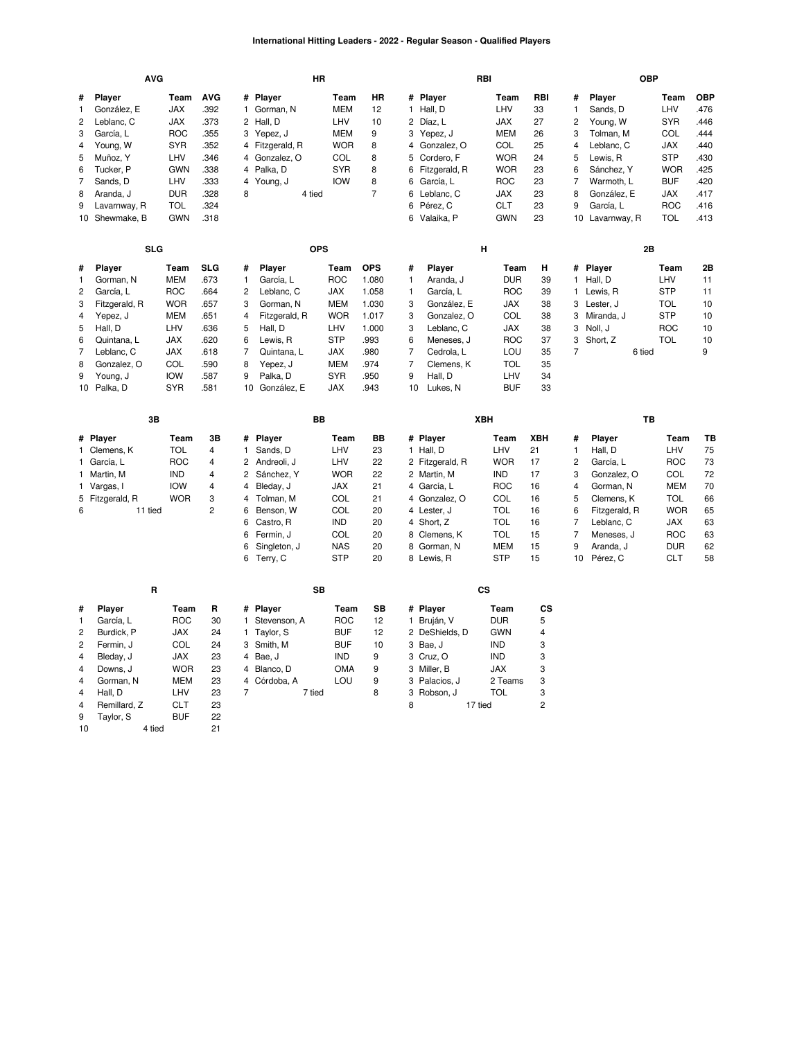### **International Hitting Leaders - 2022 - Regular Season - Qualified Players**

|                                                                                     | <b>AVG</b>                                                                                                                                      |                                                                                                                             |                                                                                            |                                                                                                                                                                                                                | HR                                                                                                                                        |                                                                                                 | RBI                                                                                                                                                                                                                           |                                                                                                                      |                                                                 |                                                                                                        | <b>OBP</b>                                                                                                                                     |                                                                                                                             |                                                                            |
|-------------------------------------------------------------------------------------|-------------------------------------------------------------------------------------------------------------------------------------------------|-----------------------------------------------------------------------------------------------------------------------------|--------------------------------------------------------------------------------------------|----------------------------------------------------------------------------------------------------------------------------------------------------------------------------------------------------------------|-------------------------------------------------------------------------------------------------------------------------------------------|-------------------------------------------------------------------------------------------------|-------------------------------------------------------------------------------------------------------------------------------------------------------------------------------------------------------------------------------|----------------------------------------------------------------------------------------------------------------------|-----------------------------------------------------------------|--------------------------------------------------------------------------------------------------------|------------------------------------------------------------------------------------------------------------------------------------------------|-----------------------------------------------------------------------------------------------------------------------------|----------------------------------------------------------------------------|
| #<br>1<br>2<br>3<br>4<br>5<br>6<br>7<br>8                                           | Player<br>González, E<br>Leblanc, C<br>García, L<br>Young, W<br>Muñoz, Y<br>Tucker, P<br>Sands, D<br>Aranda, J                                  | Team<br><b>JAX</b><br>JAX<br><b>ROC</b><br><b>SYR</b><br>LHV<br><b>GWN</b><br>LHV<br><b>DUR</b>                             | <b>AVG</b><br>.392<br>.373<br>.355<br>.352<br>.346<br>.338<br>.333<br>.328                 | # Player<br>1 Gorman, N<br>2 Hall, D<br>3<br>Yepez, J<br>4 Fitzgerald, R<br>Gonzalez, O<br>4<br>4 Palka, D<br>Young, J<br>4<br>4 tied<br>8                                                                     | Team<br><b>MEM</b><br>LHV<br><b>MEM</b><br><b>WOR</b><br>COL<br><b>SYR</b><br><b>IOW</b>                                                  | HR<br>12<br>10<br>9<br>8<br>8<br>8<br>8<br>$\overline{7}$                                       | # Player<br>1 Hall, D<br>2 Díaz, L<br>3 Yepez, J<br>4 Gonzalez, O<br>5<br>Cordero, F<br>6 Fitzgerald, R<br>6 García, L<br>6<br>Leblanc, C                                                                                     | Team<br>LHV<br>JAX<br><b>MEM</b><br>COL<br><b>WOR</b><br><b>WOR</b><br><b>ROC</b><br>JAX                             | RBI<br>33<br>27<br>26<br>25<br>24<br>23<br>23<br>23             | #<br>$\mathbf{1}$<br>2<br>3<br>$\overline{4}$<br>5<br>6<br>7<br>8                                      | Player<br>Sands, D<br>Young, W<br>Tolman, M<br>Leblanc, C<br>Lewis, R<br>Sánchez, Y<br>Warmoth, L<br>González, E                               | Team<br>LHV<br><b>SYR</b><br>COL<br>JAX<br><b>STP</b><br><b>WOR</b><br><b>BUF</b><br>JAX                                    | <b>OBP</b><br>.476<br>.446<br>.444<br>.440<br>.430<br>.425<br>.420<br>.417 |
| 9                                                                                   | Lavarnway, R<br>10 Shewmake, B                                                                                                                  | <b>TOL</b><br><b>GWN</b>                                                                                                    | .324<br>.318                                                                               |                                                                                                                                                                                                                |                                                                                                                                           |                                                                                                 | 6<br>Pérez, C<br>6 Valaika, P                                                                                                                                                                                                 | <b>CLT</b><br><b>GWN</b>                                                                                             | 23<br>23                                                        | 9<br>10                                                                                                | García, L<br>Lavarnway, R                                                                                                                      | <b>ROC</b><br><b>TOL</b>                                                                                                    | .416<br>.413                                                               |
|                                                                                     | <b>SLG</b>                                                                                                                                      |                                                                                                                             |                                                                                            |                                                                                                                                                                                                                | <b>OPS</b>                                                                                                                                |                                                                                                 |                                                                                                                                                                                                                               | н                                                                                                                    |                                                                 |                                                                                                        | 2Β                                                                                                                                             |                                                                                                                             |                                                                            |
| #<br>$\mathbf{1}$<br>$\overline{c}$<br>3<br>$\overline{4}$<br>5<br>6<br>7<br>8<br>9 | Player<br>Gorman, N<br>García, L<br>Fitzgerald, R<br>Yepez, J<br>Hall, D<br>Quintana, L<br>Leblanc, C<br>Gonzalez, O<br>Young, J<br>10 Palka, D | Team<br>MEM<br><b>ROC</b><br><b>WOR</b><br><b>MEM</b><br>LHV<br><b>JAX</b><br><b>JAX</b><br>COL<br><b>IOW</b><br><b>SYR</b> | <b>SLG</b><br>.673<br>.664<br>.657<br>.651<br>.636<br>.620<br>.618<br>.590<br>.587<br>.581 | Player<br>#<br>$\mathbf{1}$<br>García, L<br>2<br>Leblanc, C<br>3<br>Gorman, N<br>4<br>Fitzgerald, R<br>5<br>Hall, D<br>6<br>Lewis, R<br>7<br>Quintana, L<br>8<br>Yepez, J<br>9<br>Palka, D<br>10 González, E   | Team<br><b>ROC</b><br><b>JAX</b><br><b>MEM</b><br><b>WOR</b><br>LHV<br><b>STP</b><br><b>JAX</b><br><b>MEM</b><br><b>SYR</b><br><b>JAX</b> | <b>OPS</b><br>1.080<br>1.058<br>1.030<br>1.017<br>1.000<br>.993<br>.980<br>.974<br>.950<br>.943 | #<br>Player<br>$\mathbf{1}$<br>Aranda, J<br>1<br>García, L<br>3<br>González, E<br>3<br>Gonzalez, O<br>3<br>Leblanc, C<br>6<br>Meneses, J<br>$\overline{7}$<br>Cedrola, L<br>7<br>Clemens, K<br>9<br>Hall, D<br>10<br>Lukes, N | Team<br><b>DUR</b><br><b>ROC</b><br>JAX<br>COL<br><b>JAX</b><br><b>ROC</b><br>LOU<br><b>TOL</b><br>LHV<br><b>BUF</b> | н<br>39<br>39<br>38<br>38<br>38<br>37<br>35<br>35<br>34<br>33   | #<br>$\mathbf{1}$<br>$\mathbf{1}$<br>3<br>3<br>3<br>3<br>$\overline{7}$                                | Player<br>Hall, D<br>Lewis, R<br>Lester, J<br>Miranda, J<br>Noll, J<br>Short, Z<br>6 tied                                                      | Team<br>LHV<br><b>STP</b><br><b>TOL</b><br><b>STP</b><br><b>ROC</b><br><b>TOL</b>                                           | 2B<br>11<br>11<br>10<br>10<br>10<br>10<br>9                                |
|                                                                                     |                                                                                                                                                 |                                                                                                                             |                                                                                            |                                                                                                                                                                                                                |                                                                                                                                           |                                                                                                 |                                                                                                                                                                                                                               |                                                                                                                      |                                                                 |                                                                                                        |                                                                                                                                                |                                                                                                                             |                                                                            |
|                                                                                     |                                                                                                                                                 |                                                                                                                             |                                                                                            |                                                                                                                                                                                                                |                                                                                                                                           |                                                                                                 |                                                                                                                                                                                                                               |                                                                                                                      |                                                                 |                                                                                                        |                                                                                                                                                |                                                                                                                             |                                                                            |
|                                                                                     | 3B                                                                                                                                              |                                                                                                                             |                                                                                            |                                                                                                                                                                                                                | BB                                                                                                                                        |                                                                                                 |                                                                                                                                                                                                                               | XBH                                                                                                                  |                                                                 |                                                                                                        | TB                                                                                                                                             |                                                                                                                             |                                                                            |
| 6                                                                                   | # Player<br>1 Clemens, K<br>1 García, L<br>1 Martin, M<br>1 Vargas, I<br>5 Fitzgerald, R<br>11 tied                                             | Team<br><b>TOL</b><br><b>ROC</b><br><b>IND</b><br><b>IOW</b><br><b>WOR</b>                                                  | 3B<br>$\overline{4}$<br>4<br>4<br>$\overline{\mathbf{4}}$<br>3<br>$\overline{c}$           | #<br>Player<br>Sands, D<br>$\mathbf{1}$<br>Andreoli, J<br>2<br>2<br>Sánchez, Y<br>Bleday, J<br>4<br>Tolman, M<br>4<br>6<br>Benson, W<br>Castro, R<br>6<br>6<br>Fermin, J<br>6<br>Singleton, J<br>6<br>Terry, C | Team<br>LHV<br>LHV<br><b>WOR</b><br>JAX<br>COL<br>COL<br><b>IND</b><br>COL<br><b>NAS</b><br><b>STP</b>                                    | BB<br>23<br>22<br>22<br>21<br>21<br>20<br>20<br>20<br>20<br>20                                  | # Player<br>1 Hall, D<br>2 Fitzgerald, R<br>2 Martin, M<br>4 García, L<br>4 Gonzalez, O<br>4 Lester, J<br>4 Short, Z<br>8 Clemens, K<br>8 Gorman, N<br>8 Lewis, R                                                             | Team<br>LHV<br><b>WOR</b><br>IND<br><b>ROC</b><br>COL<br><b>TOL</b><br><b>TOL</b><br><b>TOL</b><br>MEM<br><b>STP</b> | XBH<br>21<br>17<br>17<br>16<br>16<br>16<br>16<br>15<br>15<br>15 | #<br>$\mathbf{1}$<br>$\overline{c}$<br>3<br>$\overline{4}$<br>5<br>6<br>7<br>$\overline{7}$<br>9<br>10 | Player<br>Hall, D<br>García, L<br>Gonzalez, O<br>Gorman, N<br>Clemens, K<br>Fitzgerald, R<br>Leblanc, C<br>Meneses, J<br>Aranda, J<br>Pérez, C | Team<br>LHV<br><b>ROC</b><br>COL<br><b>MEM</b><br><b>TOL</b><br><b>WOR</b><br>JAX<br><b>ROC</b><br><b>DUR</b><br><b>CLT</b> | TВ<br>75<br>73<br>72<br>70<br>66<br>65<br>63<br>63<br>62<br>58             |
|                                                                                     | R                                                                                                                                               |                                                                                                                             |                                                                                            |                                                                                                                                                                                                                | SB                                                                                                                                        |                                                                                                 |                                                                                                                                                                                                                               | CS                                                                                                                   |                                                                 |                                                                                                        |                                                                                                                                                |                                                                                                                             |                                                                            |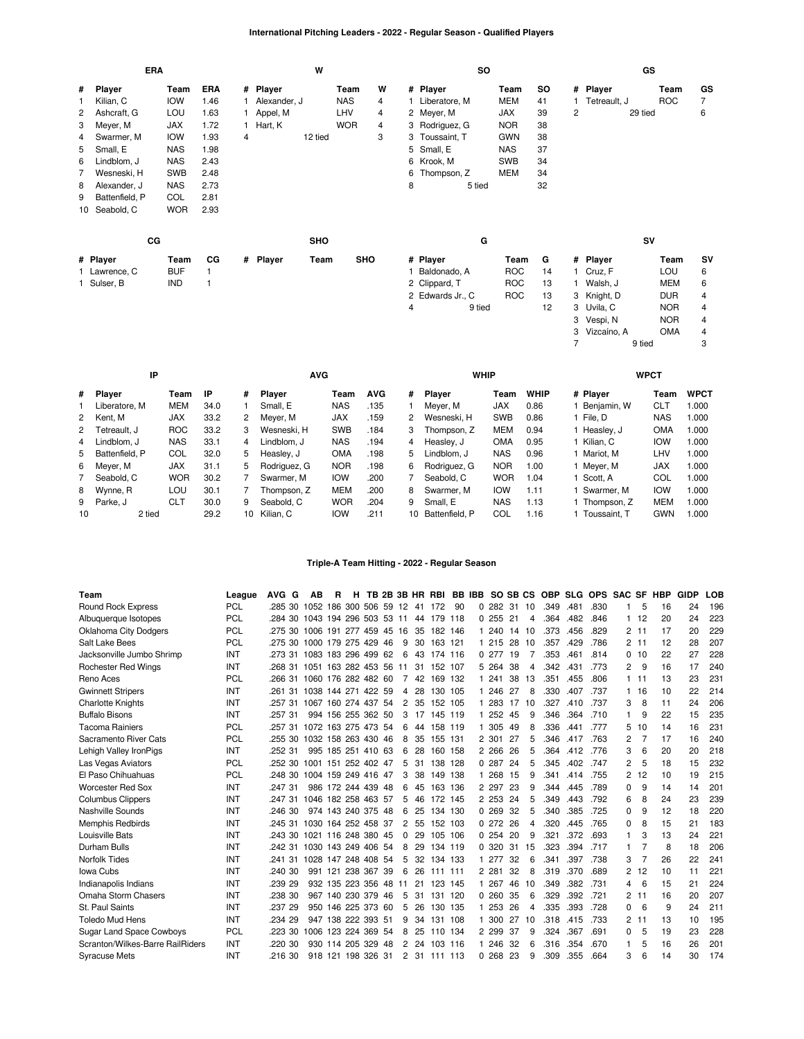# **International Pitching Leaders - 2022 - Regular Season - Qualified Players**

|    |                | ERA        |      |   |              | W          |            |   |   |                  | <b>SO</b> |            |     |                |               | GS      |            |           |
|----|----------------|------------|------|---|--------------|------------|------------|---|---|------------------|-----------|------------|-----|----------------|---------------|---------|------------|-----------|
| #  | Player         | Team       | ERA  |   | # Player     |            | Team       | W |   | # Player         |           | Team       | SO. |                | # Player      |         | Team       | GS        |
| 1  | Kilian, C      | <b>IOW</b> | 1.46 |   | Alexander, J |            | <b>NAS</b> | 4 |   | Liberatore, M    |           | MEM        | 41  |                | Tetreault, J  |         | <b>ROC</b> | 7         |
| 2  | Ashcraft, G    | LOU        | 1.63 |   | Appel, M     |            | LHV        | 4 |   | 2 Meyer, M       |           | <b>JAX</b> | 39  | $\overline{2}$ |               | 29 tied |            | 6         |
| 3  | Meyer, M       | <b>JAX</b> | 1.72 |   | 1 Hart, K    |            | <b>WOR</b> | 4 |   | 3 Rodriguez, G   |           | <b>NOR</b> | 38  |                |               |         |            |           |
| 4  | Swarmer, M     | <b>IOW</b> | 1.93 | 4 |              | 12 tied    |            | 3 |   | 3 Toussaint, T   |           | <b>GWN</b> | 38  |                |               |         |            |           |
| 5  | Small, E       | <b>NAS</b> | 1.98 |   |              |            |            |   |   | 5 Small, E       |           | <b>NAS</b> | 37  |                |               |         |            |           |
| 6  | Lindblom, J    | <b>NAS</b> | 2.43 |   |              |            |            |   |   | 6 Krook, M       |           | <b>SWB</b> | 34  |                |               |         |            |           |
| 7  | Wesneski, H    | <b>SWB</b> | 2.48 |   |              |            |            |   | 6 | Thompson, Z      |           | <b>MEM</b> | 34  |                |               |         |            |           |
| 8  | Alexander, J   | <b>NAS</b> | 2.73 |   |              |            |            |   | 8 |                  | 5 tied    |            | 32  |                |               |         |            |           |
| 9  | Battenfield, P | COL        | 2.81 |   |              |            |            |   |   |                  |           |            |     |                |               |         |            |           |
| 10 | Seabold, C     | <b>WOR</b> | 2.93 |   |              |            |            |   |   |                  |           |            |     |                |               |         |            |           |
|    |                | CG         |      |   |              | <b>SHO</b> |            |   |   |                  | G         |            |     |                |               | SV      |            |           |
|    | # Player       | Team       | СG   |   | # Player     | Team       | <b>SHO</b> |   |   | # Player         |           | Team       | G   |                | # Player      |         | Team       | <b>SV</b> |
|    | 1 Lawrence, C  | <b>BUF</b> | 1    |   |              |            |            |   |   | 1 Baldonado, A   |           | <b>ROC</b> | 14  |                | 1 Cruz, F     |         | LOU        | 6         |
|    | 1 Sulser, B    | <b>IND</b> |      |   |              |            |            |   |   | 2 Clippard, T    |           | <b>ROC</b> | 13  |                | Walsh, J      |         | MEM        | 6         |
|    |                |            |      |   |              |            |            |   |   | 2 Edwards Jr., C |           | <b>ROC</b> | 13  |                | 3 Knight, D   |         | <b>DUR</b> | 4         |
|    |                |            |      |   |              |            |            |   | 4 |                  | 9 tied    |            | 12  |                | 3 Uvila, C    |         | <b>NOR</b> | 4         |
|    |                |            |      |   |              |            |            |   |   |                  |           |            |     |                | 3 Vespi, N    |         | <b>NOR</b> | 4         |
|    |                |            |      |   |              |            |            |   |   |                  |           |            |     |                | 3 Vizcaíno, A |         | <b>OMA</b> | 4         |

|    | ΙP               |            |      |    | <b>AVG</b>    |            |            |    | <b>WHIP</b>    |            |             | <b>WPCT</b>  |            |             |
|----|------------------|------------|------|----|---------------|------------|------------|----|----------------|------------|-------------|--------------|------------|-------------|
|    | # Player         | Team       | ΙP   | #  | <b>Player</b> | Team       | <b>AVG</b> | #  | <b>Plaver</b>  | Team       | <b>WHIP</b> | # Player     | Team       | <b>WPCT</b> |
|    | Liberatore, M    | MEM        | 34.0 |    | Small, E      | <b>NAS</b> | .135       |    | Mever, M       | <b>JAX</b> | 0.86        | Benjamin, W  | CLT        | 000. ا      |
|    | 2 Kent. M        | <b>JAX</b> | 33.2 | 2  | Mever, M      | <b>JAX</b> | .159       | 2  | Wesneski, H    | <b>SWB</b> | 0.86        | File, D      | <b>NAS</b> | 1.000       |
|    | 2 Tetreault. J   | <b>ROC</b> | 33.2 | 3  | Wesneski, H   | <b>SWB</b> | .184       | 3  | Thompson, Z    | <b>MEM</b> | 0.94        | Heasley, J   | OMA        | 1.000       |
| 4  | Lindblom. J      | <b>NAS</b> | 33.1 | 4  | Lindblom. J   | <b>NAS</b> | .194       | 4  | Heaslev, J     | <b>OMA</b> | 0.95        | Kilian, C    | <b>IOW</b> | 1.000       |
|    | 5 Battenfield, P | COL        | 32.0 | 5. | Heasley, J    | <b>OMA</b> | .198       | 5. | Lindblom, J    | <b>NAS</b> | 0.96        | Mariot. M    | LHV        | 1.000       |
|    | 6 Meyer, M       | <b>JAX</b> | 31.1 | 5  | Rodriguez, G  | <b>NOR</b> | .198       | 6  | Rodriguez. G   | <b>NOR</b> | 1.00        | Mever. M     | <b>JAX</b> | 1.000       |
|    | 7 Seabold, C     | <b>WOR</b> | 30.2 |    | Swarmer, M    | <b>IOW</b> | .200       |    | Seabold, C     | <b>WOR</b> | 1.04        | Scott. A     | COL        | 1.000       |
|    | 8 Wynne, R       | LOU        | 30.1 |    | Thompson. Z   | <b>MEM</b> | .200       | 8  | Swarmer, M     | <b>IOW</b> | 1.11        | Swarmer. M   | <b>IOW</b> | 1.000       |
|    | 9 Parke, J       | <b>CLT</b> | 30.0 | 9  | Seabold, C    | <b>WOR</b> | .204       | 9  | Small. E       | <b>NAS</b> | 1.13        | Thompson, Z  | <b>MEM</b> | 1.000       |
| 10 | 2 tied           |            | 29.2 | 10 | Kilian, C     | <b>IOW</b> | .211       | 10 | Battenfield, P | COL        | 1.16        | Toussaint. T | GWN        | 1.000       |

7 9 tied 3

### **Triple-A Team Hitting - 2022 - Regular Season**

| Team                             | League     | AVG G   | АB                     | R | н               |                    |    |                |    | TB 2B 3B HR RBI BB IBB SO SB CS |    |            |     |    | <b>OBP</b> | <b>SLG</b> | OPS SAC SF |          |          | HBP | GIDP | LOB |
|----------------------------------|------------|---------|------------------------|---|-----------------|--------------------|----|----------------|----|---------------------------------|----|------------|-----|----|------------|------------|------------|----------|----------|-----|------|-----|
| Round Rock Express               | <b>PCL</b> | .285 30 | 1052 186 300 506 59 12 |   |                 |                    |    |                | 41 | 172                             | 90 | 0, 282, 31 |     | 10 | .349       | .481       | .830       |          | 5        | 16  | 24   | 196 |
| Albuquerque Isotopes             | PCL        | .284 30 | 1043 194 296 503 53 11 |   |                 |                    |    |                | 44 | 179 118                         |    | 0.255      | 21  | 4  | .364       | .482       | .846       |          | 112      | 20  | 24   | 223 |
| <b>Oklahoma City Dodgers</b>     | <b>PCL</b> | .275 30 | 1006 191 277 459 45 16 |   |                 |                    |    |                | 35 | 182 146                         |    | 1 240      | 14  | 10 | .373       | .456       | .829       | 2        | -11      | 17  | 20   | 229 |
| Salt Lake Bees                   | <b>PCL</b> | .275 30 | 1000 179 275 429 46    |   |                 |                    |    | 9              |    | 30 163 121                      |    | 1 215      | 28  | 10 | .357       | .429       | .786       |          | 2, 11    | 12  | 28   | 207 |
| Jacksonville Jumbo Shrimp        | <b>INT</b> | .273 31 | 1083 183 296 499 62    |   |                 |                    |    | 6              | 43 | 174 116                         |    | 0.277      | 19  | 7  | .353       | .461       | .814       | $\Omega$ | 10       | 22  | 27   | 228 |
| Rochester Red Wings              | INT        | .268 31 | 1051 163 282 453 56    |   |                 |                    |    | 11             |    | 31 152 107                      |    | 5 264      | 38  | 4  | .342       | .431       | .773       | 2        | 9        | 16  | 17   | 240 |
| Reno Aces                        | <b>PCL</b> | .266 31 | 1060 176 282 482 60    |   |                 |                    |    | 7              | 42 | 169 132                         |    | 1 241      | 38  | 13 | .351       | .455       | .806       |          | $1 \t11$ | 13  | 23   | 231 |
| <b>Gwinnett Stripers</b>         | <b>INT</b> | .261 31 | 1038 144 271 422 59    |   |                 |                    |    | 4              | 28 | 130 105                         |    | 1 246      | 27  | 8  | .330       | .407       | .737       |          | 16       | 10  | 22   | 214 |
| <b>Charlotte Knights</b>         | <b>INT</b> | .257 31 | 1067 160 274 437 54    |   |                 |                    |    | $\overline{2}$ |    | 35 152 105                      |    | 1 283      | 17  | 10 | .327       | .410       | .737       | 3        | 8        | 11  | 24   | 206 |
| <b>Buffalo Bisons</b>            | INT        | .257 31 |                        |   |                 | 994 156 255 362 50 |    | 3              | 17 | 145 119                         |    | 1 252      | 45  | 9  | .346       | .364       | .710       | 1        | 9        | 22  | 15   | 235 |
| Tacoma Rainiers                  | PCL        | .257 31 | 1072 163 275 473 54    |   |                 |                    |    | 6              | 44 | 158 119                         |    | 1 305      | 49  | 8  | .336       | .441       | .777       | 5        | 10       | 14  | 16   | 231 |
| Sacramento River Cats            | <b>PCL</b> | .255 30 | 1032 158 263 430 46    |   |                 |                    |    | 8              | 35 | 155 131                         |    | 2 301      | 27  | 5  | .346       | .417       | .763       | 2        |          | 17  | 16   | 240 |
| Lehigh Valley IronPigs           | INT        | .252 31 |                        |   |                 | 995 185 251 410 63 |    | 6              | 28 | 160 158                         |    | 2 2 6 6    | 26  | 5  | .364       | .412       | .776       | 3        | 6        | 20  | 20   | 218 |
| Las Vegas Aviators               | <b>PCL</b> | .252 30 | 1001 151 252 402 47    |   |                 |                    |    | 5              |    | 31 138 128                      |    | 0.287      | 24  | 5  | .345       | .402       | .747       | 2        | 5        | 18  | 15   | 232 |
| El Paso Chihuahuas               | <b>PCL</b> | .248 30 | 1004 159 249 416 47    |   |                 |                    |    | 3              | 38 | 149 138                         |    | 1 268      | 15  | 9  | .341       | .414       | .755       | 2        | 12       | 10  | 19   | 215 |
| <b>Worcester Red Sox</b>         | INT        | .247 31 |                        |   |                 | 986 172 244 439 48 |    | 6              | 45 | 163 136                         |    | 2 2 9 7    | -23 | 9  | .344       | .445       | .789       | $\Omega$ | 9        | 14  | 14   | 201 |
| <b>Columbus Clippers</b>         | INT        | .247 31 | 1046 182 258 463 57    |   |                 |                    |    | 5              | 46 | 172 145                         |    | 2 2 5 3    | 24  | 5  | .349       | .443       | .792       | 6        | 8        | 24  | 23   | 239 |
| Nashville Sounds                 | <b>INT</b> | .246 30 |                        |   |                 | 974 143 240 375 48 |    | 6              | 25 | 134 130                         |    | 0.269      | 32  | 5  | .340       | .385       | .725       | 0        | 9        | 12  | 18   | 220 |
| <b>Memphis Redbirds</b>          | <b>INT</b> | .245 31 | 1030 164 252 458 37    |   |                 |                    |    | $\overline{2}$ | 55 | 152 103                         |    | 0.272      | 26  | 4  | .320       | .445       | .765       | 0        | 8        | 15  | 21   | 183 |
| Louisville Bats                  | INT        | .243 30 | 1021 116 248 380 45    |   |                 |                    |    | 0              | 29 | 105 106                         |    | 0.254      | 20  | 9  | .321       | .372       | .693       | 1        | 3        | 13  | 24   | 221 |
| Durham Bulls                     | <b>INT</b> | .242 31 | 1030 143 249 406 54    |   |                 |                    |    | 8              | 29 | 134 119                         |    | 0.320      | 31  | 15 | .323       | .394       | .717       | 1        |          | 8   | 18   | 206 |
| Norfolk Tides                    | <b>INT</b> | .241 31 | 1028 147 248 408 54    |   |                 |                    |    | 5              |    | 32 134 133                      |    | 1 277      | 32  | 6  | .341       | .397       | .738       | 3        |          | 26  | 22   | 241 |
| Iowa Cubs                        | INT        | .240 30 |                        |   | 991 121 238 367 |                    | 39 | 6              | 26 | 111 111                         |    | 2 281      | 32  | 8  | .319       | .370       | .689       | 2        | 12       | 10  | 11   | 221 |
| Indianapolis Indians             | <b>INT</b> | .239 29 |                        |   |                 | 932 135 223 356 48 |    | 11             | 21 | 123 145                         |    | 1 267      | 46  | 10 | .349       | .382       | .731       | 4        | 6        | 15  | 21   | 224 |
| Omaha Storm Chasers              | <b>INT</b> | .238 30 |                        |   |                 | 967 140 230 379    | 46 | 5              | 31 | 131 120                         |    | 0.260      | 35  | 6  | .329       | .392       | .721       | 2        | 11       | 16  | 20   | 207 |
| St. Paul Saints                  | INT        | .237 29 | 950                    |   |                 | 146 225 373        | 60 | 5              | 26 | 130 135                         |    | 1 253      | 26  | 4  | .335       | .393       | .728       | 0        | 6        | 9   | 24   | 211 |
| <b>Toledo Mud Hens</b>           | <b>INT</b> | .234 29 |                        |   |                 | 947 138 222 393 51 |    | 9              | 34 | 131 108                         |    | 1 300      | 27  | 10 | .318       | .415       | .733       | 2        | 11       | 13  | 10   | 195 |
| Sugar Land Space Cowboys         | <b>PCL</b> | .223 30 | 1006 123 224 369 54    |   |                 |                    |    | 8              | 25 | 110 134                         |    | 2 2 9 9    | 37  | 9  | .324       | .367       | .691       | 0        | 5        | 19  | 23   | 228 |
| Scranton/Wilkes-Barre RailRiders | INT        | .220 30 |                        |   | 930 114 205 329 |                    | 48 | 2              | 24 | 103 116                         |    | 1 246      | 32  | 6  | .316       | .354       | .670       | 1        | 5        | 16  | 26   | 201 |
| <b>Syracuse Mets</b>             | INT        | .216 30 |                        |   |                 | 918 121 198 326 31 |    | $\overline{2}$ |    | 31 111 113                      |    | 0.268      | 23  | 9  | .309       | .355       | .664       | 3        | 6        | 14  | 30   | 174 |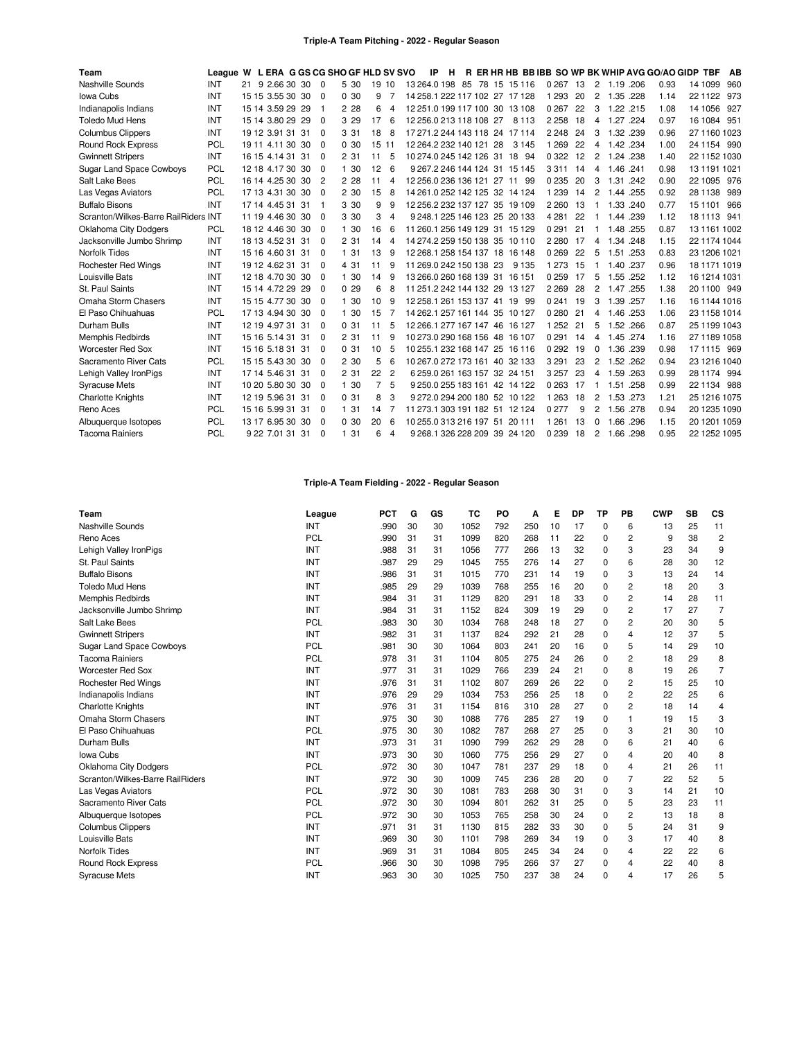### **Triple-A Team Pitching - 2022 - Regular Season**

| Team                                 | League W L ERA G GS CG SHO GF HLD SV SVO |                  |     |                |       |       |                | -IP | H |                         |    |                                |         |    |          |             |      | R ER HR HB BB IBB SO WP BK WHIP AVG GO/AO GIDP TBF |              | AB  |
|--------------------------------------|------------------------------------------|------------------|-----|----------------|-------|-------|----------------|-----|---|-------------------------|----|--------------------------------|---------|----|----------|-------------|------|----------------------------------------------------|--------------|-----|
| Nashville Sounds                     | <b>INT</b>                               | 21 9 2.66 30 30  |     | $\Omega$       | 5 30  | 19 10 |                |     |   |                         |    | 13 264.0 198 85 78 15 15 116   | 0 267   | 13 | 2        | 1.19 .206   |      | 0.93                                               | 14 1099      | 960 |
| Iowa Cubs                            | <b>INT</b>                               | 15 15 3.55 30 30 |     | $\Omega$       | 0.30  | 9     | 7              |     |   |                         |    | 14 258 1 222 117 102 27 17 128 | 1 2 9 3 | 20 | 2        | 1.35 .228   |      | 1.14                                               | 22 11 22     | 973 |
| Indianapolis Indians                 | INT                                      | 15 14 3.59 29 29 |     | -1             | 2 28  | 6     | 4              |     |   |                         |    | 12 251.0 199 117 100 30 13 108 | 0 2 6 7 | 22 | 3        | 1.22 .215   |      | 1.08                                               | 14 1056      | 927 |
| <b>Toledo Mud Hens</b>               | INT                                      | 15 14 3.80 29 29 |     | $\Omega$       | 3 2 9 | 17    | 6              |     |   | 12 256.0 213 118 108 27 |    | 8 1 1 3                        | 2 2 5 8 | 18 |          | 4 1.27 .224 |      | 0.97                                               | 16 1084 951  |     |
| <b>Columbus Clippers</b>             | INT                                      | 19 12 3.91 31    | -31 | $\Omega$       | 3 3 1 | 18    | 8              |     |   |                         |    | 17 271.2 244 143 118 24 17 114 | 2 2 4 8 | 24 | 3        | 1.32 .239   |      | 0.96                                               | 27 1160 1023 |     |
| <b>Round Rock Express</b>            | <b>PCL</b>                               | 19 11 4.11 30 30 |     | $\Omega$       | 0.30  | 15 11 |                |     |   | 12 264.2 232 140 121    | 28 | 3 1 4 5                        | 1 2 6 9 | 22 | 4        | 1.42 .234   |      | 1.00                                               | 24 1154 990  |     |
| <b>Gwinnett Stripers</b>             | INT                                      | 16 15 4.14 31 31 |     | $\Omega$       | 2 31  | 11    | 5              |     |   |                         |    | 10 274.0 245 142 126 31 18 94  | 0 3 2 2 | 12 | 2        | 1.24 .238   |      | 1.40                                               | 22 1152 1030 |     |
| <b>Sugar Land Space Cowboys</b>      | <b>PCL</b>                               | 12 18 4.17 30 30 |     | $\Omega$       | 1 30  | 12    | 6              |     |   |                         |    | 9 267.2 246 144 124 31 15 145  | 3311    | 14 | 4        | 1.46 .241   |      | 0.98                                               | 13 1191 1021 |     |
| Salt Lake Bees                       | <b>PCL</b>                               | 16 14 4.25 30 30 |     | $\overline{2}$ | 2 2 8 | 11    | 4              |     |   |                         |    | 12 256.0 236 136 121 27 11 99  | 0 2 3 5 | 20 | 3        | 1.31 .242   |      | 0.90                                               | 22 1095 976  |     |
| Las Vegas Aviators                   | <b>PCL</b>                               | 17 13 4.31 30 30 |     | $\Omega$       | 2 30  | 15    | 8              |     |   |                         |    | 14 261.0 252 142 125 32 14 124 | 1 2 3 9 | 14 | 2        | 1.44 .255   |      | 0.92                                               | 28 1138      | 989 |
| <b>Buffalo Bisons</b>                | INT                                      | 17 14 4.45 31 31 |     | -1             | 3 30  | 9     | 9              |     |   |                         |    | 12 256.2 232 137 127 35 19 109 | 2 2 6 0 | 13 | 1        | 1.33 .240   |      | 0.77                                               | 15 1101      | 966 |
| Scranton/Wilkes-Barre RailRiders INT |                                          | 11 19 4.46 30 30 |     | $\Omega$       | 3 30  | 3     | 4              |     |   |                         |    | 9 248.1 225 146 123 25 20 133  | 4 2 8 1 | 22 |          | 1.44 .239   |      | 1.12                                               | 18 1113 941  |     |
| <b>Oklahoma City Dodgers</b>         | <b>PCL</b>                               | 18 12 4.46 30 30 |     | $\Omega$       | 1 30  | 16    | 6              |     |   |                         |    | 11 260.1 256 149 129 31 15 129 | 0 2 9 1 | 21 | -1       | 1.48 .255   |      | 0.87                                               | 13 1161 1002 |     |
| Jacksonville Jumbo Shrimp            | <b>INT</b>                               | 18 13 4.52 31 31 |     | $\Omega$       | 2 31  | 14    | 4              |     |   |                         |    | 14 274 2 259 150 138 35 10 110 | 2 2 8 0 | 17 | 4        | 1.34 .248   |      | 1.15                                               | 22 1174 1044 |     |
| Norfolk Tides                        | INT                                      | 15 16 4.60 31 31 |     | $\Omega$       | 131   | 13    | 9              |     |   |                         |    | 12 268 1 258 154 137 18 16 148 | 0269    | 22 | 5        | 1.51 .253   |      | 0.83                                               | 23 1206 1021 |     |
| Rochester Red Wings                  | INT                                      | 19 12 4.62 31    | 31  | $\Omega$       | 4 31  | 11    | 9              |     |   | 11 269.0 242 150 138 23 |    | 9 1 3 5                        | 1 2 7 3 | 15 |          | 1.40 .237   |      | 0.96                                               | 18 1171 1019 |     |
| Louisville Bats                      | INT                                      | 12 18 4.70 30 30 |     | $\Omega$       | 1 30  | 14    | 9              |     |   |                         |    | 13 266.0 260 168 139 31 16 151 | 0259    | 17 | 5        | 1.55 .252   |      | 1.12                                               | 16 1214 1031 |     |
| St. Paul Saints                      | INT                                      | 15 14 4.72 29 29 |     | $\Omega$       | 0.29  | 6     | 8              |     |   |                         |    | 11 251 2 242 144 132 29 13 127 | 2 2 6 9 | 28 | 2        | 1.47 .255   |      | 1.38                                               | 20 1100 949  |     |
| Omaha Storm Chasers                  | INT                                      | 15 15 4.77 30 30 |     | $\Omega$       | 1 30  | 10    | 9              |     |   |                         |    | 12 258 1 261 153 137 41 19 99  | 0 2 4 1 | 19 | 3        | 1.39 .257   |      | 1.16                                               | 16 1144 1016 |     |
| El Paso Chihuahuas                   | <b>PCL</b>                               | 17 13 4.94 30 30 |     | $\Omega$       | 1 30  | 15    |                |     |   |                         |    | 14 262.1 257 161 144 35 10 127 | 0280    | 21 |          | 4 1.46 .253 |      | 1.06                                               | 23 1158 1014 |     |
| Durham Bulls                         | INT                                      | 12 19 4.97 31 31 |     | $\Omega$       | 0.31  | 11    | 5              |     |   |                         |    | 12 266 1 277 167 147 46 16 127 | 1 2 5 2 | 21 | 5        | 1.52 .266   |      | 0.87                                               | 25 1199 1043 |     |
| <b>Memphis Redbirds</b>              | INT                                      | 15 16 5.14 31 31 |     | $\Omega$       | 2 31  | 11    | 9              |     |   |                         |    | 10 273.0 290 168 156 48 16 107 | 0291    | 14 | 4        | 1.45 .274   |      | 1.16                                               | 27 1189 1058 |     |
| <b>Worcester Red Sox</b>             | INT                                      | 15 16 5.18 31 31 |     | $\Omega$       | 0.31  | 10    | 5              |     |   |                         |    | 10 255.1 232 168 147 25 16 116 | 0 2 9 2 | 19 | 0        | 1.36 .239   |      | 0.98                                               | 17 1115 969  |     |
| Sacramento River Cats                | <b>PCL</b>                               | 15 15 5.43 30 30 |     | $\Omega$       | 2 30  | 5     | 6              |     |   |                         |    | 10 267.0 272 173 161 40 32 133 | 3 2 9 1 | 23 | 2        | 1.52 .262   |      | 0.94                                               | 23 1216 1040 |     |
| Lehigh Valley IronPigs               | INT                                      | 17 14 5.46 31 31 |     | $\Omega$       | 2 31  | 22    | $\overline{2}$ |     |   |                         |    | 6 259.0 261 163 157 32 24 151  | 3 2 5 7 | 23 | 4        | 1.59 .263   |      | 0.99                                               | 28 1174 994  |     |
| <b>Syracuse Mets</b>                 | INT                                      | 10 20 5.80 30 30 |     | $\Omega$       | 1 30  |       | 5              |     |   |                         |    | 9 250.0 255 183 161 42 14 122  | 0 2 6 3 | 17 | -1       | 1.51        | .258 | 0.99                                               | 22 1134 988  |     |
| <b>Charlotte Knights</b>             | INT                                      | 12 19 5.96 31 31 |     | $\Omega$       | 031   | 8     | 3              |     |   |                         |    | 9 272.0 294 200 180 52 10 122  | 1 2 6 3 | 18 | 2        | 1.53 .273   |      | 1.21                                               | 25 1216 1075 |     |
| Reno Aces                            | <b>PCL</b>                               | 15 16 5.99 31 31 |     | $\Omega$       | 1 31  | 14    | 7              |     |   |                         |    | 11 273.1 303 191 182 51 12 124 | 0277    | 9  | 2        | 1.56 .278   |      | 0.94                                               | 20 1235 1090 |     |
| Albuquerque Isotopes                 | <b>PCL</b>                               | 13 17 6.95 30 30 |     | $\Omega$       | 0.30  | 20    | 6              |     |   | 10 255 0 313 216 197 51 |    | 20 111                         | 1 2 6 1 | 13 | $\Omega$ | 1.66 .296   |      | 1.15                                               | 20 1201 1059 |     |
| <b>Tacoma Rainiers</b>               | <b>PCL</b>                               | 9 22 7.01 31 31  |     | $\Omega$       | 131   | 6     | 4              |     |   |                         |    | 9 268.1 326 228 209 39 24 120  | 0 2 3 9 | 18 |          | 2 1.66 .298 |      | 0.95                                               | 22 1252 1095 |     |

# **Triple-A Team Fielding - 2022 - Regular Season**

| Team                             | League     | <b>PCT</b> | G  | GS | TC   | PO  | Α   | Е  | DP | ТP       | PВ | <b>CWP</b> | <b>SB</b> | <b>CS</b>      |
|----------------------------------|------------|------------|----|----|------|-----|-----|----|----|----------|----|------------|-----------|----------------|
| Nashville Sounds                 | INT        | .990       | 30 | 30 | 1052 | 792 | 250 | 10 | 17 | 0        | 6  | 13         | 25        | 11             |
| Reno Aces                        | <b>PCL</b> | .990       | 31 | 31 | 1099 | 820 | 268 | 11 | 22 | 0        | 2  | 9          | 38        | $\overline{c}$ |
| Lehigh Valley IronPigs           | <b>INT</b> | .988       | 31 | 31 | 1056 | 777 | 266 | 13 | 32 | 0        | 3  | 23         | 34        | 9              |
| St. Paul Saints                  | INT        | .987       | 29 | 29 | 1045 | 755 | 276 | 14 | 27 | $\Omega$ | 6  | 28         | 30        | 12             |
| <b>Buffalo Bisons</b>            | INT        | .986       | 31 | 31 | 1015 | 770 | 231 | 14 | 19 | 0        | 3  | 13         | 24        | 14             |
| <b>Toledo Mud Hens</b>           | INT        | .985       | 29 | 29 | 1039 | 768 | 255 | 16 | 20 | $\Omega$ | 2  | 18         | 20        | 3              |
| Memphis Redbirds                 | INT        | .984       | 31 | 31 | 1129 | 820 | 291 | 18 | 33 | $\Omega$ | 2  | 14         | 28        | 11             |
| Jacksonville Jumbo Shrimp        | INT        | .984       | 31 | 31 | 1152 | 824 | 309 | 19 | 29 | 0        | 2  | 17         | 27        | 7              |
| Salt Lake Bees                   | PCL        | .983       | 30 | 30 | 1034 | 768 | 248 | 18 | 27 | $\Omega$ | 2  | 20         | 30        | 5              |
| <b>Gwinnett Stripers</b>         | INT        | .982       | 31 | 31 | 1137 | 824 | 292 | 21 | 28 | $\Omega$ | 4  | 12         | 37        | 5              |
| <b>Sugar Land Space Cowboys</b>  | PCL        | .981       | 30 | 30 | 1064 | 803 | 241 | 20 | 16 | $\Omega$ | 5  | 14         | 29        | 10             |
| <b>Tacoma Rainiers</b>           | <b>PCL</b> | .978       | 31 | 31 | 1104 | 805 | 275 | 24 | 26 | 0        | 2  | 18         | 29        | 8              |
| <b>Worcester Red Sox</b>         | <b>INT</b> | .977       | 31 | 31 | 1029 | 766 | 239 | 24 | 21 | 0        | 8  | 19         | 26        | $\overline{7}$ |
| <b>Rochester Red Wings</b>       | <b>INT</b> | .976       | 31 | 31 | 1102 | 807 | 269 | 26 | 22 | $\Omega$ | 2  | 15         | 25        | 10             |
| Indianapolis Indians             | INT        | .976       | 29 | 29 | 1034 | 753 | 256 | 25 | 18 | $\Omega$ | 2  | 22         | 25        | 6              |
| <b>Charlotte Knights</b>         | <b>INT</b> | .976       | 31 | 31 | 1154 | 816 | 310 | 28 | 27 | 0        | 2  | 18         | 14        | 4              |
| Omaha Storm Chasers              | <b>INT</b> | .975       | 30 | 30 | 1088 | 776 | 285 | 27 | 19 | $\Omega$ | 1  | 19         | 15        | 3              |
| El Paso Chihuahuas               | <b>PCL</b> | .975       | 30 | 30 | 1082 | 787 | 268 | 27 | 25 | $\Omega$ | 3  | 21         | 30        | 10             |
| Durham Bulls                     | INT        | .973       | 31 | 31 | 1090 | 799 | 262 | 29 | 28 | 0        | 6  | 21         | 40        | 6              |
| Iowa Cubs                        | INT        | .973       | 30 | 30 | 1060 | 775 | 256 | 29 | 27 | $\Omega$ | 4  | 20         | 40        | 8              |
| <b>Oklahoma City Dodgers</b>     | <b>PCL</b> | .972       | 30 | 30 | 1047 | 781 | 237 | 29 | 18 | 0        | 4  | 21         | 26        | 11             |
| Scranton/Wilkes-Barre RailRiders | <b>INT</b> | .972       | 30 | 30 | 1009 | 745 | 236 | 28 | 20 | 0        | 7  | 22         | 52        | 5              |
| Las Vegas Aviators               | PCL        | .972       | 30 | 30 | 1081 | 783 | 268 | 30 | 31 | 0        | 3  | 14         | 21        | 10             |
| Sacramento River Cats            | PCL        | .972       | 30 | 30 | 1094 | 801 | 262 | 31 | 25 | 0        | 5  | 23         | 23        | 11             |
| Albuquerque Isotopes             | PCL        | .972       | 30 | 30 | 1053 | 765 | 258 | 30 | 24 | $\Omega$ | 2  | 13         | 18        | 8              |
| <b>Columbus Clippers</b>         | <b>INT</b> | .971       | 31 | 31 | 1130 | 815 | 282 | 33 | 30 | 0        | 5  | 24         | 31        | 9              |
| Louisville Bats                  | INT        | .969       | 30 | 30 | 1101 | 798 | 269 | 34 | 19 | $\Omega$ | 3  | 17         | 40        | 8              |
| <b>Norfolk Tides</b>             | <b>INT</b> | .969       | 31 | 31 | 1084 | 805 | 245 | 34 | 24 | $\Omega$ | 4  | 22         | 22        | 6              |
| <b>Round Rock Express</b>        | <b>PCL</b> | .966       | 30 | 30 | 1098 | 795 | 266 | 37 | 27 | $\Omega$ | 4  | 22         | 40        | 8              |
| <b>Syracuse Mets</b>             | <b>INT</b> | .963       | 30 | 30 | 1025 | 750 | 237 | 38 | 24 | $\Omega$ | 4  | 17         | 26        | 5              |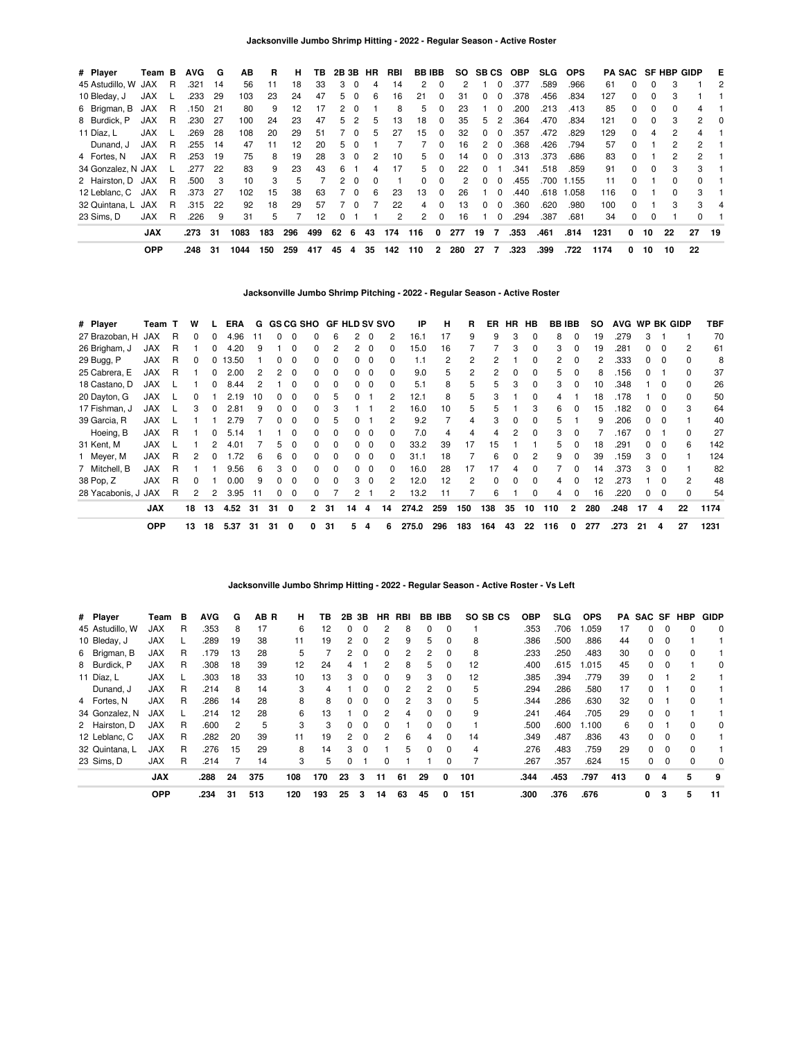| # Player            | Team B     |     | <b>AVG</b> | G   | ΑВ   | R   | н   | TB. | 2B 3B        |                | HR       | RBI | <b>BB IBB</b> |              |               |    | SO SBCS       | OBP  | <b>SLG</b> | <b>OPS</b> |      |          |          | <b>PA SAC SF HBP GIDP</b> |              | E  |
|---------------------|------------|-----|------------|-----|------|-----|-----|-----|--------------|----------------|----------|-----|---------------|--------------|---------------|----|---------------|------|------------|------------|------|----------|----------|---------------------------|--------------|----|
| 45 Astudillo, W JAX |            | R   | .321       | 14  | 56   | 11  | 18  | 33  | 3            | $\Omega$       | 4        | 14  | 2             | 0            | $\mathcal{P}$ |    |               | .377 | .589       | .966       | 61   | $\Omega$ | 0        | 3                         |              | 2  |
| 10 Bleday, J        | <b>JAX</b> |     | .233       | 29  | 103  | 23  | 24  | 47  | 5.           | $\Omega$       | 6        | 16  | 21            | $\Omega$     | 31            |    | 0<br>$\Omega$ | .378 | .456       | .834       | 127  | $\Omega$ | 0        | 3                         |              |    |
| 6 Brigman, B        | JAX        | R   | .150       | -21 | 80   | 9   | 12  | 17  | $\mathbf{2}$ | $\Omega$       |          | 8   | 5             | $\Omega$     | 23            |    | $\Omega$      | .200 | .213       | .413       | 85   | $\Omega$ | $\Omega$ | $\Omega$                  | 4            |    |
| 8 Burdick, P        | JAX        | -R  | .230       | 27  | 100  | 24  | 23  | 47  | 5.           | $\overline{2}$ | 5        | 13  | 18            | $\Omega$     | 35            |    | 5<br>2        | .364 | .470       | .834       | 121  | $\Omega$ | $\Omega$ | 3                         | $\mathbf{2}$ | 0  |
| 11 Díaz, L          | <b>JAX</b> |     | .269       | 28  | 108  | 20  | 29  | 51  |              | $\Omega$       | 5        | 27  | 15            | $\Omega$     | 32            |    | 0<br>$\Omega$ | .357 | .472       | .829       | 129  | $\Omega$ | 4        | 2                         | 4            |    |
| Dunand, J           | <b>JAX</b> | R   | .255       | 14  | 47   | 11  | 12  | 20  | 5            | $\Omega$       |          |     |               | 0            | 16            |    | 2<br>$\Omega$ | .368 | .426       | .794       | 57   | $\Omega$ |          | 2                         | $\mathbf{2}$ |    |
| 4 Fortes, N         | JAX        | - R | .253       | 19  | 75   | 8   | 19  | 28  | 3            | $\Omega$       | 2        | 10  | 5.            | $\Omega$     | 14            |    | 0<br>$\Omega$ | .313 | .373       | .686       | 83   | $\Omega$ |          |                           | 2            |    |
| 34 Gonzalez, N JAX  |            |     | .277       | 22  | 83   | 9   | 23  | 43  | 6            |                | 4        | 17  | 5             | $\Omega$     | 22            |    | 0             | .341 | .518       | .859       | 91   | $\Omega$ | $\Omega$ | 3                         | 3            |    |
| 2 Hairston, D JAX   |            | R   | .500       | 3   | 10   | 3   | 5   |     | 2            | $\Omega$       | $\Omega$ |     | 0             | $\Omega$     | 2             |    | 0<br>$\Omega$ | .455 | .700       | 1.155      | 11   | $\Omega$ |          | 0                         | 0            |    |
| 12 Leblanc, C JAX   |            | -R  | .373       | 27  | 102  | 15  | 38  | 63  |              | - 0            | 6        | 23  | 13            | $\Omega$     | 26            |    | $\Omega$      | .440 | .618       | 1.058      | 116  | $\Omega$ |          |                           | 3            |    |
| 32 Quintana, L JAX  |            | R.  | .315       | 22  | 92   | 18  | 29  | 57  |              | $\Omega$       |          | 22  | 4             | $\Omega$     | 13            |    | $\Omega$<br>0 | .360 | .620       | .980       | 100  | $\Omega$ |          | 3                         | 3            | 4  |
| 23 Sims. D          | <b>JAX</b> | R   | .226       | 9   | 31   | 5   |     | 12  | 0            |                |          | 2   | $\mathbf{2}$  | 0            | 16            |    | $\Omega$      | .294 | .387       | .681       | 34   | 0        | 0        |                           | <sup>0</sup> |    |
|                     | <b>JAX</b> |     | .273       | 31  | 1083 | 183 | 296 | 499 | 62           | 6              | 43       | 174 | 116           | 0            | 277           | 19 | 7             | .353 | .461       | .814       | 1231 | 0        | 10       | 22                        | 27           | 19 |
|                     | <b>OPP</b> |     | .248       | -31 | 1044 | 150 | 259 | 417 | 45           | 4              | 35       | 142 | 110           | $\mathbf{2}$ | 280           | 27 | 7             | .323 | .399       | .722       | 1174 | 0        | 10       | 10                        | 22           |    |

# **Jacksonville Jumbo Shrimp Pitching - 2022 - Regular Season - Active Roster**

| # Player            | Team T     |   | W              |              | ERA   | G  |          |              |              | <b>GS CG SHO GF HLD SV SVO</b> |          |          |          | IP    | н   | R   | ER.      | HR. | HB           |     | <b>BB IBB</b> | SO. | <b>AVG</b> |              |          | WP BK GIDP     | TBF  |
|---------------------|------------|---|----------------|--------------|-------|----|----------|--------------|--------------|--------------------------------|----------|----------|----------|-------|-----|-----|----------|-----|--------------|-----|---------------|-----|------------|--------------|----------|----------------|------|
| 27 Brazoban, H      | <b>JAX</b> | R | 0              | $\Omega$     | 4.96  | 11 | $\Omega$ | $\Omega$     | 0            | 6                              | 2        | $\Omega$ | 2        | 16.1  | 17  | 9   | 9        | 3   | 0            | 8   | $\Omega$      | 19  | .279       | 3            |          |                | 70   |
| 26 Brigham, J       | <b>JAX</b> | R |                | 0            | 4.20  | 9  |          | $\Omega$     | <sup>0</sup> |                                |          | - 0      | 0        | 15.0  | 16  |     |          | 3   | $\Omega$     | 3   | $\Omega$      | 19  | .281       |              |          | $\overline{c}$ | 61   |
| 29 Bugg, P          | <b>JAX</b> | R |                | 0            | 13.50 |    | 0        | 0            | 0            | $\Omega$                       |          |          | 0        | 1.1   | 2   | 2   | 2        |     | <sup>0</sup> | 2   | $\Omega$      | 2   | .333       |              | $\Omega$ | $\Omega$       | 8    |
| 25 Cabrera, E       | <b>JAX</b> | R |                |              | 2.00  |    |          | 0            | <sup>0</sup> | $\Omega$                       | 0        |          | $\Omega$ | 9.0   | 5   | 2   | 2        | 0   | <sup>0</sup> | 5   | $\Omega$      | 8   | .156       |              |          | $\Omega$       | 37   |
| 18 Castano, D       | <b>JAX</b> |   |                |              | 8.44  | 2  |          | 0            | <sup>0</sup> |                                |          |          | $\Omega$ | 5.1   | 8   | 5   | 5        | 3   | 0            | 3   |               | 10  | .348       |              |          | $\Omega$       | 26   |
| 20 Dayton, G        | <b>JAX</b> |   | 0              |              | 2.19  | 10 | 0        | $\Omega$     | 0            | 5.                             |          |          | 2        | 12.1  | 8   | 5   | 3        |     | 0            | 4   |               | 18  | .178       |              |          | $\Omega$       | 50   |
| 17 Fishman, J       | <b>JAX</b> |   | 3              | 0            | 2.81  | 9  | $\Omega$ | 0            | 0            | 3                              |          |          | 2        | 16.0  | 10  | 5   | 5        |     | 3            | 6   | $\Omega$      | 15  | .182       |              |          | 3              | 64   |
| 39 Garcia, R        | <b>JAX</b> |   |                |              | 2.79  |    | $\Omega$ | 0            | 0            | 5                              |          |          | 2        | 9.2   |     | 4   | 3        | 0   | $\Omega$     | 5   |               | 9   | .206       | 0            | 0        |                | 40   |
| Hoeing, B           | <b>JAX</b> | R |                | 0            | 5.14  |    |          | $\Omega$     | 0            | $\Omega$                       | $\Omega$ | 0        | $\Omega$ | 7.0   | 4   | 4   | 4        | 2   | $\Omega$     | 3   | $\Omega$      |     | .167       | 0            |          | $\Omega$       | 27   |
| 31 Kent, M          | <b>JAX</b> |   |                | 2            | 4.01  |    | 5.       | $\Omega$     | 0            | $\Omega$                       | $\Omega$ | $\Omega$ | $\Omega$ | 33.2  | 39  | 17  | 15       |     |              | 5   | $\Omega$      | 18  | .291       | $\Omega$     | $\Omega$ | 6              | 142  |
| 1 Meyer, M          | <b>JAX</b> | R | 2              | <sup>0</sup> | 1.72  | 6  | 6        | $\Omega$     | $\Omega$     | $\Omega$                       | $\Omega$ | $\Omega$ | $\Omega$ | 31.1  | 18  |     | 6        | 0   | 2            | 9   | $\Omega$      | 39  | .159       | 3            | $\Omega$ |                | 124  |
| 7 Mitchell, B       | <b>JAX</b> | R |                |              | 9.56  | 6  | 3        | $\Omega$     | <sup>0</sup> | $\Omega$                       | 0        | $\Omega$ | $\Omega$ | 16.0  | 28  | 17  | 17       | 4   | <sup>0</sup> |     | $\Omega$      | 14  | .373       | 3            | $\Omega$ |                | 82   |
| 38 Pop, Z           | <b>JAX</b> | R | 0              |              | 0.00  | 9  | $\Omega$ | $\Omega$     | 0            | $\Omega$                       | 3        | $\Omega$ | 2        | 12.0  | 12  | 2   | $\Omega$ | 0   | $\Omega$     | 4   | $\Omega$      | 12  | .273       |              |          | $\overline{2}$ | 48   |
| 28 Yacabonis, J JAX |            | R | $\overline{c}$ | 2            | 3.95  | 11 | $\Omega$ | $\mathbf 0$  | 0            |                                | 2        |          | 2        | 13.2  | 11  |     | 6        |     | $\Omega$     | 4   | 0             | 16  | .220       | <sup>0</sup> | $\Omega$ | $\Omega$       | 54   |
|                     | <b>JAX</b> |   | 18             | 13           | 4.52  | 31 | 31       | $\mathbf{0}$ | $\mathbf{2}$ | 31                             | 14       | 4        | 14       | 274.2 | 259 | 150 | 138      | 35  | 10           | 110 | $\mathbf{2}$  | 280 | .248       | 17           | 4        | 22             | 1174 |
|                     | <b>OPP</b> |   | 13             | 18           | 5.37  | 31 | 31       | 0            | 0            | 31                             | 5        | 4        | 6        | 275.0 | 296 | 183 | 164      | 43  | 22           | 116 | 0             | 277 | .273       | 21           | 4        | 27             | 1231 |

### **Jacksonville Jumbo Shrimp Hitting - 2022 - Regular Season - Active Roster - Vs Left**

| # Player        | Team       | в | <b>AVG</b> | G  | AB R | н.  | TB. |          | 2B 3B    | HR.           | RBI | BB | <b>IBB</b> | SO SB CS | <b>OBP</b> | <b>SLG</b> | <b>OPS</b> | PA. |          |          | SAC SF HBP   | GIDP     |
|-----------------|------------|---|------------|----|------|-----|-----|----------|----------|---------------|-----|----|------------|----------|------------|------------|------------|-----|----------|----------|--------------|----------|
| 45 Astudillo, W | JAX        | R | .353       | 8  | 17   | 6   | 12  | 0        | $\Omega$ |               | 8   | 0  | $\Omega$   |          | .353       | .706       | .059       | 17  | 0        | 0        |              | $\Omega$ |
| 10 Bleday, J    | <b>JAX</b> |   | .289       | 19 | 38   | 11  | 19  | 2        | $\Omega$ | 2             | 9   | 5  | 0          | 8        | .386       | .500       | .886       | 44  | 0        | $\Omega$ |              |          |
| 6 Brigman, B    | <b>JAX</b> | R | .179       | 13 | 28   | 5   |     | 2        | $\Omega$ | $\Omega$      | 2   | 2  | $\Omega$   | 8        | .233       | .250       | .483       | 30  | 0        | $\Omega$ | <sup>0</sup> |          |
| 8 Burdick, P    | <b>JAX</b> | R | .308       | 18 | 39   | 12  | 24  | 4        |          | 2             | 8   | 5  | 0          | 12       | .400       | .615       | .015       | 45  | 0        | 0        |              | 0        |
| 11 Díaz, L      | <b>JAX</b> |   | .303       | 18 | 33   | 10  | 13  | 3        | $\Omega$ | $\Omega$      | 9   | 3  | $\Omega$   | 12       | .385       | .394       | .779       | 39  | 0        |          | 2            |          |
| Dunand, J       | <b>JAX</b> | R | .214       | 8  | 14   | 3   | 4   |          | $\Omega$ | $\Omega$      | 2   | 2  | 0          | 5        | .294       | .286       | .580       | 17  | 0        |          |              |          |
| 4 Fortes, N     | <b>JAX</b> | R | .286       | 14 | 28   | 8   | 8   | 0        | $\Omega$ | $\Omega$      | 2   | 3  | $\Omega$   | 5        | .344       | .286       | .630       | 32  | 0        |          | <sup>0</sup> |          |
| 34 Gonzalez, N  | <b>JAX</b> |   | .214       | 12 | 28   | 6   | 13  |          | $\Omega$ | $\mathcal{P}$ | 4   | 0  | $\Omega$   | 9        | .241       | .464       | .705       | 29  | 0        | $\Omega$ |              |          |
| 2 Hairston, D   | <b>JAX</b> | R | .600       | 2  | 5    | 3   | 3   | $\Omega$ | $\Omega$ | $\Omega$      |     | 0  | $\Omega$   |          | .500       | .600       | 1.100      | 6   | 0        |          | 0            | 0        |
| 12 Leblanc, C   | <b>JAX</b> | R | .282       | 20 | 39   | 11  | 19  | 2        | $\Omega$ | $\mathcal{P}$ | 6   | 4  | $\Omega$   | 14       | .349       | .487       | .836       | 43  | 0        | $\Omega$ | $\Omega$     |          |
| 32 Quintana, L  | <b>JAX</b> | R | .276       | 15 | 29   | 8   | 14  | 3        | $\Omega$ |               | 5   | 0  | $\Omega$   | 4        | .276       | .483       | .759       | 29  | $\Omega$ | $\Omega$ | $\Omega$     |          |
| 23 Sims, D      | JAX        | R | .214       |    | 14   | 3   | 5   | 0        |          | $\Omega$      |     |    | 0          |          | .267       | .357       | .624       | 15  | 0        | $\Omega$ | $\Omega$     | 0        |
|                 | <b>JAX</b> |   | .288       | 24 | 375  | 108 | 170 | 23       | 3        | 11            | 61  | 29 | 0          | 101      | .344       | .453       | .797       | 413 | 0        | 4        | 5            | 9        |
|                 | <b>OPP</b> |   | .234       | 31 | 513  | 120 | 193 | 25       | з        | 14            | 63  | 45 | 0          | 151      | .300       | .376       | .676       |     | 0        | 3        | 5            | 11       |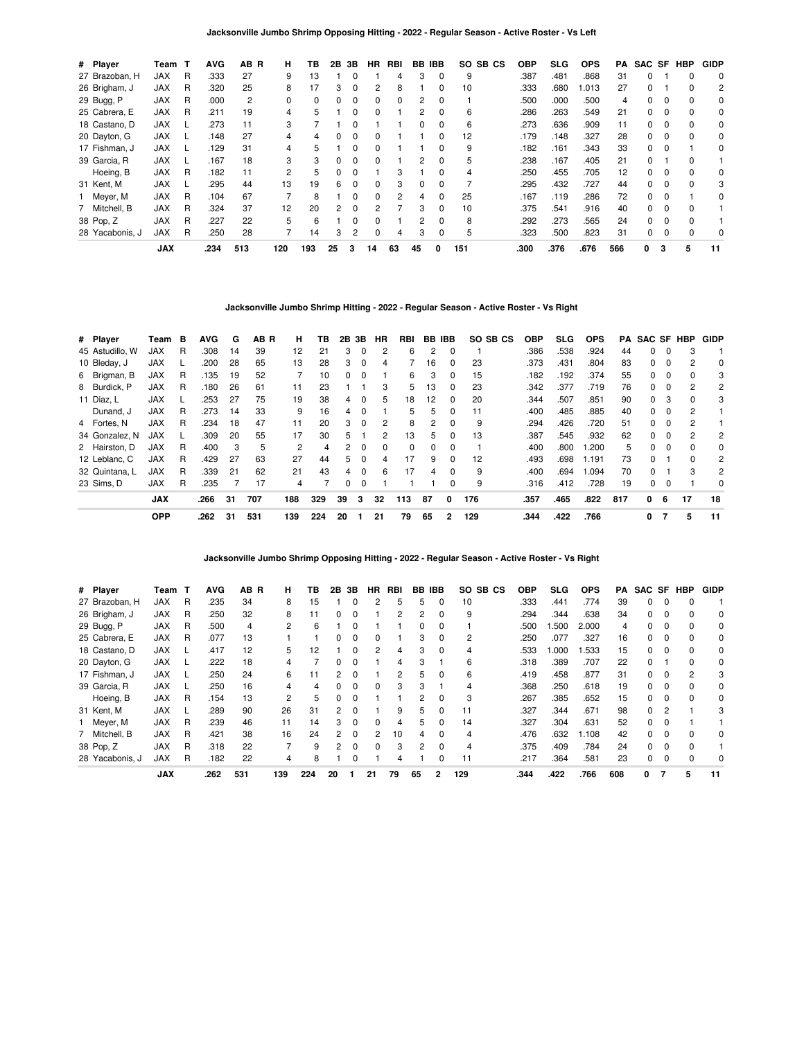| # Player        | Team T     |   | <b>AVG</b> | AB R | н   | ΤВ  | 2В | 3В | HR.          | RBI      | BB       | <b>IBB</b>   | SO SB CS | <b>OBP</b> | SLG  | <b>OPS</b> | РA  | SAC SF |          | <b>HBP</b> | <b>GIDP</b> |
|-----------------|------------|---|------------|------|-----|-----|----|----|--------------|----------|----------|--------------|----------|------------|------|------------|-----|--------|----------|------------|-------------|
| 27 Brazoban, H  | <b>JAX</b> | R | .333       | 27   | 9   | 13  |    |    |              |          | 3        | 0            | 9        | .387       | .481 | 868.       | 31  | 0      |          | 0          | 0           |
| 26 Brigham, J   | <b>JAX</b> | R | .320       | 25   | 8   |     | 3  | 0  |              | 8        |          |              | 10       | .333       | .680 | .013       | 27  | 0      |          |            | 2           |
| 29 Bugg, P      | <b>JAX</b> | R | .000       | 2    | 0   | 0   | 0  | 0  | 0            | $\Omega$ | 2        | 0            |          | .500       | .000 | .500       | 4   | 0      |          | $\Omega$   | 0           |
| 25 Cabrera, E   | <b>JAX</b> | R | .211       | 19   | 4   | 5   |    | 0  | <sup>0</sup> |          | 2        | <sup>0</sup> | 6        | .286       | .263 | .549       | 21  | 0      |          |            | 0           |
| 18 Castano, D   | <b>JAX</b> |   | .273       | 11   | 3   |     |    |    |              |          |          |              | 6        | .273       | .636 | .909       | 11  | 0      |          |            | 0           |
| 20 Dayton, G    | <b>JAX</b> |   | .148       | 27   | 4   | 4   |    | 0  | 0            |          |          |              | 12       | .179       | .148 | .327       | 28  | 0      | 0        | 0          | 0           |
| 17 Fishman, J   | <b>JAX</b> |   | .129       | 31   | 4   | 5   |    | 0  | <sup>0</sup> |          |          | 0            | 9        | .182       | .161 | .343       | 33  | 0      |          |            | 0           |
| 39 Garcia, R    | <b>JAX</b> |   | .167       | 18   | 3   | 3   |    | ŋ  | <sup>0</sup> |          | 2        |              | 5        | .238       | .167 | .405       | 21  | 0      |          |            |             |
| Hoeing, B       | <b>JAX</b> | R | .182       | 11   | 2   | 5   |    | 0  |              | З        |          |              |          | .250       | .455 | .705       | 12  | 0      |          |            | 0           |
| 31 Kent, M      | <b>JAX</b> |   | .295       | 44   | 13  | 19  | 6  | 0  | <sup>0</sup> | 3        | $\Omega$ | 0            |          | .295       | .432 | .727       | 44  | 0      | $\Omega$ | $\Omega$   | 3           |
| Meyer, M        | <b>JAX</b> | R | .104       | 67   |     | 8   |    | 0  | $\Omega$     | 2        |          | $\Omega$     | 25       | .167       | .119 | .286       | 72  | 0      |          |            | 0           |
| 7 Mitchell, B   | <b>JAX</b> | R | .324       | 37   | 12  | 20  | 2  | 0  |              |          | 3        |              | 10       | .375       | .541 | .916       | 40  | 0      |          |            |             |
| 38 Pop, Z       | <b>JAX</b> | R | .227       | 22   | 5   | 6   |    | 0  | <sup>0</sup> |          | 2        | 0            | 8        | .292       | .273 | .565       | 24  | 0      | - 0      | $\Omega$   |             |
| 28 Yacabonis, J | <b>JAX</b> | R | .250       | 28   |     | 14  | 3  | 2  | <sup>0</sup> | 4        | 3        | 0            | 5        | .323       | .500 | .823       | 31  | 0      |          |            | 0           |
|                 | <b>JAX</b> |   | .234       | 513  | 120 | 193 | 25 | 3  | 14           | 63       | 45       | 0            | 151      | .300       | .376 | .676       | 566 | 0      | 3        | 5          | 11          |

**Jacksonville Jumbo Shrimp Hitting - 2022 - Regular Season - Active Roster - Vs Right**

| # Player        | Team       | в | <b>AVG</b> | G   | AB R | н   | тв  |    | 2B 3B    | HR | RBI      |              | BB IBB   | SO SB CS | OBP  | <b>SLG</b> | <b>OPS</b> | PA  | <b>SAC SF HBP</b> |          |              | <b>GIDP</b>    |
|-----------------|------------|---|------------|-----|------|-----|-----|----|----------|----|----------|--------------|----------|----------|------|------------|------------|-----|-------------------|----------|--------------|----------------|
| 45 Astudillo. W | <b>JAX</b> | R | .308       | 14  | 39   | 12  | 21  | 3  | $\Omega$ | 2  | 6        | 2            | $\Omega$ |          | .386 | .538       | .924       | 44  | 0                 | $\Omega$ | 3            |                |
| 10 Bleday, J    | <b>JAX</b> |   | .200       | 28  | 65   | 13  | 28  | 3  | $\Omega$ | 4  |          | 16           | 0        | 23       | .373 | .431       | .804       | 83  | 0                 | 0        | 2            | 0              |
| 6 Brigman, B    | <b>JAX</b> | R | 135        | 19  | 52   |     | 10  | 0  | $\Omega$ |    | 6        | 3            | $\Omega$ | 15       | .182 | .192       | .374       | 55  | $\Omega$          | $\Omega$ | 0            | 3              |
| 8 Burdick, P    | <b>JAX</b> | R | .180       | 26  | 61   | 11  | 23  |    |          | 3  | 5        | 13           | $\Omega$ | 23       | .342 | .377       | .719       | 76  | 0                 |          | 2            | 2              |
| 11 Díaz, L      | <b>JAX</b> |   | .253       | -27 | 75   | 19  | 38  | 4  | $\Omega$ | 5  | 18       | 12           | 0        | 20       | .344 | .507       | .851       | 90  | 0                 | 3        | 0            | 3              |
| Dunand, J       | <b>JAX</b> | R | .273       | 14  | 33   | 9   | 16  | 4  | $\Omega$ |    | 5        | 5            | 0        | 11       | .400 | .485       | .885       | 40  | 0                 | $\Omega$ | 2            |                |
| 4 Fortes, N     | <b>JAX</b> | R | .234       | 18  | 47   | 11  | 20  | 3  | $\Omega$ | 2  | 8        | 2            | 0        | 9        | .294 | .426       | .720       | 51  | 0                 | 0        | 2            |                |
| 34 Gonzalez, N  | <b>JAX</b> |   | .309       | 20  | 55   | 17  | 30  | 5  |          | 2  | 13       | 5.           | $\Omega$ | 13       | .387 | .545       | .932       | 62  | $\Omega$          | $\Omega$ | 2            | 2              |
| 2 Hairston, D   | <b>JAX</b> | R | .400       | 3   | 5    | 2   | 4   | 2  | $\Omega$ | 0  | $\Omega$ | <sup>0</sup> | $\Omega$ |          | .400 | .800       | .200       | 5   | 0                 | $\Omega$ | <sup>0</sup> | 0              |
| 12 Leblanc, C   | <b>JAX</b> | R | .429       | 27  | 63   | 27  | 44  | 5  | $\Omega$ | 4  | 17       | 9            | 0        | 12       | .493 | .698       | 1.191      | 73  | 0                 |          | 0            | 2              |
| 32 Quintana. L  | <b>JAX</b> | R | .339       | 21  | 62   | 21  | 43  | 4  | $\Omega$ | 6  | 17       | 4            | $\Omega$ | 9        | .400 | .694       | .094       | 70  | <sup>0</sup>      |          | 3            | $\overline{2}$ |
| 23 Sims, D      | <b>JAX</b> | R | .235       |     | 17   | 4   |     | 0  | 0        |    |          |              | 0        | 9        | .316 | .412       | .728       | 19  | 0                 | $\Omega$ |              | 0              |
|                 | <b>JAX</b> |   | .266       | 31  | 707  | 188 | 329 | 39 | 3        | 32 | 113      | 87           | 0        | 176      | .357 | .465       | .822       | 817 | 0                 | 6        | 17           | 18             |
|                 | <b>OPP</b> |   | .262       | 31  | 531  | 139 | 224 | 20 |          | 21 | 79       | 65           |          | 129      | .344 | .422       | .766       |     | 0                 |          | 5            | 11             |

**Jacksonville Jumbo Shrimp Opposing Hitting - 2022 - Regular Season - Active Roster - Vs Right**

| # Player        | Team       |   | <b>AVG</b> | AB R | н   | ΤВ  | 2Β            | 3В | ΗR            | RBI | BВ           | IBB          | SO SB CS       | <b>OBP</b> | SLG  | <b>OPS</b> | PA  | SAC SF |              | HBP | <b>GIDP</b> |
|-----------------|------------|---|------------|------|-----|-----|---------------|----|---------------|-----|--------------|--------------|----------------|------------|------|------------|-----|--------|--------------|-----|-------------|
| 27 Brazoban, H  | <b>JAX</b> | R | .235       | 34   | 8   | 15  |               |    |               | 5   | 5            | 0            | 10             | .333       | .441 | .774       | 39  | 0      |              |     |             |
| 26 Brigham, J   | <b>JAX</b> | R | .250       | 32   | 8   | 11  | 0             |    |               | 2   | 2            | 0            | 9              | .294       | .344 | .638       | 34  | 0      | 0            |     | 0           |
| 29 Bugg, P      | <b>JAX</b> | R | .500       | 4    | 2   | 6   |               | O  |               |     | <sup>0</sup> | 0            |                | .500       | .500 | 2.000      | 4   | 0      |              |     | 0           |
| 25 Cabrera, E   | <b>JAX</b> | R | .077       | 13   |     |     |               |    |               |     | 3            | <sup>0</sup> | $\overline{c}$ | .250       | .077 | .327       | 16  | O.     |              |     | $\Omega$    |
| 18 Castano, D   | <b>JAX</b> |   | .417       | 12   | 5   | 12  |               |    | 2             | 4   | 3            | 0            | 4              | .533       | .000 | .533       | 15  | 0      |              |     | 0           |
| 20 Dayton, G    | <b>JAX</b> |   | .222       | 18   | 4   |     | 0             | O  |               | 4   | 3            |              | 6              | .318       | .389 | .707       | 22  | 0      |              | n   | $\Omega$    |
| 17 Fishman, J   | <b>JAX</b> |   | .250       | 24   | 6   | 11  | $\mathcal{P}$ |    |               | 2   | 5            | 0            | 6              | .419       | .458 | .877       | 31  | 0      |              | 2   | 3           |
| 39 Garcia, R    | <b>JAX</b> |   | .250       | 16   | 4   | 4   |               |    | <sup>0</sup>  | 3   |              |              |                | .368       | .250 | .618       | 19  | 0      |              |     | 0           |
| Hoeing, B       | <b>JAX</b> | R | .154       | 13   | 2   | 5   | 0             |    |               |     | 2            | 0            | 3              | .267       | .385 | .652       | 15  | 0      |              |     | 0           |
| 31 Kent, M      | <b>JAX</b> |   | .289       | 90   | 26  | 31  | 2             | O  |               | 9   | 5            | 0            | 11             | .327       | .344 | .671       | 98  | 0      | 2            |     | 3           |
| 1 Meyer, M      | <b>JAX</b> | R | .239       | 46   | 11  | 14  | 3             | O  |               | 4   | 5.           | ŋ            | 14             | .327       | .304 | .631       | 52  | 0      |              |     |             |
| 7 Mitchell, B   | <b>JAX</b> | R | .421       | 38   | 16  | 24  | 2             | 0  | $\mathcal{P}$ | 10  | 4            | 0            | 4              | .476       | .632 | 1.108      | 42  | 0      |              |     | 0           |
| 38 Pop, Z       | <b>JAX</b> | R | .318       | 22   |     | 9   | 2             | 0  | <sup>0</sup>  | 3   | 2            | 0            | 4              | .375       | .409 | .784       | 24  | 0      | $\Omega$     |     |             |
| 28 Yacabonis, J | <b>JAX</b> | R | .182       | 22   | 4   | 8   |               |    |               | 4   |              | ŋ            | 11             | .217       | .364 | .581       | 23  | 0      | <sup>0</sup> |     | $\Omega$    |
|                 | <b>JAX</b> |   | .262       | 531  | 139 | 224 | 20            |    | 21            | 79  | 65           | 2            | 129            | .344       | .422 | .766       | 608 | 0      | 7            | 5   | 11          |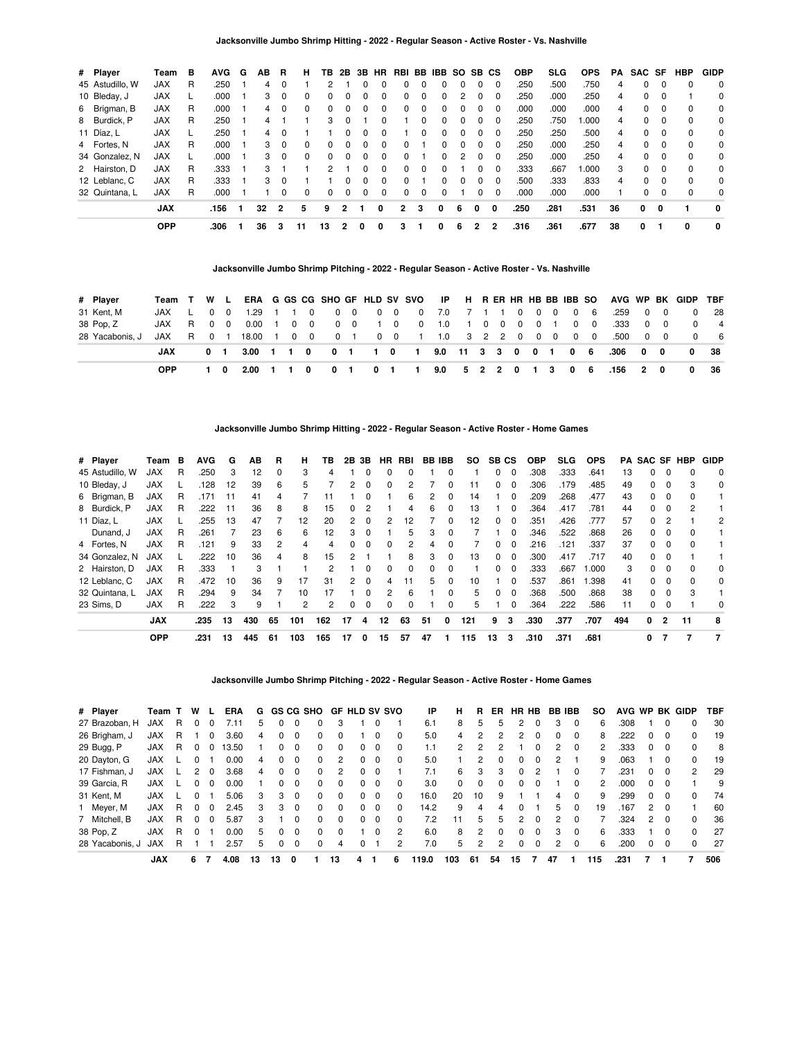| # Player        | Team       | в  | AVG. | G | AВ            | R            | н        | ΤВ           | 2B           |              | 3B HR        |                |          | RBI BB IBB   | SO. |   | SB CS    | <b>OBP</b> | SLG  | <b>OPS</b> | PA | SAC SF |          | HBP      | <b>GIDP</b> |
|-----------------|------------|----|------|---|---------------|--------------|----------|--------------|--------------|--------------|--------------|----------------|----------|--------------|-----|---|----------|------------|------|------------|----|--------|----------|----------|-------------|
| 45 Astudillo, W | <b>JAX</b> | R  | .250 |   | 4             | $\Omega$     |          | 2            |              | 0            |              | 0              |          | 0            |     | 0 | $\Omega$ | .250       | .500 | .750       | 4  | 0      | $\Omega$ | $\Omega$ | 0           |
| 10 Bleday, J    | <b>JAX</b> |    | .000 |   | 3             | $\Omega$     | 0        |              |              |              |              | 0              |          | 0            |     | 0 | 0        | .250       | .000 | .250       | 4  | 0      | $\Omega$ |          | 0           |
| 6 Brigman, B    | <b>JAX</b> | R  | .000 |   | 4             | $\Omega$     | $\Omega$ | <sup>0</sup> | 0            | 0            |              | 0              |          | <sup>0</sup> |     |   | $\Omega$ | .000       | .000 | .000       | 4  | 0      | $\Omega$ | 0        | 0           |
| 8 Burdick, P    | <b>JAX</b> | R  | .250 |   | 4             |              |          | 3            | 0            |              |              |                | 0        | $\Omega$     | O   | 0 | $\Omega$ | .250       | .750 | .000       | 4  | 0      | $\Omega$ | $\Omega$ | 0           |
| 11 Díaz, L      | <b>JAX</b> |    | .250 |   | 4             | $\Omega$     |          |              | 0            | $\Omega$     | <sup>0</sup> |                | 0        | $\Omega$     | 0   | 0 | $\Omega$ | .250       | .250 | .500       | 4  | 0      | $\Omega$ | $\Omega$ | 0           |
| 4 Fortes, N     | <b>JAX</b> | R. | .000 |   | 3             | $\Omega$     | 0        | <sup>n</sup> | <sup>0</sup> | <sup>0</sup> |              |                |          | 0            |     |   | 0        | .250       | .000 | .250       | 4  | 0      | $\Omega$ | $\Omega$ | 0           |
| 34 Gonzalez, N  | <b>JAX</b> |    | .000 |   | $\mathcal{R}$ | $\Omega$     | $\Omega$ | <sup>0</sup> | $\Omega$     | $\Omega$     | <sup>n</sup> | 0              |          | 0            | 2   | 0 | $\Omega$ | .250       | .000 | .250       | 4  | 0      | $\Omega$ | $\Omega$ | 0           |
| 2 Hairston, D   | <b>JAX</b> | R  | .333 |   | 3             |              |          | 2            |              | 0            | <sup>0</sup> | <sup>0</sup>   | $\Omega$ | $\Omega$     |     | 0 | $\Omega$ | .333       | .667 | 000.       | 3  | 0      | $\Omega$ | $\Omega$ | 0           |
| 12 Leblanc, C   | <b>JAX</b> | R  | .333 |   | З.            | $\Omega$     |          |              | <sup>0</sup> | <sup>0</sup> |              | 0              |          | 0            |     | 0 | $\Omega$ | .500       | .333 | .833       | 4  | 0      | $\Omega$ | $\Omega$ | $\mathbf 0$ |
| 32 Quintana, L  | <b>JAX</b> | R  | .000 |   |               | <sup>0</sup> | 0        | <sup>0</sup> |              | 0            |              |                |          | $\Omega$     |     | 0 | $\Omega$ | .000       | .000 | .000       |    | 0      | $\Omega$ | $\Omega$ | 0           |
|                 | <b>JAX</b> |    | .156 |   | 32            | 2            | 5        | 9            | 2            |              | 0            | $\overline{2}$ | 3        | 0            | 6   | 0 | 0        | .250       | .281 | .531       | 36 | 0      | 0        |          | 0           |
|                 | <b>OPP</b> |    | .306 |   | 36            | з            | 11       | 13           |              | 0            | 0            | 3              |          |              | 6   | 2 | 2        | .316       | .361 | .677       | 38 | 0      |          | 0        | 0           |

**Jacksonville Jumbo Shrimp Pitching - 2022 - Regular Season - Active Roster - Vs. Nashville**

| # Plaver        | Team T     | W L            |          |         |  |            |             |              |     |             |                     |                 |  |  |       |          |                | ERA G GS CG SHO GF HLD SV SVO IP H R ER HR HB BB IBB SO AVG WP BK GIDP TBF |                                     |          |                |
|-----------------|------------|----------------|----------|---------|--|------------|-------------|--------------|-----|-------------|---------------------|-----------------|--|--|-------|----------|----------------|----------------------------------------------------------------------------|-------------------------------------|----------|----------------|
| 31 Kent, M      | JAX L      | $0\quad 0$     |          | 1.29    |  | $\Omega$   | $0\quad 0$  |              |     | 0 0 0 7.0   |                     | 7 1 1 0 0 0     |  |  |       |          | 0 <sub>6</sub> | .259                                                                       | $\begin{matrix} 0 & 0 \end{matrix}$ | $\Omega$ | - 28           |
| 38 Pop, Z       | JAX        | R 0            | $\Omega$ | 0.00    |  | $0\quad 0$ | $0\quad 0$  |              | 1 0 |             | $0 \quad 1.0$       | $\sim$ 1 .      |  |  | 00001 | $\Omega$ | $\Omega$       | .333                                                                       | $0\quad 0$                          | $\Omega$ | $\overline{4}$ |
| 28 Yacabonis, J | JAX        | R 0            |          | 18.00 1 |  | $0\quad 0$ |             |              |     | 0 1 0 0 1   |                     | 1.0 3 2 2 0 0 0 |  |  |       |          |                | 0 0 500                                                                    | $\begin{matrix} 0 & 0 \end{matrix}$ | $\Omega$ | - 6            |
|                 | JAX        | 0 <sub>1</sub> |          |         |  |            |             |              |     |             |                     |                 |  |  |       |          |                | 3.00 1 1 0 0 1 1 0 1 9.0 11 3 3 0 0 1 0 6 .306 0 0                         |                                     | 0        | 38             |
|                 | <b>OPP</b> |                |          | 2.00    |  | 0          | $0 \quad 1$ | $\mathbf{o}$ |     | $1 \quad 1$ | 9.0 5 2 2 0 1 3 0 6 |                 |  |  |       |          |                | .156 2                                                                     | $\mathbf{0}$                        | 0        | - 36           |

**Jacksonville Jumbo Shrimp Hitting - 2022 - Regular Season - Active Roster - Home Games**

| # Player        | Team       | B | AVG  | G  | AВ  | R        | н.  | ΤВ  | 2В             | 3B       | HR | RBI |    | <b>BB IBB</b> | SO. |    | SB CS    | <b>OBP</b> | SLG  | <b>OPS</b> |     | <b>PA SAC SF HBP</b> |          |    | <b>GIDP</b> |
|-----------------|------------|---|------|----|-----|----------|-----|-----|----------------|----------|----|-----|----|---------------|-----|----|----------|------------|------|------------|-----|----------------------|----------|----|-------------|
| 45 Astudillo, W | <b>JAX</b> | R | .250 | з  | 12  | $\Omega$ | 3   | 4   |                |          |    |     |    | ŋ             |     | 0  | 0        | .308       | .333 | .641       | 13  | 0                    |          |    | 0           |
| 10 Bleday, J    | <b>JAX</b> |   | .128 | 12 | 39  | 6        | 5   |     | 2              | 0        | 0  |     |    | 0             | 11  | 0  | 0        | .306       | .179 | .485       | 49  | $\Omega$             | $\Omega$ | 3  | 0           |
| 6 Brigman, B    | <b>JAX</b> | R | .171 | 11 | 41  | 4        |     | 11  |                | 0        |    | 6   | 2  | 0             | 14  |    | 0        | .209       | .268 | .477       | 43  | 0                    | $\Omega$ |    |             |
| 8 Burdick, P    | <b>JAX</b> | R | .222 | 11 | 36  | 8        | 8   | 15  | 0              | 2        |    | 4   | 6  | 0             | 13  |    | 0        | .364       | .417 | .781       | 44  | 0                    | 0        |    |             |
| 11 Díaz. L      | <b>JAX</b> |   | .255 | 13 | 47  |          | 12  | 20  | $\overline{2}$ | 0        | 2  | 12  |    | $\Omega$      | 12  | 0  | $\Omega$ | .351       | .426 | .777       | 57  | $\Omega$             | 2        |    | 2           |
| Dunand, J       | <b>JAX</b> | R | .261 |    | 23  | 6        | 6   | 12  | 3              | 0        |    | 5   | з  | 0             |     |    | 0        | .346       | .522 | .868       | 26  | <sup>0</sup>         | $\Omega$ |    |             |
| 4 Fortes, N     | <b>JAX</b> | R | .121 | 9  | 33  | 2        | 4   | 4   | 0              | $\Omega$ | 0  | 2   | 4  | 0             |     | 0  | 0        | .216       | .121 | .337       | 37  | 0                    | 0        |    |             |
| 34 Gonzalez. N  | <b>JAX</b> |   | .222 | 10 | 36  | 4        | 8   | 15  | 2              |          |    | 8   | 3  | $\Omega$      | 13  | 0  | $\Omega$ | .300       | .417 | .717       | 40  | $\Omega$             | $\Omega$ |    |             |
| 2 Hairston, D   | <b>JAX</b> | R | .333 |    | з   |          |     | 2   |                |          | n  | 0   |    | 0             |     | n  | 0        | .333       | .667 | 1.000      | 3   | 0                    |          |    | 0           |
| 12 Leblanc, C   | <b>JAX</b> | R | .472 | 10 | 36  | 9        | 17  | 31  | 2              | $\Omega$ | 4  | 11  | 5. | $\Omega$      | 10  |    | $\Omega$ | .537       | .861 | .398       | 41  | 0                    | $\Omega$ | 0  | 0           |
| 32 Quintana, L  | <b>JAX</b> | R | .294 | 9  | 34  |          | 10  | 17  |                | $\Omega$ | 2  | 6   |    | 0             | 5   | O. | $\Omega$ | .368       | .500 | .868       | 38  | 0                    | $\Omega$ | з  |             |
| 23 Sims. D      | <b>JAX</b> | R | .222 | 3  |     |          | 2   | 2   | 0              | 0        | 0  |     |    | 0             | 5   |    | 0        | .364       | .222 | .586       | 11  | 0                    |          |    | 0           |
|                 | <b>JAX</b> |   | .235 | 13 | 430 | 65       | 101 | 162 | 17             | 4        | 12 | 63  | 51 | 0             | 121 | 9  | 3        | .330       | .377 | .707       | 494 | 0                    | 2        | 11 | 8           |
|                 | <b>OPP</b> |   | .231 | 13 | 445 | 61       | 103 | 165 | 17             | 0        | 15 | 57  | 47 |               | 115 | 13 | 3        | .310       | .371 | .681       |     | 0                    |          |    |             |

### **Jacksonville Jumbo Shrimp Pitching - 2022 - Regular Season - Active Roster - Home Games**

| # Player        | Team T     |    | W            |              | <b>ERA</b> | G  |    |          | GS CG SHO |              | <b>GF HLD SV SVO</b> |          |          | ΙP    | н        | R  | ER.          | HR HB |          |    | <b>BB IBB</b> | so  | AVG WP |               |          | <b>BK GIDP</b> | TBF |
|-----------------|------------|----|--------------|--------------|------------|----|----|----------|-----------|--------------|----------------------|----------|----------|-------|----------|----|--------------|-------|----------|----|---------------|-----|--------|---------------|----------|----------------|-----|
| 27 Brazoban, H  | <b>JAX</b> | R  |              | 0            | 7.11       | 5  | 0  |          | 0         |              |                      |          |          | 6.1   | 8        | 5  | 5            | 2     |          | 3  | $\Omega$      | 6   | .308   |               |          | 0              | 30  |
| 26 Brigham, J   | <b>JAX</b> | R. |              | 0            | 3.60       | 4  | 0  |          | 0         |              |                      | 0        | $\Omega$ | 5.0   | 4        | 2  |              | 2     | 0        | 0  | $\Omega$      | 8   | .222   | 0             | 0        | 0              | 19  |
| 29 Bugg, P      | <b>JAX</b> | R. | $\Omega$     | 0            | 13.50      |    | 0  | $\Omega$ | 0         | <sup>0</sup> | 0                    | $\Omega$ | $\Omega$ | 1.1   | 2        | 2  |              |       | $\Omega$ | 2  | $\Omega$      | 2   | .333   | 0             | $\Omega$ | 0              | 8   |
| 20 Dayton, G    | <b>JAX</b> |    | $^{(1)}$     |              | 0.00       | 4  | 0  | $\Omega$ | 0         | 2            | 0                    | $\Omega$ | $\Omega$ | 5.0   |          | 2  |              | 0     |          | 2  |               | 9   | .063   |               | 0        | 0              | 19  |
| 17 Fishman, J   | <b>JAX</b> |    |              | 0            | 3.68       | 4  | 0  |          | 0         |              | 0                    |          |          | 7.1   | 6        | 3  | з            | 0     |          |    |               |     | 231    | 0             | 0        | 2              | 29  |
| 39 Garcia, R    | <b>JAX</b> |    |              | 0            | 0.00       |    | 0  | $\Omega$ | 0         | <sup>0</sup> | 0                    | $\Omega$ | $\Omega$ | 3.0   | $\Omega$ | 0  |              | 0     |          |    |               | 2   | .000   | 0             | $\Omega$ |                | 9   |
| 31 Kent, M      | <b>JAX</b> |    | <sup>0</sup> |              | 5.06       | 3  | 3  | $\Omega$ | 0         | $\Omega$     | n.                   | $\Omega$ | $\Omega$ | 16.0  | 20       | 10 | 9            |       |          | 4  | $\Omega$      | 9   | .299   | 0             | $\Omega$ | <sup>0</sup>   | 74  |
| 1 Meyer, M      | <b>JAX</b> | R. | $\Omega$     | $\Omega$     | 2.45       | 3  | 3  | $\Omega$ | 0         | $\Omega$     | 0                    | $\Omega$ | $\Omega$ | 14.2  | 9        | 4  | 4            | 0     |          | 5  | $\Omega$      | 19  | .167   | $\mathcal{P}$ | $\Omega$ |                | 60  |
| 7 Mitchell, B   | <b>JAX</b> | R. | $\Omega$     | <sup>0</sup> | 5.87       | 3  |    |          | $\Omega$  | <sup>n</sup> | <sup>0</sup>         | $\Omega$ | $\Omega$ | 7.2   | 11       | 5  | 5            | 2     | n        | 2  | $\Omega$      |     | .324   | 2             | $\Omega$ | <sup>0</sup>   | 36  |
| 38 Pop, Z       | <b>JAX</b> | R. | 0            |              | 0.00       | 5  | 0  | n        | 0         |              |                      | $\Omega$ | 2        | 6.0   | 8        | 2  | <sup>0</sup> | 0     |          | 3  | $\Omega$      | 6   | .333   |               | 0        | 0              | 27  |
| 28 Yacabonis, J | <b>JAX</b> | R  |              |              | 2.57       | 5  | 0  | $\Omega$ | 0         | 4            |                      |          | 2        | 7.0   | 5        | 2  | 2            | 0     | 0        | 2  | $\Omega$      | 6   | .200   | 0             | 0        | $\Omega$       | 27  |
|                 | <b>JAX</b> |    | 6            |              | 4.08       | 13 | 13 | 0        |           | 13           | 4                    |          | 6        | 119.0 | 103      | 61 | 54           | 15    |          | 47 |               | 115 | .231   |               |          |                | 506 |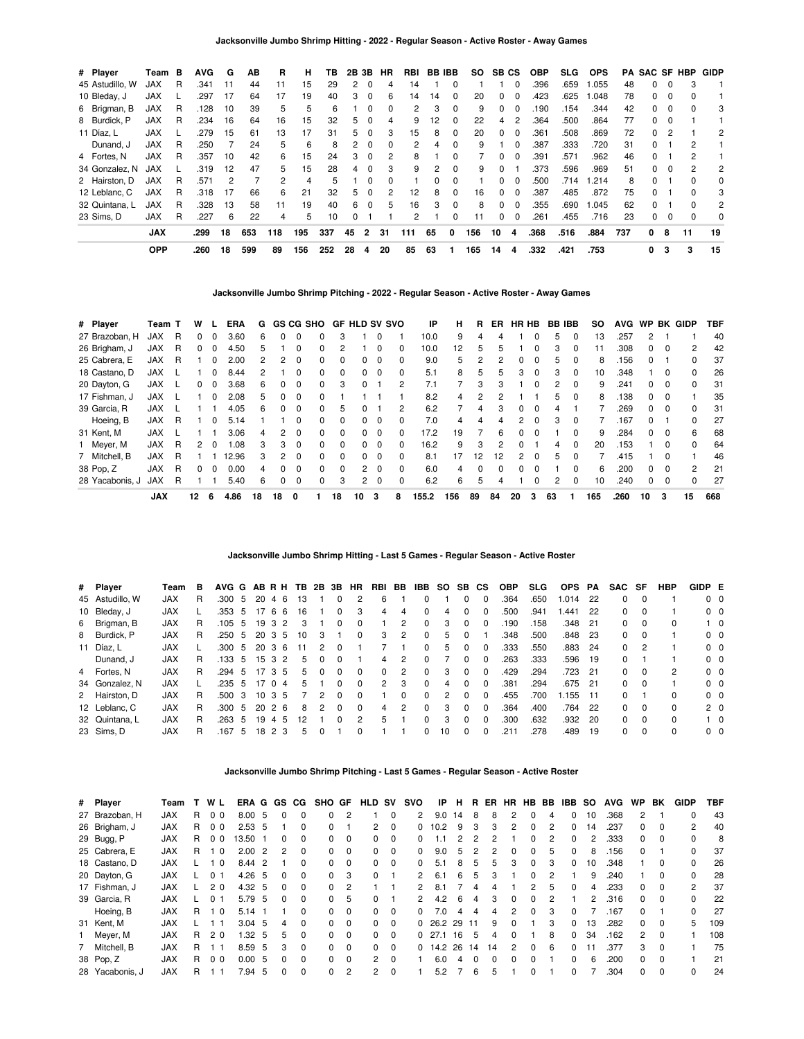| # Player        | Team       | в | <b>AVG</b> | G  | ΑВ  | R   | н   | тв  | 2B | 3В       | HR       | RBI | BB. | IBB.         | <b>SO</b> | SВ           | <b>CS</b>      | <b>OBP</b> | SLG. | <b>OPS</b> | PA  | SAC SF       |          | HBP          | <b>GIDP</b>    |
|-----------------|------------|---|------------|----|-----|-----|-----|-----|----|----------|----------|-----|-----|--------------|-----------|--------------|----------------|------------|------|------------|-----|--------------|----------|--------------|----------------|
| 45 Astudillo, W | <b>JAX</b> | R | .341       | 11 | 44  | 11  | 15  | 29  | 2  | 0        | 4        | 14  |     | 0            |           |              | 0              | .396       | .659 | 1.055      | 48  | 0            | 0        | 3            |                |
| 10 Bleday, J    | <b>JAX</b> |   | .297       | 17 | 64  | 17  | 19  | 40  | 3  | $\Omega$ | 6        | 14  | 14  | $\Omega$     | 20        | <sup>0</sup> | $\Omega$       | .423       | .625 | 1.048      | 78  | 0            | $\Omega$ | ŋ            |                |
| 6 Brigman, B    | <b>JAX</b> | R | .128       | 10 | 39  | 5   | 5   | 6   |    | 0        | 0        | 2   | 3   | 0            | 9         | 0            | $\Omega$       | .190       | .154 | .344       | 42  | 0            | $\Omega$ | ŋ            | 3              |
| 8 Burdick, P    | <b>JAX</b> | R | .234       | 16 | 64  | 16  | 15  | 32  | 5  | 0        | 4        | 9   | 12  | 0            | 22        | 4            | $\overline{2}$ | .364       | .500 | .864       | 77  | 0            | 0        |              |                |
| 11 Díaz. L      | <b>JAX</b> |   | .279       | 15 | 61  | 13  | 17  | 31  | 5. | 0        | 3        | 15  | 8   | $\Omega$     | 20        | <sup>0</sup> | $\Omega$       | .361       | .508 | .869       | 72  | $\Omega$     |          |              | 2              |
| Dunand, J       | <b>JAX</b> | R | .250       |    | 24  | 5   | 6   | 8   | 2  | $\Omega$ | 0        | 2   | 4   | 0            | 9         |              | 0              | .387       | .333 | .720       | 31  | 0            |          |              |                |
| 4 Fortes, N     | <b>JAX</b> | R | .357       | 10 | 42  | 6   | 15  | 24  | 3  | $\Omega$ | 2        | 8   |     | 0            |           | 0            | $\Omega$       | .391       | .571 | .962       | 46  | 0            |          | 2            |                |
| 34 Gonzalez, N  | <b>JAX</b> |   | .319       | 12 | 47  | 5   | 15  | 28  | 4  | $\Omega$ | 3        | 9   | 2   | $\Omega$     | 9         | <sup>n</sup> |                | .373       | .596 | .969       | 51  | <sup>0</sup> | $\Omega$ | 2            | 2              |
| 2 Hairston, D   | <b>JAX</b> | R | .571       | 2  | 7   | 2   | 4   | 5   |    | O        | $\Omega$ |     |     | <sup>0</sup> |           | n.           | $\Omega$       | .500       | .714 | 1.214      | 8   | 0            |          | 0            | 0              |
| 12 Leblanc, C   | <b>JAX</b> | R | .318       | 17 | 66  | 6   | 21  | 32  | 5. | $\Omega$ | 2        | 12  | 8   | $\Omega$     | 16        | 0            | $\Omega$       | .387       | .485 | .872       | 75  | 0            |          | 0            | 3              |
| 32 Quintana, L  | <b>JAX</b> | R | .328       | 13 | 58  | 11  | 19  | 40  | 6  | $\Omega$ | 5        | 16  | з   | $\Omega$     | 8         | <sup>0</sup> | $\Omega$       | .355       | .690 | 1.045      | 62  | <sup>0</sup> |          | <sup>0</sup> | $\overline{2}$ |
| 23 Sims. D      | <b>JAX</b> | R | .227       | 6  | 22  | 4   | 5   | 10  | 0  |          |          | 2   |     | $\Omega$     | 11        |              | $\Omega$       | .261       | .455 | .716       | 23  | 0            |          |              | 0              |
|                 | <b>JAX</b> |   | .299       | 18 | 653 | 118 | 195 | 337 | 45 | 2        | 31       | 111 | 65  | 0            | 156       | 10           | 4              | .368       | .516 | .884       | 737 | 0            | 8        | 11           | 19             |
|                 | <b>OPP</b> |   | .260       | 18 | 599 | 89  | 156 | 252 | 28 | 4        | 20       | 85  | 63  |              | 165       | 14           | 4              | .332       | .421 | .753       |     | 0            | 3        | 3            | 15             |

**Jacksonville Jumbo Shrimp Pitching - 2022 - Regular Season - Active Roster - Away Games**

| # Player        | Team T     |   | w  |          | ERA   | G  |               |              | <b>GS CG SHO</b> | GF       | <b>HLD SV SVO</b> |          |              | ΙP    | н   | R            | ER.          | HR HB          |              | BB. | <b>IBB</b>   | so  | <b>AVG</b> | <b>WP</b>     |              | <b>BK GIDP</b> | TBF |
|-----------------|------------|---|----|----------|-------|----|---------------|--------------|------------------|----------|-------------------|----------|--------------|-------|-----|--------------|--------------|----------------|--------------|-----|--------------|-----|------------|---------------|--------------|----------------|-----|
| 27 Brazoban, H  | <b>JAX</b> | R | 0  | 0        | 3.60  | 6  | 0             | 0            | 0                | 3        |                   |          |              | 10.0  | 9   | 4            |              |                | 0            | 5   | $\Omega$     | 13  | .257       | $\mathcal{P}$ |              |                | 40  |
| 26 Brigham, J   | JAX        | R | 0  | $\Omega$ | 4.50  | 5  |               | 0            | $\Omega$         | 2        |                   |          | 0            | 10.0  | 12  | 5            | 5            |                | 0            | 3   | 0            | 11  | .308       | 0             | 0            | 2              | 42  |
| 25 Cabrera, E   | <b>JAX</b> | R |    | $\Omega$ | 2.00  |    | 2             | 0            | 0                | 0        | 0                 | 0        |              | 9.0   | 5   |              |              | 0              | 0            | 'n. | 0            | 8   | .156       | 0             |              | 0              | 37  |
| 18 Castano, D   | JAX        |   |    | $\Omega$ | 8.44  | 2  |               | 0            | $\Omega$         | $\Omega$ | 0                 | $\Omega$ | 0            | 5.1   | 8   | 5            | 5            | 3              | $\Omega$     | 3   | $\Omega$     | 10  | .348       |               | 0            | $\Omega$       | 26  |
| 20 Dayton, G    | JAX        |   | 0  | $\Omega$ | 3.68  | 6  | <sup>0</sup>  | <sup>0</sup> | $\Omega$         | 3        | <sup>0</sup>      |          |              | 7.1   |     | 3            |              |                | ŋ            |     | $\Omega$     | 9   | .241       | 0             | <sup>0</sup> | $\Omega$       | 31  |
| 17 Fishman, J   | JAX        |   |    | $\Omega$ | 2.08  | 5  | 0             | 0            | 0                |          |                   |          |              | 8.2   | 4   |              |              |                |              | 5   | $\Omega$     | 8   | .138       | 0             | $\Omega$     |                | 35  |
| 39 Garcia, R    | <b>JAX</b> |   |    |          | 4.05  | 6  | $\Omega$      | 0            | $\Omega$         | 5        | 0                 |          | 2            | 6.2   | 7   | 4            | 3            | $\Omega$       | $\Omega$     | 4   |              |     | .269       | 0             | 0            | $\Omega$       | 31  |
| Hoeing, B       | <b>JAX</b> | R |    | 0        | 5.14  |    |               | 0            | $\Omega$         | $\Omega$ | 0                 | $\Omega$ |              | 7.0   | 4   | 4            |              | $\overline{2}$ | 0            | з   | $\Omega$     |     | 167        | 0             |              | 0              | 27  |
| 31 Kent, M      | JAX        |   |    |          | 3.06  | 4  | $\mathcal{P}$ | 0            | $\Omega$         | 0        | <sup>0</sup>      | $\Omega$ | <sup>0</sup> | 17.2  | 19  |              | 6            | $\Omega$       | <sup>0</sup> |     | $\Omega$     | 9   | .284       | $\Omega$      | $\Omega$     | 6              | 68  |
| Meyer, M        | <b>JAX</b> | R | 2  | $\Omega$ | 1.08  | 3  | 3             | <sup>0</sup> | 0                | 0        | <sup>0</sup>      | $\Omega$ |              | 16.2  | 9   | 3            |              | 0              |              | 4   | <sup>0</sup> | 20  | .153       |               | <sup>0</sup> | $\Omega$       | 64  |
| 7 Mitchell, B   | <b>JAX</b> | R |    |          | 12.96 | 3  | 2             | 0            | $\Omega$         | $\Omega$ | 0                 | $\Omega$ | 0            | 8.1   | 17  | 12           | 12           | 2              | $\Omega$     | 5   | $\Omega$     |     | .415       |               | 0            |                | 46  |
| 38 Pop, Z       | <b>JAX</b> | R | 0  | $\Omega$ | 0.00  | 4  | 0             | 0            | $\Omega$         | $\Omega$ | 2                 | $\Omega$ | $\Omega$     | 6.0   | 4   | <sup>0</sup> | <sup>0</sup> | 0              | 0            |     | $\Omega$     | 6   | 200        | 0             | 0            | $\mathcal{P}$  | 21  |
| 28 Yacabonis, J | <b>JAX</b> | R |    |          | 5.40  | 6  | 0             | 0            | 0                | 3        | $\overline{2}$    | $\Omega$ |              | 6.2   | 6   | 5            |              |                | 0            | 2   | $\Omega$     | 10  | .240       | 0             | 0            | 0              | 27  |
|                 | <b>JAX</b> |   | 12 | 6        | 4.86  | 18 | 18            | 0            |                  | 18       | 10                | 3        | 8            | 155.2 | 156 | 89           | 84           | 20             | 3            | 63  |              | 165 | .260       | 10            | 3            | 15             | 668 |

# **Jacksonville Jumbo Shrimp Hitting - Last 5 Games - Regular Season - Active Roster**

| # Player        | Team       | в  | AVG G AB R H TB 2B 3B HR |     |        |          |          |               |              |               |          |               | RBI BB IBB SO |    |              | SB CS        | <b>OBP</b> | <b>SLG</b> | <b>OPS</b> | PA   | SAC SF       |          | <b>HBP</b> | GIDP E |                |
|-----------------|------------|----|--------------------------|-----|--------|----------|----------|---------------|--------------|---------------|----------|---------------|---------------|----|--------------|--------------|------------|------------|------------|------|--------------|----------|------------|--------|----------------|
| 45 Astudillo, W | <b>JAX</b> | R  | .300                     | -5  | 20     | 4        | 6<br>13  |               | $\Omega$     | 2             | 6        |               |               |    |              | 0            | .364       | .650       | 1.014      | 22   | 0            | $\Omega$ |            |        | 0 <sub>0</sub> |
| 10 Bleday, J    | <b>JAX</b> |    | .353                     | -5  |        | -6       | 6<br>16  |               | $\Omega$     | 3             | 4        | 4             | 0             |    |              | 0            | .500       | .941       | .441       | 22   | 0            | $\Omega$ |            |        | $0\quad 0$     |
| 6 Brigman, B    | <b>JAX</b> | R. | .105                     | - 5 | 193    |          | 2<br>3   |               | <sup>0</sup> | $\Omega$      |          | 2             | $\Omega$      | 3  | 0            | 0            | .190       | .158       | .348       | - 21 | 0            | $\Omega$ | $\Omega$   |        | $1\quad 0$     |
| 8 Burdick, P    | <b>JAX</b> | R. | .250                     | -5  | 20 3 5 |          | 10       | 3             |              | $\Omega$      | 3        | $\mathcal{P}$ | $\Omega$      | 5  |              |              | .348       | .500       | .848       | - 23 | 0            | 0        |            |        | 0 <sub>0</sub> |
| 11 Díaz, L      | <b>JAX</b> |    | .300 5                   |     | 20     | ົ 3      | -6<br>11 | 2             | 0            |               |          |               | 0             | 5  |              | 0            | .333       | .550       | .883       | -24  | 0            |          |            |        | 0 <sub>0</sub> |
| Dunand, J       | <b>JAX</b> | R. | .133                     | -5  | 15 3   |          | 2<br>5   | 0             | 0            |               | 4        | 2             | <sup>0</sup>  |    |              | 0            | .263       | .333       | .596 19    |      | 0            |          |            |        | $0\quad 0$     |
| 4 Fortes, N     | <b>JAX</b> | R  | .294                     | -5  | 17 3 5 |          | 5        | $\Omega$      | $\Omega$     | $\Omega$      | $\Omega$ | 2             | <sup>0</sup>  | 3  | $\Omega$     | $\Omega$     | .429       | .294       | .723       | 21   | 0            | $\Omega$ | 2          |        | $0\quad 0$     |
| 34 Gonzalez, N  | <b>JAX</b> |    | .235                     | -5  | 17     | $\Omega$ | 5<br>4   |               | $\Omega$     | $\Omega$      | 2        | 3             | $\Omega$      | 4  |              | $\Omega$     | .381       | .294       | .675       | 21   | $\Omega$     | $\Omega$ |            |        | $0\quad 0$     |
| 2 Hairston, D   | <b>JAX</b> | R. | .500                     | 3   | 10 3   |          | -5       | $\mathcal{P}$ | $\Omega$     | $\Omega$      |          | 0             | 0             | 2  | O.           | 0            | .455       | .700       | 1.155      | -11  | 0            |          | $\Omega$   |        | 0 <sub>0</sub> |
| 12 Leblanc, C   | <b>JAX</b> | R  | .300                     | -5  | 20     | 26       | 8        | $\mathcal{P}$ | $\Omega$     | $\Omega$      | 4        | $\mathcal{P}$ | <sup>0</sup>  | 3  | <sup>0</sup> | <sup>0</sup> | .364       | .400       | .764       | 22   | <sup>0</sup> | $\Omega$ | $\Omega$   |        | 2 <sub>0</sub> |
| 32 Quintana, L  | <b>JAX</b> | R. | .263                     | -5  | 19     | 4        | 12<br>-5 |               | $\Omega$     | $\mathcal{P}$ | 5        |               | <sup>0</sup>  | 3  | <sup>0</sup> | $\Omega$     | .300       | .632       | .932       | -20  | 0            | $\Omega$ | $\Omega$   |        | $1\quad$ 0     |
| 23 Sims, D      | <b>JAX</b> | R. | .167                     | 5   |        | 18 2 3   | 5        |               |              |               |          |               |               | 10 |              | 0            | .211       | 278        | .489       | 19   | 0            |          |            |        | 0 <sub>0</sub> |

### **Jacksonville Jumbo Shrimp Pitching - Last 5 Games - Regular Season - Active Roster**

| # Player        | Team       |    | WL             | ERA G GS CG |    |              |          | SHO      | GF             | <b>HLD</b>     | sv          | svo          | IP            | н   | B.           | ER.          | <b>HR</b>    | HB BB         |   | IBB.         | <b>SO</b> | <b>AVG</b> | <b>WP</b>     | BK           | <b>GIDP</b> | TBF |
|-----------------|------------|----|----------------|-------------|----|--------------|----------|----------|----------------|----------------|-------------|--------------|---------------|-----|--------------|--------------|--------------|---------------|---|--------------|-----------|------------|---------------|--------------|-------------|-----|
| 27 Brazoban, H  | <b>JAX</b> | R. | 0 <sub>0</sub> | 8.00        | -5 | $\Omega$     | 0        | 0        |                |                | $\mathbf 0$ | 2            | 9.0           | 14  | 8            | 8            | 2            | 0             | 4 | $\Omega$     | 10        | .368       | 2             |              | 0           | 43  |
| 26 Brigham, J   | <b>JAX</b> | R  | 0 <sub>0</sub> | 2.53        | -5 |              | 0        | O.       |                | $\overline{c}$ | 0           | 0            | 10.2          | 9   | 3            | 3            |              | 0             | 2 | 0            | 14        | .237       | 0             | 0            | 2           | 40  |
| 29 Bugg, P      | <b>JAX</b> | R  | 0 <sub>0</sub> | 13.50       |    | 0            | $\Omega$ | 0        | 0              | 0              | 0           | $\Omega$     | -1            | 2   | 2            | 2            |              | 0             | 2 | $\Omega$     | 2         | .333       | $\Omega$      | 0            | 0           | 8   |
| 25 Cabrera, E   | <b>JAX</b> | R. | - 0            | 2.00        | -2 |              | 0        | 0        | 0              | 0              | 0           | O.           | 9.0           | 5   |              |              |              | 0             | 5 | 0            | 8         | .156       | 0             |              |             | 37  |
| 18 Castano, D   | <b>JAX</b> |    | $\overline{0}$ | 8.44        | -2 |              | 0        | 0        | $\Omega$       | 0              | 0           | $\Omega$     | 5.1           | 8   | 5            | 5            | 3            | 0             | 3 | $\Omega$     | 10        | .348       |               | 0            | 0           | 26  |
| 20 Dayton, G    | <b>JAX</b> |    | 0 <sub>1</sub> | 4.26        | -5 | 0            | 0        | 0        | 3              | 0              |             | 2            | 6.1           | 6   | 5            | 3            |              | $\Omega$      | 2 |              | 9         | .240       |               |              |             | 28  |
| 17 Fishman, J   | <b>JAX</b> |    | 2 <sub>0</sub> | 4.32        | -5 | $\Omega$     | $\Omega$ | $\Omega$ | $\overline{2}$ |                |             | 2            | 8.1           |     | 4            | 4            |              | $\mathcal{P}$ | 5 | $\Omega$     | 4         | .233       | $\Omega$      | 0            | 2           | 37  |
| 39 Garcia, R    | <b>JAX</b> |    | 0 <sup>1</sup> | 5.79        | -5 | <sup>0</sup> | 0        | $\Omega$ | 5              | 0              |             | 2            | 4.2           | 6   | 4            | 3            | <sup>0</sup> | $\Omega$      | 2 |              | 2         | .316       | 0             | 0            |             | 22  |
| Hoeing, B       | <b>JAX</b> | R. | $\overline{0}$ | 5.14        |    |              | 0        | 0        | $\Omega$       | 0              | $\Omega$    | <sup>0</sup> | 7.0           | 4   | 4            | 4            | 2            | $\Omega$      | 3 | <sup>0</sup> |           | .167       | 0             |              | $\Omega$    | 27  |
| 31 Kent, M      | <b>JAX</b> |    |                | 3.04        | -5 | 4            | $\Omega$ | 0        | $\Omega$       | 0              | $\Omega$    |              | $0\quad 26.2$ | -29 | 11           | 9            | <sup>0</sup> |               | 3 | $\Omega$     | 13        | .282       | 0             | 0            | 5           | 109 |
| 1 Meyer, M      | <b>JAX</b> | R. | 20             | 1.32        | -5 | 5.           | $\Omega$ | 0        | $\Omega$       | 0              | $\Omega$    |              | 0, 27.1       | 16  | 5            | 4            | <sup>0</sup> |               | 8 | $\Omega$     | 34        | .162       | $\mathcal{P}$ | $\Omega$     |             | 108 |
| 7 Mitchell, B   | <b>JAX</b> | R  |                | 8.59        | -5 | 3            | $\Omega$ | 0        | $\Omega$       | 0              | $\Omega$    | O.           | 14.2          | 26  | 14           | 14           | 2            | $\Omega$      | 6 | 0            |           | .377       | 3             | <sup>0</sup> |             | 75  |
| 38 Pop, Z       | <b>JAX</b> | R. | 0 <sub>0</sub> | 0.00        | -5 | $\Omega$     | $\Omega$ | $\Omega$ | $\Omega$       | $\overline{2}$ | $\Omega$    |              | 6.0           | 4   | <sup>0</sup> | <sup>0</sup> | <sup>0</sup> | <sup>0</sup>  |   | 0            | 6         | .200       | 0             | 0            |             | 21  |
| 28 Yacabonis, J | <b>JAX</b> | R  |                | 7.94        | -5 |              | $\Omega$ | 0        | 2              | $\overline{2}$ | $\Omega$    |              | 5.2           |     | 6            | 5            |              | 0             |   | 0            |           | .304       | 0             | $\Omega$     |             | 24  |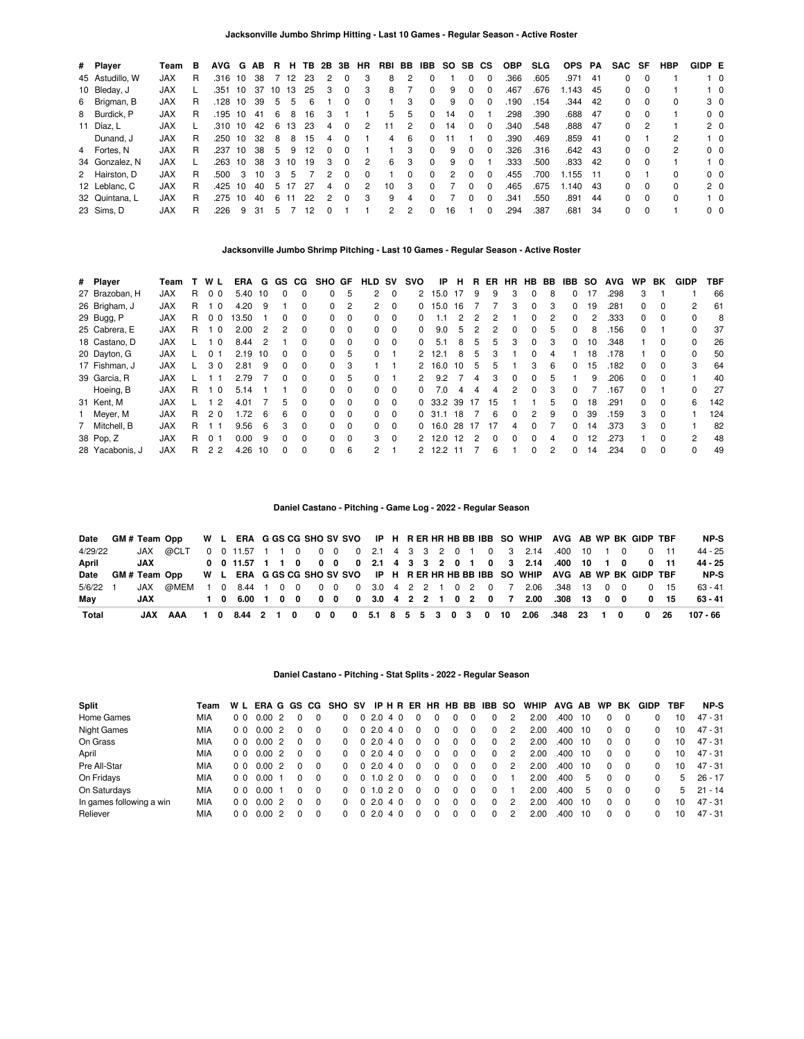| # Player        | Team       | B  | AVG G AB |                         |    |    | R H | TB. |          | 2B 3B    | HR       |                 |   | RBI BB IBB SO SB CS |    |              |              | <b>OBP</b> | <b>SLG</b> | OPS PA  |      | SAC          | SF       | HBP          | GIDP E |                |
|-----------------|------------|----|----------|-------------------------|----|----|-----|-----|----------|----------|----------|-----------------|---|---------------------|----|--------------|--------------|------------|------------|---------|------|--------------|----------|--------------|--------|----------------|
| 45 Astudillo, W | <b>JAX</b> | R  | .316 10  |                         | 38 |    | 12  | 23  | 2        | $\Omega$ | 3        | 8               | 2 | 0                   |    | 0            | 0            | .366       | .605       | .971    | -41  | 0            | $\Omega$ |              |        | $1\quad$ 0     |
| 10 Bleday, J    | <b>JAX</b> |    | .351     | 10                      | 37 | 10 | 13  | 25  | 3        | 0        | 3        | 8               |   | 0                   | 9  | 0            |              | .467       | .676       | .143    | -45  | 0            | $\Omega$ |              |        | $1\quad 0$     |
| 6 Brigman, B    | <b>JAX</b> | R. | .128     | 10                      | 39 | 5  | 5   | 6   |          | 0        | $\Omega$ |                 | 3 | $\Omega$            | 9  | 0            | $\Omega$     | .190       | .154       | .344    | 42   | $\Omega$     | $\Omega$ | $\Omega$     |        | 3 <sub>0</sub> |
| 8 Burdick, P    | <b>JAX</b> | R. | .195 10  |                         | 41 | 6  | 8   | 16  | 3        |          |          | 5.              | 5 | $\Omega$            | 14 | $\Omega$     |              | .298       | .390       | .688    | - 47 | 0            | - 0      |              |        | 0 <sub>0</sub> |
| 11 Díaz. L      | <b>JAX</b> |    | .310 10  |                         | 42 | 6  | 13  | -23 | 4        | 0        | 2        | 11              | 2 | 0                   | 14 | 0            | $\Omega$     | .340       | .548       | .888    | - 47 | 0            |          |              |        | 2 <sub>0</sub> |
| Dunand, J       | <b>JAX</b> | R. | .250     | 10                      | 32 | 8  | 8   | 15  | 4        | 0        |          | 4               | 6 | 0                   |    |              | 0            | .390       | .469       | .859    | - 41 | 0            |          | 2            |        | $1\quad 0$     |
| 4 Fortes, N     | <b>JAX</b> | R  | .237 10  |                         | 38 | 5  | 9   | 12  | $\Omega$ | $\Omega$ |          |                 | 3 | $\Omega$            | 9  | 0            |              | .326       | .316       | .642 43 |      | 0            | $\Omega$ | 2            |        | 0 <sub>0</sub> |
| 34 Gonzalez, N  | <b>JAX</b> |    | .263     | 10                      | 38 | 3  | 10  | 19  | 3        | $\Omega$ | 2        | 6               | 3 | 0                   | 9  | <sup>0</sup> |              | .333       | .500       | .833    | 42   | 0            | $\Omega$ |              |        | $1\quad$ 0     |
| 2 Hairston, D   | <b>JAX</b> | R  | .500     | $\overline{\mathbf{3}}$ | 10 | 3  | 5   |     | 2        | $\Omega$ | $\Omega$ |                 | 0 | 0                   | 2  | $\Omega$     | $\Omega$     | .455       | .700       | l.155   | - 11 | 0            |          | 0            |        | 0 <sub>0</sub> |
| 12 Leblanc, C   | <b>JAX</b> | R  | .425 10  |                         | 40 | 5  |     | 27  | 4        | $\Omega$ | 2        | 10 <sup>°</sup> | 3 | 0                   |    | <sup>0</sup> | $\Omega$     | .465       | .675       | 1.140   | -43  | 0            | $\Omega$ | <sup>0</sup> |        | 2 <sub>0</sub> |
| 32 Quintana, L  | <b>JAX</b> | R  | .275     | 10                      | 40 | 6  | 11  | 22  | 2        | $\Omega$ | 3        | 9               | 4 | <sup>0</sup>        |    | 0            | $\Omega$     | .341       | .550       | .891    | 44   | $\Omega$     | $\Omega$ | <sup>0</sup> |        | $1\quad$ 0     |
| 23 Sims, D      | <b>JAX</b> | R  | .226     | 9                       | 31 | 5  |     |     |          |          |          |                 | 2 | 0                   | 16 |              | <sup>0</sup> | .294       | .387       | .681    | 34   | <sup>0</sup> | $\Omega$ |              |        | 0 <sub>0</sub> |

### **Jacksonville Jumbo Shrimp Pitching - Last 10 Games - Regular Season - Active Roster**

| # Player        | Team       |    | W L            | ERA   | G              | GS.          | CG.          | SHO GF       |          | <b>HLD</b> | <b>SV</b> | svo      | IP      | н  | R.  | ER       | HR           | HB.          | BB | IBB.         | <b>SO</b> | <b>AVG</b> | <b>WP</b>    | BK       | <b>GIDP</b>    | <b>TBF</b> |
|-----------------|------------|----|----------------|-------|----------------|--------------|--------------|--------------|----------|------------|-----------|----------|---------|----|-----|----------|--------------|--------------|----|--------------|-----------|------------|--------------|----------|----------------|------------|
| 27 Brazoban, H  | <b>JAX</b> | R  | 00             | 5.40  | 10             | 0            | 0            | 0            | 5        | 2          | $\Omega$  | 2        | 15.0    | 17 | 9   | 9        | 3            | 0            | 8  | 0            | 17        | .298       | 3            |          |                | 66         |
| 26 Brigham, J   | <b>JAX</b> | R  | $\Omega$       | 4.20  | -9             |              | 0            | $\Omega$     | 2        | 2          | 0         | 0        | 15.0    | 16 |     |          | 3            | 0            | 3  | 0            | 19        | .281       | 0            | $\Omega$ | $\overline{2}$ | 61         |
| 29 Bugg, P      | <b>JAX</b> | R  | 0 <sub>0</sub> | 13.50 |                | 0            | 0            | 0            | 0        | 0          | 0         |          |         |    |     | 2        |              |              |    | 0            |           | .333       | 0            | 0        | 0              | 8          |
| 25 Cabrera, E   | <b>JAX</b> | R. | $\Omega$       | 2.00  | $\mathcal{P}$  | 2            | $\Omega$     | <sup>0</sup> | $\Omega$ | $\Omega$   | $\Omega$  | $\Omega$ | 9.0     | 5  | 2   | 2        | 0            | $\Omega$     | 5  | <sup>0</sup> | 8         | .156       | 0            |          | 0              | 37         |
| 18 Castano, D   | <b>JAX</b> |    | $\Omega$       | 8.44  | $\overline{2}$ |              | $\Omega$     | 0            | $\Omega$ | 0          | $\Omega$  |          | 5.1     | 8  | 5   | 5        | 3            | 0            | 3  | <sup>0</sup> | 10        | .348       |              | $\Omega$ |                | 26         |
| 20 Dayton, G    | <b>JAX</b> |    | 0 <sub>1</sub> | 2.19  | 10             | $\Omega$     | 0            | 0            | 5        | $\Omega$   |           | 2        | 12.1    | 8  | 5   | 3        |              | 0            | 4  |              | 18        | .178       |              | $\Omega$ | 0              | 50         |
| 17 Fishman, J   | <b>JAX</b> |    | 30             | 2.81  | 9              | <sup>0</sup> | 0            | $\Omega$     | 3        |            |           |          | 16.0    | 10 | 5   | 5        |              | 3            | 6  | <sup>0</sup> | 15        | .182       | <sup>0</sup> | $\Omega$ | 3              | 64         |
| 39 Garcia, R    | <b>JAX</b> |    | -1             | 2.79  |                | <sup>0</sup> | <sup>0</sup> | 0            | 5        | $\Omega$   |           | 2        | 9.2     |    | 4   | 3        | 0            | <sup>0</sup> | 5. |              | 9         | .206       | 0            | $\Omega$ |                | 40         |
| Hoeing, B       | <b>JAX</b> | R  | $\overline{0}$ | 5.14  |                |              | 0            | 0            | $\Omega$ | 0          | $\Omega$  | 0        | 7.0     | 4  | 4   | 4        | 2            | $\Omega$     | 3  | <sup>0</sup> |           | .167       | 0            |          | $\Omega$       | 27         |
| 31 Kent, M      | <b>JAX</b> |    | 2              | 4.01  |                | 5            | 0            | 0            | $\Omega$ | $\Omega$   | $\Omega$  |          | 0.33.2  | 39 | -17 | 15       |              |              | 5. | 0            | 18        | .291       | 0            | $\Omega$ | 6              | 142        |
| 1 Meyer, M      | <b>JAX</b> | R  | 20             | 1.72  | -6             | 6            | $\Omega$     | 0            | $\Omega$ | 0          | $\Omega$  |          | 0, 31.1 | 18 |     | 6        | <sup>0</sup> | 2            | 9  | 0            | 39        | .159       | 3            | $\Omega$ |                | 124        |
| 7 Mitchell, B   | <b>JAX</b> | R  |                | 9.56  | 6              | 3            | 0            | 0            | $\Omega$ | 0          | $\Omega$  |          | 0.16.0  | 28 | -17 | 17       | 4            | <sup>0</sup> |    | 0            | 14        | .373       | 3            | $\Omega$ |                | 82         |
| 38 Pop, Z       | <b>JAX</b> | R  | 0 <sub>1</sub> | 0.00  | 9              | <sup>0</sup> | $\Omega$     | 0            | $\Omega$ | 3          | $\Omega$  |          | 2, 12.0 | 12 | 2   | $\Omega$ | $\Omega$     | 0            | 4  | <sup>n</sup> | 12        | .273       |              | $\Omega$ | $\mathcal{P}$  | 48         |
| 28 Yacabonis, J | <b>JAX</b> | R  | 2 <sub>2</sub> | 4.26  | 10             | <sup>0</sup> | 0            | <sup>0</sup> | 6        | 2          |           |          | 12.2    |    |     | 6        |              | 0            | 2  | <sup>0</sup> | 14        | .234       | 0            | $\Omega$ | $\Omega$       | 49         |

# **Daniel Castano - Pitching - Game Log - 2022 - Regular Season**

|          |            | Date GM # Team Opp W L ERA G GS CG SHO SV SVO IP H R ER HR HB BB IBB SO WHIP AVG AB WP BK GIDP TBF |  |  |  |  |  |  |  |  |  |                                                                 |  |  |  | NP-S     |
|----------|------------|----------------------------------------------------------------------------------------------------|--|--|--|--|--|--|--|--|--|-----------------------------------------------------------------|--|--|--|----------|
| 4/29/22  |            | JAX @CLT 0 0 11.57 1 1 0 0 0 0 0 2.1 4 3 3 2 0 1 0 3 2.14 .400 10 1 0 0 11                         |  |  |  |  |  |  |  |  |  |                                                                 |  |  |  | 44 - 25  |
| April    | <b>JAX</b> |                                                                                                    |  |  |  |  |  |  |  |  |  | 0 0 11.57 1 1 0 0 0 0 2.1 4 3 3 2 0 1 0 3 2.14 .400 10 1 0 0 11 |  |  |  | 44 - 25  |
|          |            | Date GM # Team Opp W L ERA G GS CG SHO SV SVO IP H R ER HR HB BB IBB SO WHIP AVG AB WP BK GIDP TBF |  |  |  |  |  |  |  |  |  |                                                                 |  |  |  | NP-S     |
| 5/6/22 1 |            | JAX @MEM 1 0 8.44 1 0 0 0 0 0 3.0 4 2 2 1 0 2 0 7 2.06 .348 13 0 0 0 15                            |  |  |  |  |  |  |  |  |  |                                                                 |  |  |  | 63 - 41  |
| Mav      |            | JAX 1 0 6.00 1 0 0 0 0 0 3.0 4 2 2 1 0 2 0 7 2.00 .308 13 0 0 0 15                                 |  |  |  |  |  |  |  |  |  |                                                                 |  |  |  | 63 - 41  |
| Total    |            | JAX AAA 1 0 8.44 2 1 0 0 0 0 5.1 8 5 5 3 0 3 0 10 2.06 .348 23 1 0 0 26                            |  |  |  |  |  |  |  |  |  |                                                                 |  |  |  | 107 - 66 |

### **Daniel Castano - Pitching - Stat Splits - 2022 - Regular Season**

| <b>Split</b>             | Team |                |       |  |          | W L ERA G GS CG SHO SV |           |    |          |   | IPHRERHRHBBBIBBSO |   | WHIP | AVG AB |     | <b>WP</b> | BK       | <b>GIDP</b> | TBF | NP-S      |
|--------------------------|------|----------------|-------|--|----------|------------------------|-----------|----|----------|---|-------------------|---|------|--------|-----|-----------|----------|-------------|-----|-----------|
| Home Games               | MIA  | 0 <sub>0</sub> | 0.00  |  |          |                        | 0, 2.0    | 40 |          |   | 0                 | 2 | 2.00 | .400   | 10  |           |          |             | 10  | 47 - 31   |
| Night Games              | MIA  | 0 <sub>0</sub> | 0.002 |  |          |                        | 02.040    |    | $\Omega$ | 0 | 0                 | 2 | 2.00 | .400   | -10 |           | $\Omega$ | 0           | 10  | 47 - 31   |
| On Grass                 | MIA  | 0 <sub>0</sub> | 0.002 |  |          |                        | 02.040    |    | 0        |   | 0                 | 2 | 2.00 | .400   | -10 |           | 0        | 0           | 10  | 47 - 31   |
| April                    | MIA  | 0 <sub>0</sub> | 0.002 |  |          |                        | 02.040    |    | 0        |   | 0                 | 2 | 2.00 | .400   | -10 |           | 0        | 0           | 10  | 47 - 31   |
| Pre All-Star             | MIA  | 0 <sub>0</sub> | 0.002 |  |          |                        | 02.040    |    | $\Omega$ | 0 | 0                 | 2 | 2.00 | .400   | -10 | $\Omega$  |          |             | 10  | 47 - 31   |
| On Fridays               | MIA  | 0 <sub>0</sub> | 0.00  |  |          |                        | 0 1.0 2 0 |    | $\Omega$ |   |                   |   | 2.00 | .400   | 5   |           | $\Omega$ |             | 5   | 26 - 17   |
| On Saturdays             | MIA  | 0 <sub>0</sub> | 0.00  |  | $\Omega$ |                        | 0 1.0 2 0 |    | $\Omega$ |   |                   |   | 2.00 | .400   | 5   |           | $\Omega$ |             | 5   | $21 - 14$ |
| In games following a win | MIA  | 0 <sub>0</sub> | 0.002 |  |          |                        | 02.040    |    | $\Omega$ |   | 0                 | 2 | 2.00 | .400   | 10  |           | $\Omega$ |             | 10  | 47 - 31   |
| Reliever                 | MIA  | 00             | 0.002 |  | $\Omega$ |                        | 02.040    |    | 0        |   |                   | 2 | 2.00 | .400   | -10 |           | $\Omega$ |             | 10  | 47 - 31   |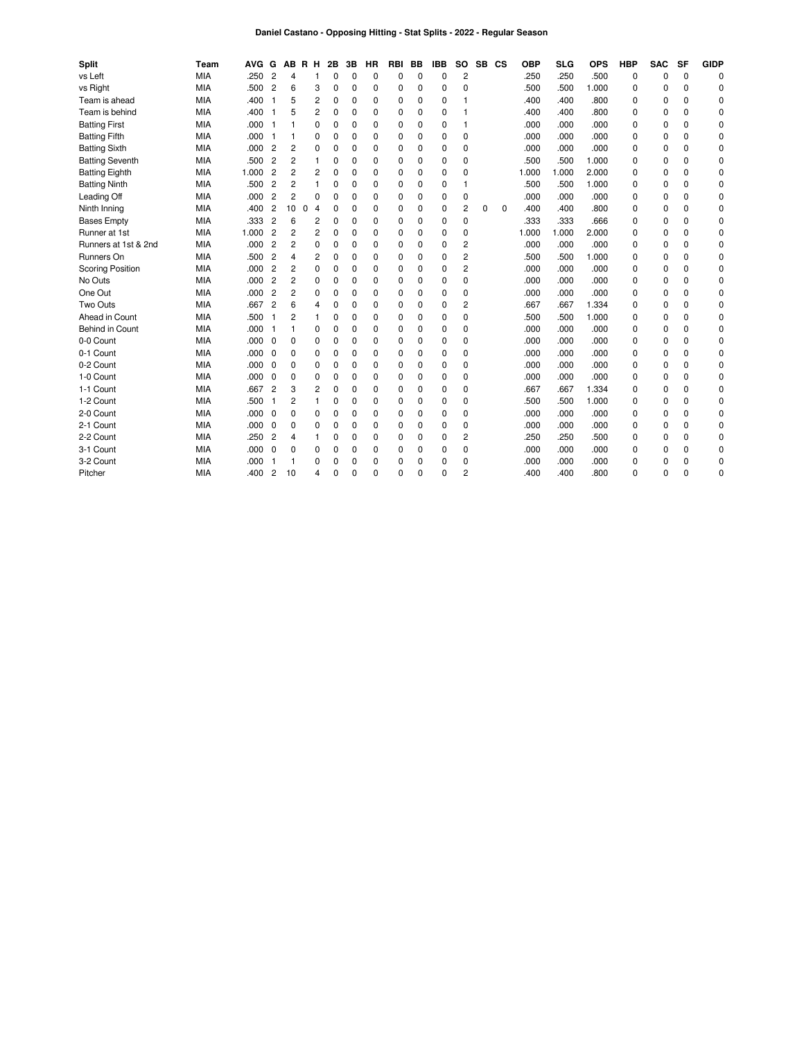# **Daniel Castano - Opposing Hitting - Stat Splits - 2022 - Regular Season**

| <b>Split</b>            | Team       | AVG G |                |                | AB R H              | 2B | 3B       | ΗR       | RBI         | BB          | <b>IBB</b>  | SO.            | <b>SB</b> | CS          | <b>OBP</b> | <b>SLG</b> | <b>OPS</b> | <b>HBP</b>  | <b>SAC</b> | SF       | <b>GIDP</b> |
|-------------------------|------------|-------|----------------|----------------|---------------------|----|----------|----------|-------------|-------------|-------------|----------------|-----------|-------------|------------|------------|------------|-------------|------------|----------|-------------|
| vs Left                 | <b>MIA</b> | .250  | $\overline{c}$ | 4              | 1                   | 0  | $\Omega$ | $\Omega$ | 0           | $\mathbf 0$ | 0           | $\overline{c}$ |           |             | .250       | .250       | .500       | 0           | 0          | $\Omega$ | $\Omega$    |
| vs Right                | <b>MIA</b> | .500  | $\overline{c}$ | 6              | 3                   | 0  | 0        | 0        | $\mathbf 0$ | 0           | 0           | $\mathbf 0$    |           |             | .500       | .500       | 1.000      | 0           | 0          | 0        | 0           |
| Team is ahead           | MIA        | .400  | 1              | 5              | 2                   | 0  | $\Omega$ | $\Omega$ | $\mathbf 0$ | 0           | 0           | 1              |           |             | .400       | .400       | .800       | 0           | 0          | $\Omega$ | 0           |
| Team is behind          | MIA        | .400  | -1             | 5              | 2                   | 0  | $\Omega$ | 0        | 0           | 0           | 0           |                |           |             | .400       | .400       | .800       | 0           | 0          | 0        | 0           |
| <b>Batting First</b>    | MIA        | .000  | -1             |                | 0                   | 0  | 0        | 0        | 0           | 0           | 0           | $\mathbf{1}$   |           |             | .000       | .000       | .000       | 0           | 0          | 0        | 0           |
| <b>Batting Fifth</b>    | MIA        | .000  |                |                | 0                   | 0  | $\Omega$ | 0        | 0           | $\Omega$    | 0           | $\mathbf 0$    |           |             | .000       | .000       | .000       | 0           | 0          | 0        | 0           |
| <b>Batting Sixth</b>    | MIA        | .000  | $\overline{c}$ | 2              | 0                   | 0  | $\Omega$ | 0        | 0           | $\Omega$    | 0           | $\mathbf 0$    |           |             | .000       | .000       | .000       | 0           | 0          | 0        | 0           |
| <b>Batting Seventh</b>  | MIA        | .500  | $\overline{c}$ | 2              | 1                   | 0  | $\Omega$ | $\Omega$ | 0           | 0           | 0           | $\mathbf 0$    |           |             | .500       | .500       | 1.000      | 0           | 0          | 0        | 0           |
| <b>Batting Eighth</b>   | MIA        | 1.000 | $\overline{c}$ | 2              | 2                   | 0  | 0        | 0        | 0           | 0           | 0           | 0              |           |             | 1.000      | 1.000      | 2.000      | 0           | 0          | 0        | 0           |
| <b>Batting Ninth</b>    | MIA        | .500  | $\overline{c}$ | 2              | $\mathbf{1}$        | 0  | $\Omega$ | 0        | $\mathbf 0$ | $\Omega$    | 0           | $\overline{1}$ |           |             | .500       | .500       | 1.000      | $\Omega$    | $\Omega$   | 0        | 0           |
| Leading Off             | <b>MIA</b> | .000  | $\overline{c}$ | 2              | $\Omega$            | 0  | $\Omega$ | 0        | $\mathbf 0$ | $\Omega$    | 0           | 0              |           |             | .000       | .000       | .000       | 0           | 0          | 0        | $\Omega$    |
| Ninth Inning            | <b>MIA</b> | .400  | $\overline{c}$ | 10             | 0<br>$\overline{4}$ | 0  | $\Omega$ | 0        | $\mathbf 0$ | 0           | 0           | $\overline{2}$ | $\Omega$  | $\mathbf 0$ | .400       | .400       | .800       | 0           | 0          | 0        | 0           |
| <b>Bases Empty</b>      | <b>MIA</b> | .333  | $\overline{c}$ | 6              | 2                   | 0  | $\Omega$ | 0        | $\mathbf 0$ | $\Omega$    | 0           | $\Omega$       |           |             | .333       | .333       | .666       | 0           | $\Omega$   | 0        | 0           |
| Runner at 1st           | MIA        | 1.000 | $\overline{c}$ | 2              | 2                   | 0  | $\Omega$ | 0        | $\Omega$    | $\Omega$    | $\Omega$    | $\Omega$       |           |             | 1.000      | 1.000      | 2.000      | $\Omega$    | $\Omega$   | 0        | 0           |
| Runners at 1st & 2nd    | <b>MIA</b> | .000  | $\overline{c}$ | $\overline{2}$ | 0                   | 0  | $\Omega$ | 0        | $\Omega$    | $\Omega$    | $\Omega$    | $\overline{c}$ |           |             | .000       | .000       | .000       | 0           | $\Omega$   | 0        | 0           |
| Runners On              | <b>MIA</b> | .500  | $\overline{c}$ | 4              | 2                   | 0  | 0        | 0        | 0           | 0           | 0           | $\overline{c}$ |           |             | .500       | .500       | 1.000      | 0           | 0          | 0        | 0           |
| <b>Scoring Position</b> | <b>MIA</b> | .000  | $\overline{c}$ | 2              | 0                   | 0  | $\Omega$ | 0        | 0           | 0           | 0           | $\overline{2}$ |           |             | .000       | .000       | .000       | 0           | 0          | 0        | 0           |
| No Outs                 | MIA        | .000  | $\overline{c}$ | 2              | 0                   | 0  | $\Omega$ | 0        | $\mathbf 0$ | $\Omega$    | $\Omega$    | $\mathbf 0$    |           |             | .000       | .000       | .000       | 0           | 0          | 0        | 0           |
| One Out                 | MIA        | .000  | $\overline{c}$ | 2              | 0                   | 0  | 0        | 0        | 0           | $\Omega$    | 0           | $\mathbf 0$    |           |             | .000       | .000       | .000       | 0           | 0          | 0        | 0           |
| Two Outs                | <b>MIA</b> | .667  | $\overline{c}$ | 6              | 4                   | 0  | $\Omega$ | 0        | 0           | $\Omega$    | 0           | $\overline{2}$ |           |             | .667       | .667       | 1.334      | 0           | 0          | 0        | 0           |
| Ahead in Count          | MIA        | .500  |                | 2              | 1                   | 0  | $\Omega$ | 0        | $\mathbf 0$ | $\Omega$    | $\mathbf 0$ | $\mathbf 0$    |           |             | .500       | .500       | 1.000      | 0           | 0          | 0        | 0           |
| Behind in Count         | MIA        | .000  |                |                | 0                   | 0  | $\Omega$ | 0        | $\Omega$    | $\Omega$    | $\Omega$    | 0              |           |             | .000       | .000       | .000       | 0           | $\Omega$   | 0        | 0           |
| 0-0 Count               | <b>MIA</b> | .000  | $\Omega$       | 0              | 0                   | 0  | $\Omega$ | $\Omega$ | $\Omega$    | $\Omega$    | $\Omega$    | 0              |           |             | .000       | .000       | .000       | $\Omega$    | 0          | 0        | 0           |
| 0-1 Count               | MIA        | .000  | 0              | 0              | 0                   | 0  | 0        | 0        | 0           | $\Omega$    | 0           | $\mathbf 0$    |           |             | .000       | .000       | .000       | 0           | 0          | 0        | 0           |
| 0-2 Count               | MIA        | .000  | $\Omega$       | 0              | 0                   | 0  | $\Omega$ | 0        | $\mathbf 0$ | $\Omega$    | $\Omega$    | $\Omega$       |           |             | .000       | .000       | .000       | $\Omega$    | $\Omega$   | 0        | 0           |
| 1-0 Count               | <b>MIA</b> | .000  | $\Omega$       | 0              | 0                   | 0  | $\Omega$ | $\Omega$ | $\Omega$    | $\Omega$    | $\Omega$    | $\mathbf 0$    |           |             | .000       | .000       | .000       | $\Omega$    | $\Omega$   | 0        | 0           |
| 1-1 Count               | MIA        | .667  | $\overline{c}$ | 3              | 2                   | 0  | $\Omega$ | $\Omega$ | 0           | 0           | 0           | $\mathbf 0$    |           |             | .667       | .667       | 1.334      | 0           | 0          | 0        | 0           |
| 1-2 Count               | MIA        | .500  |                | 2              | 1                   | 0  | $\Omega$ | 0        | 0           | $\Omega$    | 0           | $\Omega$       |           |             | .500       | .500       | 1.000      | $\Omega$    | $\Omega$   | 0        | 0           |
| 2-0 Count               | <b>MIA</b> | .000  | $\mathbf 0$    | 0              | 0                   | 0  | $\Omega$ | 0        | 0           | $\Omega$    | 0           | 0              |           |             | .000       | .000       | .000       | 0           | 0          | 0        | 0           |
| 2-1 Count               | <b>MIA</b> | .000  | $\mathbf 0$    | 0              | 0                   | 0  | 0        | 0        | 0           | 0           | 0           | 0              |           |             | .000       | .000       | .000       | 0           | 0          | 0        | 0           |
| 2-2 Count               | MIA        | .250  | $\overline{c}$ | 4              | 1                   | 0  | $\Omega$ | $\Omega$ | $\Omega$    | $\Omega$    | 0           | 2              |           |             | .250       | .250       | .500       | 0           | 0          | 0        | 0           |
| 3-1 Count               | MIA        | .000  | $\mathbf 0$    | 0              | 0                   | 0  | $\Omega$ | 0        | $\mathbf 0$ | $\Omega$    | 0           | $\mathbf 0$    |           |             | .000       | .000       | .000       | $\mathbf 0$ | 0          | 0        | 0           |
| 3-2 Count               | MIA        | .000  |                |                | 0                   | 0  | 0        | 0        | 0           | 0           | 0           | 0              |           |             | .000       | .000       | .000       | 0           | 0          | 0        | 0           |
| Pitcher                 | <b>MIA</b> | .400  | $\overline{c}$ | 10             | 4                   | 0  | $\Omega$ | O        | $\Omega$    | 0           | 0           | $\overline{c}$ |           |             | .400       | .400       | .800       | $\Omega$    | $\Omega$   | O        | 0           |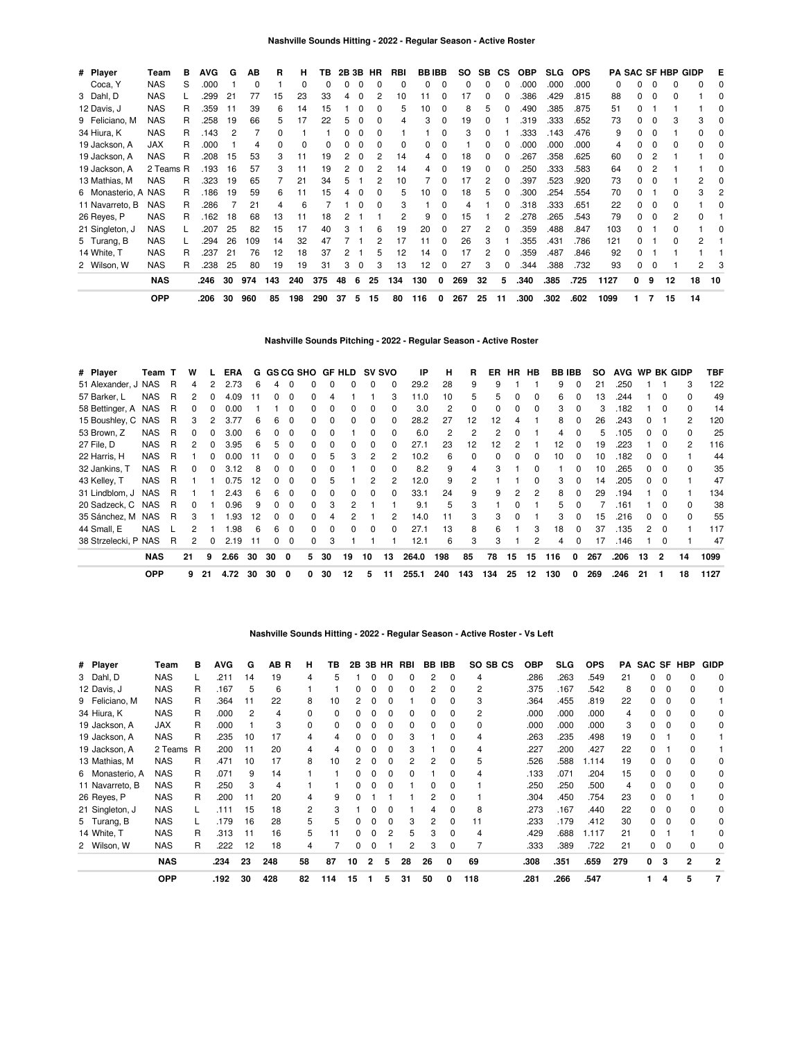| # Player            | Team       | в | <b>AVG</b> | G  | AВ       | R   | н   | ΤВ  |    | 2B 3B    | HR | RBI | <b>BBIBB</b> |   | SO. | SB | <b>CS</b> | <b>OBP</b> | <b>SLG</b> | <b>OPS</b> |      |   |          | <b>PA SAC SF HBP GIDP</b> |    | Е  |
|---------------------|------------|---|------------|----|----------|-----|-----|-----|----|----------|----|-----|--------------|---|-----|----|-----------|------------|------------|------------|------|---|----------|---------------------------|----|----|
| Coca, Y             | <b>NAS</b> | S | .000       |    | $\Omega$ |     | 0   | 0   | 0  | 0        |    | 0   | 0            | 0 | 0   | 0  | C         | .000       | .000       | .000       | 0    |   | 0        | 0                         | 0  |    |
| 3 Dahl, D           | <b>NAS</b> |   | .299       | 21 | 77       | 15  | 23  | 33  | 4  | 0        |    | 10  |              |   | 17  | 0  |           | 386        | .429       | .815       | 88   |   | $\Omega$ | ი                         |    |    |
| 12 Davis, J         | <b>NAS</b> | R | .359       | 11 | 39       | 6   | 14  | 15  |    |          |    | 5   | 10           |   | 8   |    |           | .490       | .385       | .875       | 51   |   |          |                           |    |    |
| 9 Feliciano, M      | <b>NAS</b> | R | .258       | 19 | 66       | 5   | 17  | 22  | 5  | 0        |    | 4   |              |   | 19  |    |           | .319       | .333       | .652       | 73   |   | O        |                           | 3  |    |
| 34 Hiura, K         | <b>NAS</b> | R | .143       | 2  |          |     |     |     |    | $\Omega$ |    |     |              |   | 3   |    |           | 333        | .143       | .476       | 9    |   | $\Omega$ |                           | 0  |    |
| 19 Jackson, A       | <b>JAX</b> | R | .000       |    | 4        |     | 0   |     |    |          |    | O   |              |   |     |    |           | .000       | .000       | .000       | 4    |   | 0        | ŋ                         | ი  |    |
| 19 Jackson, A       | <b>NAS</b> | R | 208        | 15 | 53       | 3   | 11  | 19  | 2  | $\Omega$ |    | 14  | 4            |   | 18  |    |           | 267        | .358       | .625       | 60   |   | 2        |                           |    |    |
| 19 Jackson, A       | 2 Teams R  |   | .193       | 16 | 57       | 3   | 11  | 19  | 2  | 0        |    | 14  | 4            |   | 19  | 0  |           | 250        | .333       | .583       | 64   |   |          |                           |    |    |
| 13 Mathias, M       | <b>NAS</b> | R | .323       | 19 | 65       |     | 21  | 34  | 5  |          |    | 10  |              | 0 | 17  | 2  | 0         | 397        | .523       | .920       | 73   |   | O        |                           |    |    |
| 6 Monasterio, A NAS |            | R | .186       | 19 | 59       | 6   | 11  | 15  | 4  | 0        |    | 5   | 10           |   | 18  | 5  |           | .300       | .254       | .554       | 70   |   |          |                           | 3  |    |
| 11 Navarreto, B     | <b>NAS</b> | R | .286       |    | 21       | 4   | 6   |     |    |          |    | 3   |              |   |     |    |           | .318       | .333       | .651       | 22   |   | $\Omega$ |                           |    |    |
| 26 Reyes, P         | <b>NAS</b> | R | .162       | 18 | 68       | 13  | 11  | 18  |    |          |    |     |              |   | 15  |    |           | 278        | .265       | .543       | 79   |   | $\Omega$ | 2                         | 0  |    |
| 21 Singleton, J     | <b>NAS</b> |   | .207       | 25 | 82       | 15  | 17  | 40  | 3  |          | ี  | 19  | 20           |   | 27  |    |           | 359        | .488       | .847       | 103  |   |          | n                         |    |    |
| 5 Turang, B         | <b>NAS</b> |   | .294       | 26 | 109      | 14  | 32  | 47  |    |          |    | 17  |              |   | 26  |    |           | 355        | .431       | .786       | 121  |   |          |                           | 2  |    |
| 14 White, T         | <b>NAS</b> | R | .237       | 21 | 76       | 12  | 18  | 37  |    |          |    | 12  | 14           |   | 17  |    |           | 359        | .487       | .846       | 92   |   |          |                           |    |    |
| 2 Wilson, W         | <b>NAS</b> | R | .238       | 25 | 80       | 19  | 19  | 31  | 3  | $\Omega$ | 3  | 13  | 12           |   | 27  | з  | O         | .344       | .388       | .732       | 93   |   | 0        |                           | 2  |    |
|                     | <b>NAS</b> |   | .246       | 30 | 974      | 143 | 240 | 375 | 48 | 6        | 25 | 134 | 130          | 0 | 269 | 32 | 5         | .340       | .385       | .725       | 1127 | 0 | 9        | 12                        | 18 | 10 |
|                     | <b>OPP</b> |   | .206       | 30 | 960      | 85  | 198 | 290 | 37 | 5        | 15 | 80  | 116          | 0 | 267 | 25 | 11        | .300       | .302       | .602       | 1099 |   |          | 15                        | 14 |    |

# **Nashville Sounds Pitching - 2022 - Regular Season - Active Roster**

| # Player             | Team T     |   | w  |    | ERA  |    |    | G GS CG SHO |              |    | GF HLD |              | <b>SV SVO</b> | IP    | н   | R        | ER  | <b>HR</b>    | HB           | <b>BB IBB</b> |          | SO. | <b>AVG</b> | WP BK GIDP   |          |               | TBF  |
|----------------------|------------|---|----|----|------|----|----|-------------|--------------|----|--------|--------------|---------------|-------|-----|----------|-----|--------------|--------------|---------------|----------|-----|------------|--------------|----------|---------------|------|
| 51 Alexander, J NAS  |            | R | 4  |    | 2.73 | 6  | 4  | $\Omega$    |              |    |        | 0            | 0             | 29.2  | 28  | 9        | 9   |              |              | 9             | $\Omega$ | 21  | .250       |              |          | 3             | 122  |
| 57 Barker, L         | <b>NAS</b> | R | 2  | 0  | 4.09 | 11 | 0  | $\Omega$    | 0            |    |        |              | 3             | 11.0  | 10  | 5        | 5   | $\Omega$     | $\Omega$     | 6             | 0        | 13  | .244       |              | $\Omega$ | $\Omega$      | 49   |
| 58 Bettinger, A NAS  |            | R |    |    | 0.00 |    |    | 0           | <sup>0</sup> |    |        | 0            | 0             | 3.0   | 2   | $\Omega$ | 0   | <sup>0</sup> | $\Omega$     | 3             | 0        | 3   | .182       |              | $\Omega$ | $\Omega$      | 14   |
| 15 Boushley, C NAS   |            | R | 3  |    | 3.77 | Б. | 6  | 0           | <sup>0</sup> |    |        | 0            | 0             | 28.2  | 27  | 12       | 12  |              |              | 8             |          | 26  | .243       |              |          | 2             | 120  |
| 53 Brown, Z          | <b>NAS</b> | R |    |    | 3.00 | 6  | n  | $\Omega$    | 0            |    |        |              | $\Omega$      | 6.0   | 2   | 2        | 2   |              |              | 4             |          | 5   | .105       |              |          | $\Omega$      | 25   |
| 27 File, D           | <b>NAS</b> | R | 2  | 0  | 3.95 | 6  | 5  | 0           | 0            |    |        | 0            | 0             | 27.1  | 23  | 12       | 12  |              |              | 12            | 0        | 19  | .223       |              |          | $\mathcal{P}$ | 116  |
| 22 Harris, H         | <b>NAS</b> | R |    | 0  | 0.00 | 11 | O. | $\Omega$    | 0            | h  |        | 2            | 2             | 10.2  | 6   | 0        | 0   | $\Omega$     | $\Omega$     | 10            | 0        | 10  | .182       | 0            |          |               | 44   |
| 32 Jankins, T        | <b>NAS</b> | R | 0  | 0  | 3.12 | 8  | 0  | $\Omega$    | 0            |    |        | 0            | <sup>0</sup>  | 8.2   | 9   | 4        | 3   |              | 0            |               | 0        | 10  | .265       | 0            | 0        | $\Omega$      | 35   |
| 43 Kelley, T         | <b>NAS</b> | R |    |    | 0.75 | 12 | 0  | $\Omega$    | $\Omega$     | h  |        | 2            | 2             | 12.0  | 9   | 2        |     |              | <sup>0</sup> | 3             | 0        | 14  | .205       | <sup>o</sup> | $\Omega$ |               | 47   |
| 31 Lindblom, J       | <b>NAS</b> | R |    |    | 2.43 | 6  | 6  | $\Omega$    | 0            |    |        | <sup>0</sup> | $\Omega$      | 33.1  | 24  | 9        | 9   | 2            | 2            | 8             | $\Omega$ | 29  | .194       |              | $\Omega$ |               | 134  |
| 20 Sadzeck, C        | <b>NAS</b> | R | U  |    | 0.96 | 9  | 0  | $\Omega$    | 0            |    |        |              |               | 9.1   | 5   | 3        |     | $\Omega$     |              | 5.            | $\Omega$ |     | .161       |              | $\Omega$ | $\Omega$      | 38   |
| 35 Sánchez, M        | <b>NAS</b> | R | 3  |    | .93  | 12 | n  | $\Omega$    |              |    |        |              | 2             | 14.0  |     | 3        | 3   | $\Omega$     |              | 3             |          | 15  | .216       |              | $\Omega$ | $\Omega$      | 55   |
| 44 Small, E          | <b>NAS</b> |   |    |    | .98  | 6  | 6  | $\Omega$    | $\Omega$     |    |        | <sup>0</sup> | $\Omega$      | 27.1  | 13  | 8        | 6   |              | 3            | 18            | 0        | 37  | .135       |              |          |               | 117  |
| 38 Strzelecki, P NAS |            | R | 2  | 0  | 2.19 | 11 | 0  | 0           | 0            | 3  |        |              |               | 12.1  | 6   | 3        | 3   |              | 2            | 4             | 0        | 17  | .146       |              | $\Omega$ |               | 47   |
|                      | <b>NAS</b> |   | 21 | 9  | 2.66 | 30 | 30 | 0           | 5.           | 30 | 19     | 10           | 13            | 264.0 | 198 | 85       | 78  | 15           | 15           | 116           | 0        | 267 | .206       | 13           | 2        | 14            | 1099 |
|                      | <b>OPP</b> |   | 9. | 21 | 4.72 | 30 | 30 | 0           |              | 30 | 12     | 5            | 11            | 255.1 | 240 | 143      | 134 | 25           | 12           | 130           | 0        | 269 | .246       | 21           |          | 18            | 1127 |

| 19 Jackson, A<br>13 Mathias, M     | 2 Teams<br><b>NAS</b>    | - R<br>R | .200<br>.471 | 11<br>10 | 20<br>17 | 4<br>8 | 10  |    |   |   | 3<br>2 |        | $\Omega$<br>$\Omega$ | 4<br>5  | .227<br>.526 | .200<br>.588 | .427<br>1.114 | 22<br>19 |   | 0 |   | 0            |
|------------------------------------|--------------------------|----------|--------------|----------|----------|--------|-----|----|---|---|--------|--------|----------------------|---------|--------------|--------------|---------------|----------|---|---|---|--------------|
| 6 Monasterio, A<br>11 Navarreto, B | <b>NAS</b><br><b>NAS</b> | R<br>R   | .071<br>.250 | 9<br>3   | 14<br>4  |        |     |    |   | ŋ | O      | 0      | 0<br>0               | 4       | .133<br>.250 | .071<br>.250 | .204<br>.500  | 15<br>4  |   | 0 |   | 0<br>0       |
| 26 Reyes, P                        | <b>NAS</b>               | R        | .200         | 11       | 20       | 4      |     |    |   |   |        | 2      |                      |         | .304         | .450         | .754          | 23       |   |   |   | 0            |
| 21 Singleton, J<br>5 Turang, B     | <b>NAS</b><br><b>NAS</b> |          | .111<br>.179 | 15<br>16 | 18<br>28 | 2<br>5 |     |    |   | ŋ | 3      | 2      | O<br>0               | 8<br>11 | .273<br>.233 | .167<br>.179 | .440<br>.412  | 22<br>30 |   |   |   | 0<br>0       |
| 14 White, T<br>2 Wilson, W         | <b>NAS</b><br><b>NAS</b> | R<br>R   | .313<br>.222 | 11<br>12 | 16<br>18 | 5<br>4 |     |    |   | 2 | 5<br>2 | 3<br>3 | $\Omega$<br>$\Omega$ | 4       | .429<br>.333 | .688<br>.389 | .117<br>.722  | 21<br>21 |   |   |   |              |
|                                    | <b>NAS</b>               |          | .234         | 23       | 248      | 58     | 87  | 10 | 2 | 5 | 28     | 26     | 0                    | 69      | .308         | .351         | .659          | 279      | 0 | 3 | 2 | $\mathbf{2}$ |
|                                    | <b>OPP</b>               |          | .192         | 30       | 428      | 82     | 114 | 15 |   | 5 | 31     | 50     |                      | 118     | .281         | .266         | .547          |          |   | 4 | 5 |              |

### **Nashville Sounds Hitting - 2022 - Regular Season - Active Roster - Vs Left**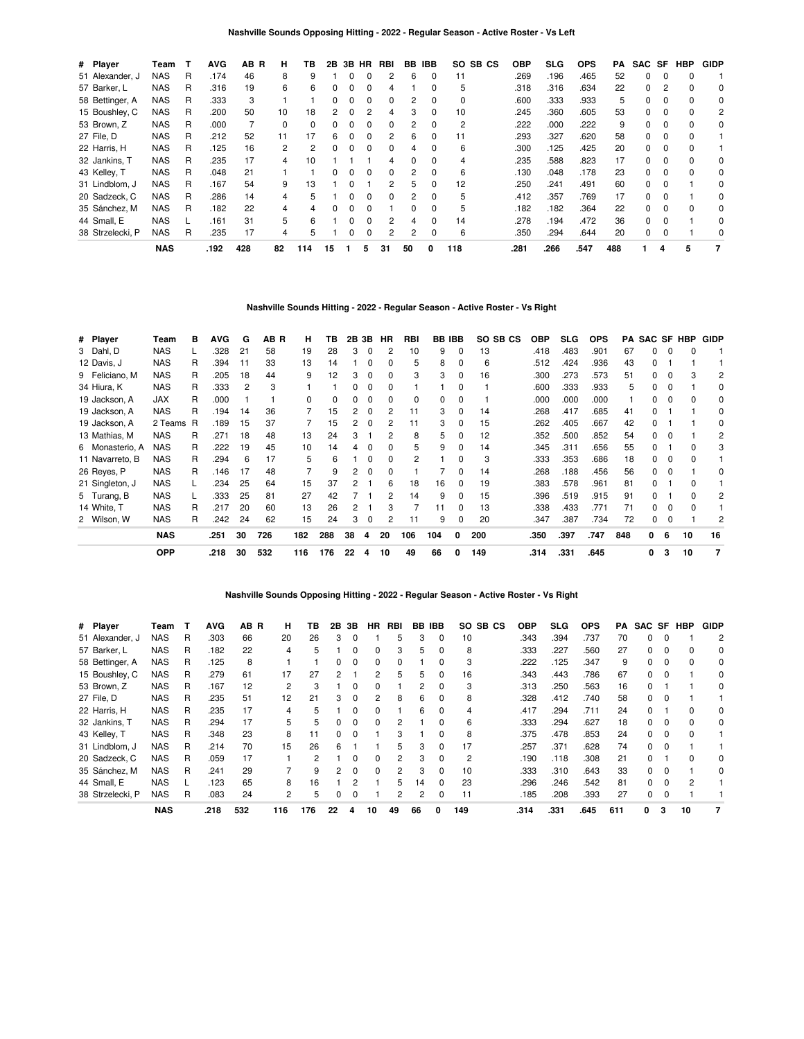| # Player         | Team       | т | <b>AVG</b> | AB<br>B | н  | ΤВ           | 2B           | 3B | HR           | RBI | BB | <b>IBB</b>   | SO.<br>SB CS | <b>OBP</b> | <b>SLG</b> | <b>OPS</b> | PA  | SAC SF |          | <b>HBP</b> | <b>GIDP</b> |
|------------------|------------|---|------------|---------|----|--------------|--------------|----|--------------|-----|----|--------------|--------------|------------|------------|------------|-----|--------|----------|------------|-------------|
| 51 Alexander, J  | <b>NAS</b> | R | .174       | 46      | 8  | 9            |              |    |              | 2   | 6  | 0            | 11           | .269       | .196       | .465       | 52  | 0      | $\Omega$ |            |             |
| 57 Barker, L     | <b>NAS</b> | R | .316       | 19      | 6  | 6            | 0            | 0  | 0            |     |    | 0            | 5            | .318       | .316       | .634       | 22  | 0      |          |            | 0           |
| 58 Bettinger, A  | NAS        | R | .333       | 3       |    |              | 0            | 0  | 0            | 0   | 2  | 0            | 0            | .600       | .333       | .933       | 5   | 0      | $\Omega$ | $\Omega$   | 0           |
| 15 Boushley, C   | NAS        | R | .200       | 50      | 10 | 18           | 2            | O  | 2            | 4   | 3  | 0            | 10           | .245       | .360       | .605       | 53  | O.     | $\Omega$ |            | 2           |
| 53 Brown, Z      | <b>NAS</b> | R | .000       |         |    | <sup>0</sup> |              |    |              | 0   | 2  | 0            | 2            | .222       | .000       | .222       | 9   | 0      |          |            | 0           |
| 27 File, D       | <b>NAS</b> | R | .212       | 52      | 11 | 17           | 6            | 0  | 0            | 2   | 6  | 0            | 11           | .293       | .327       | .620       | 58  | 0      | 0        | $\Omega$   |             |
| 22 Harris, H     | NAS        | R | .125       | 16      | 2  | 2            | <sup>0</sup> | O  | <sup>0</sup> | 0   | 4  | 0            | 6            | .300       | .125       | .425       | 20  | 0      | 0        |            |             |
| 32 Jankins, T    | <b>NAS</b> | R | .235       | 17      | 4  | 10           |              |    |              |     |    | <sup>0</sup> | 4            | .235       | .588       | .823       | 17  | O.     | $\Omega$ |            | 0           |
| 43 Kelley, T     | <b>NAS</b> | R | .048       | 21      |    |              |              |    | 0            | 0   |    | 0            | 6            | .130       | .048       | .178       | 23  | 0      |          |            | 0           |
| 31 Lindblom, J   | NAS        | R | .167       | 54      | 9  | 13           |              | O  |              | 2   | 5  | 0            | 12           | .250       | .241       | .491       | 60  | 0      | 0        |            | 0           |
| 20 Sadzeck, C    | <b>NAS</b> | R | .286       | 14      | 4  | 5            |              | O  | <sup>0</sup> | 0   | 2  | <sup>0</sup> | 5            | .412       | .357       | .769       | 17  | 0      |          |            | $\Omega$    |
| 35 Sánchez, M    | <b>NAS</b> | R | .182       | 22      | 4  |              |              |    |              |     | 0  | O            | 5            | .182       | .182       | .364       | 22  | O.     |          |            | 0           |
| 44 Small, E      | <b>NAS</b> |   | .161       | 31      | 5  | 6            |              | 0  | 0            | 2   |    | 0            | 14           | .278       | .194       | .472       | 36  | 0      | $\Omega$ |            | 0           |
| 38 Strzelecki, P | NAS        | R | .235       | 17      | 4  | 5            |              | ŋ  | 0            | 2   | 2  | 0            | 6            | .350       | .294       | .644       | 20  | 0      | 0        |            | $\Omega$    |
|                  | <b>NAS</b> |   | .192       | 428     | 82 | 114          | 15           |    | 5            | 31  | 50 | 0            | 118          | .281       | .266       | .547       | 488 |        | 4        | 5          | 7           |

# **Nashville Sounds Hitting - 2022 - Regular Season - Active Roster - Vs Right**

| # Player        | Team       | в | <b>AVG</b> | G  | AB R | н   | ΤВ  |    | 2B 3B    | HR | <b>RBI</b> | <b>BB IBB</b> |          | SO SB CS | <b>OBP</b> | SLG. | <b>OPS</b> | PA  | SAC SF HBP |          |    | <b>GIDP</b>    |
|-----------------|------------|---|------------|----|------|-----|-----|----|----------|----|------------|---------------|----------|----------|------------|------|------------|-----|------------|----------|----|----------------|
| 3 Dahl, D       | <b>NAS</b> |   | .328       | 21 | 58   | 19  | 28  | 3  | 0        | 2  | 10         | 9             | 0        | 13       | .418       | .483 | .901       | 67  | 0          | 0        | 0  |                |
| 12 Davis, J     | <b>NAS</b> | R | .394       | 11 | 33   | 13  | 14  |    | 0        | 0  | 5          | 8             | $\Omega$ | 6        | .512       | .424 | .936       | 43  | 0          |          |    |                |
| 9 Feliciano, M  | NAS        | R | .205       | 18 | 44   | 9   | 12  | 3  | 0        | 0  | 3          | 3             | 0        | 16       | .300       | .273 | .573       | 51  | 0          | $\Omega$ | 3  | 2              |
| 34 Hiura, K     | <b>NAS</b> | R | .333       | 2  | 3    |     |     | 0  | $\Omega$ | 0  |            |               | 0        |          | .600       | .333 | .933       | 5   | 0          | $\Omega$ |    | 0              |
| 19 Jackson, A   | JAX        | R | .000       |    |      | 0   | 0   | 0  | 0        | 0  | 0          | 0             | 0        |          | .000       | .000 | .000       |     | 0          | $\Omega$ | 0  | 0              |
| 19 Jackson, A   | <b>NAS</b> | R | .194       | 14 | 36   |     | 15  | 2  | $\Omega$ | 2  | 11         | 3             | $\Omega$ | 14       | .268       | .417 | .685       | 41  | 0          |          |    | $\Omega$       |
| 19 Jackson, A   | 2 Teams R  |   | .189       | 15 | 37   |     | 15  | 2  | $\Omega$ | 2  | 11         | 3             | 0        | 15       | .262       | .405 | .667       | 42  | 0          |          |    | 0              |
| 13 Mathias, M   | <b>NAS</b> | R | .271       | 18 | 48   | 13  | 24  | 3  |          |    | 8          | 5             | 0        | 12       | .352       | .500 | .852       | 54  | 0          | n        |    | 2              |
| 6 Monasterio, A | <b>NAS</b> | R | .222       | 19 | 45   | 10  | 14  | 4  | $\Omega$ | 0  | 5          | 9             | 0        | 14       | .345       | .311 | .656       | 55  | 0          |          | 0  | 3              |
| 11 Navarreto, B | <b>NAS</b> | R | .294       | 6  | 17   | 5   | 6   |    | 0        | 0  | 2          |               |          | 3        | .333       | .353 | .686       | 18  | 0          | $\Omega$ | ŋ  |                |
| 26 Reyes, P     | <b>NAS</b> | R | .146       | 17 | 48   | 7   | 9   | 2  | 0        | 0  |            |               | 0        | 14       | .268       | .188 | .456       | 56  | 0          | $\Omega$ |    | 0              |
| 21 Singleton, J | <b>NAS</b> |   | .234       | 25 | 64   | 15  | 37  | 2  |          | 6  | 18         | 16            | 0        | 19       | .383       | .578 | .961       | 81  | 0          |          | 0  |                |
| 5 Turang, B     | <b>NAS</b> |   | .333       | 25 | 81   | 27  | 42  |    |          | 2  | 14         | 9             | 0        | 15       | .396       | .519 | .915       | 91  | 0          |          | ŋ  | 2              |
| 14 White, T     | <b>NAS</b> | R | .217       | 20 | 60   | 13  | 26  | 2  |          | 3  |            | 11            | 0        | 13       | .338       | .433 | .771       | 71  | 0          | $\Omega$ | ŋ  |                |
| 2 Wilson, W     | <b>NAS</b> | R | .242       | 24 | 62   | 15  | 24  | 3  | 0        | 2  | 11         | 9             | 0        | 20       | .347       | .387 | .734       | 72  | 0          | $\Omega$ |    | 2              |
|                 | <b>NAS</b> |   | .251       | 30 | 726  | 182 | 288 | 38 | 4        | 20 | 106        | 104           | 0        | 200      | .350       | .397 | .747       | 848 | 0          | 6        | 10 | 16             |
|                 | <b>OPP</b> |   | .218       | 30 | 532  | 116 | 176 | 22 | 4        | 10 | 49         | 66            | 0        | 149      | .314       | .331 | .645       |     | 0          | 3        | 10 | $\overline{7}$ |

### **Nashville Sounds Opposing Hitting - 2022 - Regular Season - Active Roster - Vs Right**

| # Player         | Team       | т | <b>AVG</b> | AB R | н   | ΤВ  | 2В           | 3В       | <b>HR</b>    | <b>RBI</b> | BB | <b>IBB</b>   | SO SB CS | <b>OBP</b> | SLG  | <b>OPS</b> | PA  | SAC SF |          | <b>HBP</b> | <b>GIDP</b> |
|------------------|------------|---|------------|------|-----|-----|--------------|----------|--------------|------------|----|--------------|----------|------------|------|------------|-----|--------|----------|------------|-------------|
| 51 Alexander, J  | NAS        | R | .303       | 66   | 20  | 26  | 3            | 0        |              | 5          | 3  | 0            | 10       | .343       | .394 | .737       | 70  | 0      |          |            | 2           |
| 57 Barker, L     | <b>NAS</b> | R | .182       | 22   | 4   | 5   |              | 0        | 0            | 3          | 5  | 0            | 8        | .333       | .227 | .560       | 27  | 0      |          |            | 0           |
| 58 Bettinger, A  | NAS        | R | .125       | 8    |     |     | 0            | 0        | <sup>0</sup> | 0          |    | <sup>0</sup> | 3        | .222       | .125 | .347       | 9   | 0      |          |            | $\Omega$    |
| 15 Boushley, C   | NAS        | R | .279       | 61   | 17  | 27  |              |          | 2            | 5          | 5  | <sup>0</sup> | 16       | .343       | .443 | .786       | 67  | 0      |          |            | 0           |
| 53 Brown, Z      | <b>NAS</b> | R | .167       | 12   | 2   | 3   |              | 0        |              |            | 2  | 0            | 3        | .313       | .250 | .563       | 16  | 0      |          |            | 0           |
| 27 File, D       | <b>NAS</b> | R | .235       | 51   | 12  | 21  | 3            | 0        | 2            | 8          | 6  | 0            | 8        | .328       | .412 | .740       | 58  | 0      |          |            |             |
| 22 Harris, H     | NAS        | R | .235       | 17   | 4   | 5   |              | 0        | <sup>0</sup> |            | 6  | $\Omega$     | 4        | .417       | .294 | .711       | 24  | 0      |          |            | 0           |
| 32 Jankins, T    | <b>NAS</b> | R | .294       | 17   | 5   | 5   |              | 0        | <sup>0</sup> |            |    |              | 6        | .333       | .294 | .627       | 18  | 0      |          |            | 0           |
| 43 Kelley, T     | <b>NAS</b> | R | .348       | 23   | 8   | 11  | <sup>0</sup> | $\Omega$ |              | з          |    | O.           | 8        | .375       | .478 | .853       | 24  | 0      | $\Omega$ |            |             |
| 31 Lindblom, J   | NAS        | R | .214       | 70   | 15  | 26  | 6            |          |              | 5          | 3  | <sup>0</sup> | 17       | 257        | .371 | .628       | 74  | 0      |          |            |             |
| 20 Sadzeck, C    | <b>NAS</b> | R | .059       | 17   |     | 2   |              | ი        | <sup>0</sup> | 2          | з  | 0            | 2        | .190       | .118 | .308       | 21  | 0      |          |            | 0           |
| 35 Sánchez, M    | <b>NAS</b> | R | .241       | 29   |     | 9   | 2            | 0        | <sup>0</sup> | 2          | 3  | $\Omega$     | 10       | .333       | .310 | .643       | 33  | 0      | $\Omega$ |            | $\Omega$    |
| 44 Small, E      | <b>NAS</b> |   | .123       | 65   | 8   | 16  |              |          |              | 5          | 14 | <sup>0</sup> | 23       | .296       | .246 | .542       | 81  | O.     |          |            |             |
| 38 Strzelecki, P | <b>NAS</b> | R | .083       | 24   | 2   | 5   |              | ი        |              | 2          | 2  | 0            | 11       | .185       | .208 | .393       | 27  | 0      |          |            |             |
|                  | <b>NAS</b> |   | .218       | 532  | 116 | 176 | 22           |          | 10           | 49         | 66 | 0            | 149      | .314       | .331 | .645       | 611 | 0      | 3        | 10         |             |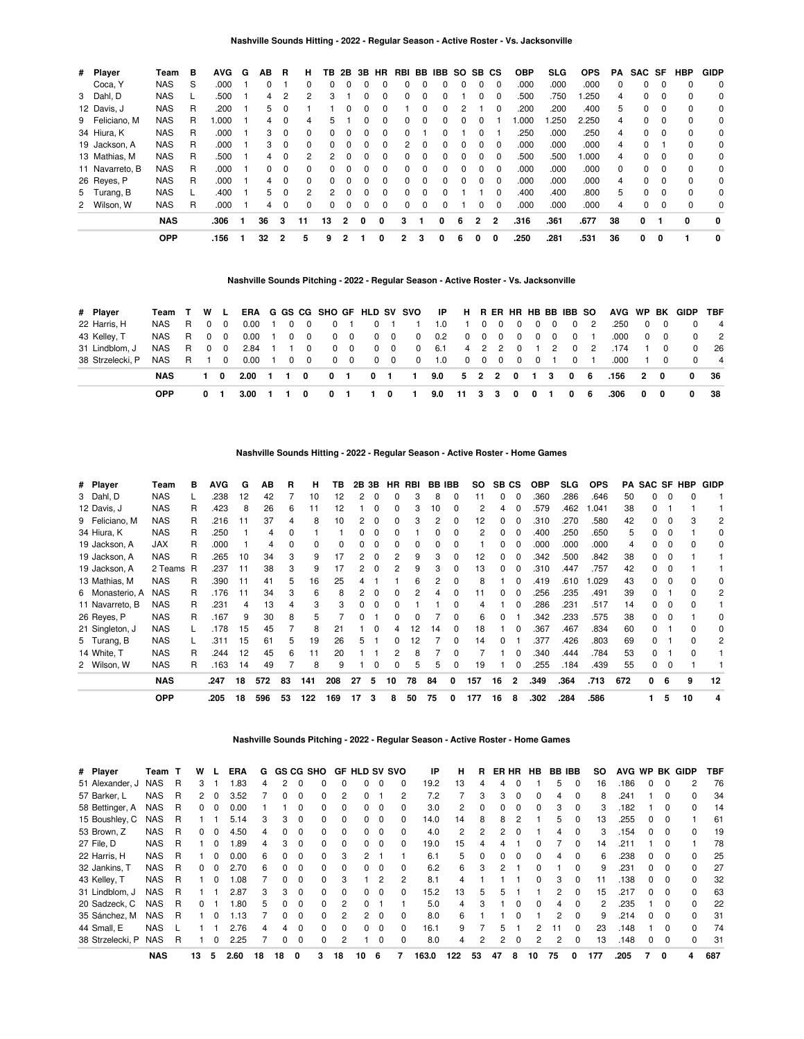### **Nashville Sounds Hitting - 2022 - Regular Season - Active Roster - Vs. Jacksonville**

| # Player        | Team       | в | <b>AVG</b> | G | ΑВ | R        | н            | ΤВ | 2B           | 3В           | <b>HR</b>    |   |   | RBI BB IBB   | SO. |              | SB CS        | <b>OBP</b> | <b>SLG</b> | <b>OPS</b> | PA       | SAC SF |          | HBP      | <b>GIDP</b> |
|-----------------|------------|---|------------|---|----|----------|--------------|----|--------------|--------------|--------------|---|---|--------------|-----|--------------|--------------|------------|------------|------------|----------|--------|----------|----------|-------------|
| Coca, Y         | <b>NAS</b> | S | .000       |   |    |          | $\Omega$     |    |              |              |              | 0 | 0 |              | 0   |              | $\Omega$     | .000       | .000       | .000       | 0        | 0      |          | $\Omega$ | 0           |
| 3 Dahl, D       | <b>NAS</b> |   | .500       |   | 4  | 2        | 2            | 3  |              |              | 0            | 0 | 0 |              |     | <sup>0</sup> | $\Omega$     | .500       | 750        | .250       | 4        | 0      | $\Omega$ | $\Omega$ | 0           |
| 12 Davis, J     | <b>NAS</b> | R | .200       |   | 5  | 0        |              |    |              |              |              |   | 0 |              |     |              | $\Omega$     | .200       | .200       | .400       | 5        | 0      | 0        | 0        | 0           |
| 9 Feliciano, M  | <b>NAS</b> | R | 000.       |   | 4  | $\Omega$ | 4            | 5  |              |              | <sup>0</sup> | 0 | 0 | 0            | 0   |              |              | .000       | .250       | 2.250      | 4        | 0      | $\Omega$ | $\Omega$ | 0           |
| 34 Hiura, K     | <b>NAS</b> | R | .000       |   | 3  | 0        | 0            |    |              |              | 0            | 0 |   |              |     | 0            |              | .250       | .000       | .250       | 4        | 0      | 0        | $\Omega$ | 0           |
| 19 Jackson, A   | <b>NAS</b> | R | .000       |   | 3  | $\Omega$ | <sup>0</sup> |    |              |              | <sup>0</sup> | 2 | 0 | <sup>0</sup> | 0   | <sup>0</sup> | $\Omega$     | .000       | .000       | .000       | 4        | 0      |          | $\Omega$ | 0           |
| 13 Mathias, M   | <b>NAS</b> | R | .500       |   | 4  | $\Omega$ | 2            | 2  |              |              | 0            | 0 | 0 | 0            | 0   | 0            | $\Omega$     | .500       | .500       | .000       | 4        | 0      | $\Omega$ | $\Omega$ | 0           |
| 11 Navarreto, B | <b>NAS</b> | R | .000       |   | 0  | $\Omega$ | 0            |    | <sup>n</sup> |              | <sup>0</sup> | 0 | 0 | <sup>0</sup> | 0   | <sup>0</sup> | $\Omega$     | .000       | .000       | .000       | $\Omega$ | 0      | $\Omega$ | $\Omega$ | 0           |
| 26 Reyes, P     | <b>NAS</b> | R | .000       |   | 4  | $\Omega$ | <sup>0</sup> |    |              |              | 0            | 0 | 0 | 0            | 0   | <sup>0</sup> | $\Omega$     | .000       | .000       | .000       | 4        | 0      | $\Omega$ | $\Omega$ | 0           |
| 5 Turang, B     | <b>NAS</b> |   | .400       |   | 5  | $\Omega$ | 2            | 2  | $\Omega$     |              | <sup>0</sup> | 0 | 0 |              |     |              | $\Omega$     | .400       | .400       | .800       | 5        | 0      | $\Omega$ | $\Omega$ | 0           |
| 2 Wilson, W     | <b>NAS</b> | R | .000       |   | 4  | $\Omega$ | 0            |    | 0            | <sup>0</sup> | 0            | 0 | 0 | 0            |     | 0            | $\Omega$     | .000       | .000       | .000       | 4        | 0      | $\Omega$ | 0        | 0           |
|                 | <b>NAS</b> |   | .306       |   | 36 | 3        | 11           | 13 | 2            | <sup>0</sup> | O            | з |   | 0            | 6   | $\mathbf{2}$ | $\mathbf{c}$ | .316       | .361       | .677       | 38       | 0      |          | 0        | $\mathbf 0$ |
|                 | <b>OPP</b> |   | .156       |   | 32 | 2        | 5            | 9  | 2            |              | 0            | 2 | з | 0            | 6   | 0            | 0            | .250       | .281       | .531       | 36       | 0      | 0        |          | 0           |

### **Nashville Sounds Pitching - 2022 - Regular Season - Active Roster - Vs. Jacksonville**

| # Player         | Team T     | W L   |          |                |          |            |                |            |                |                         | ERA G GS CG SHO GF HLD SV SVO IP |                           | H RER HR HB BB IBB SO |     |                                                                      |   |              |            |          |     |            |   |            | AVG WP BK GIDP TBF |                |
|------------------|------------|-------|----------|----------------|----------|------------|----------------|------------|----------------|-------------------------|----------------------------------|---------------------------|-----------------------|-----|----------------------------------------------------------------------|---|--------------|------------|----------|-----|------------|---|------------|--------------------|----------------|
| 22 Harris, H     | NAS        | R 0 0 |          | 0.00           |          | $\Omega$   | $\Omega$       |            | $\mathbf 0$    |                         |                                  | 1.0                       |                       |     | 1000                                                                 |   |              | $0\quad 0$ | $\Omega$ | - 2 | .250       |   | $0\quad 0$ |                    | $\overline{4}$ |
| 43 Kelley, T     | NAS R 0 0  |       |          | 0.00           | $\Omega$ | $\Omega$   |                | $0\quad 0$ | $\overline{0}$ | $\overline{\mathbf{0}}$ | $^{\circ}$                       | 0.2                       |                       |     | $\begin{array}{ccccccccccccccccc} 0 & 0 & 0 & 0 & 0 \end{array}$     |   | $\mathbf{0}$ | $\Omega$   | $\Omega$ | - 1 | .000       |   | $0\quad 0$ |                    | 2              |
| 31 Lindblom, J   | NAS        | R 0   | $\Omega$ | 2.84           |          | $^{\circ}$ |                | $0\quad 0$ |                | $0\quad 0$              | $\mathbf 0$                      | 6.1                       | 4 2 2 0               |     |                                                                      |   |              | $1\quad 2$ | $\Omega$ | - 2 | .174       |   | 1 0        | $\Omega$           | - 26           |
| 38 Strzelecki, P | NAS R 1    |       | $\Omega$ | $0.00 \quad 1$ |          | $0\quad 0$ |                | $0\quad 0$ |                | $0\quad 0$              | $\mathbf 0$                      | 1.0                       |                       |     | $\begin{array}{ccccccccccccccccc} 0 & 0 & 0 & 0 & 0 & 0 \end{array}$ |   |              |            | $\Omega$ |     | .000       |   | 1 0        |                    | $\overline{4}$ |
|                  | <b>NAS</b> | 10    |          | 2.00           | 1 1      | 0          | 0 <sub>1</sub> |            |                | $0 \quad 1$             | $\blacksquare$                   | $9.0 \t 5 \t 2 \t 2 \t 0$ |                       |     |                                                                      |   | 1 3          |            | 06       |     | $.156$ 2 0 |   |            | 0                  | - 36           |
|                  | <b>OPP</b> |       |          | 3.00           |          |            |                |            |                | $\mathbf{0}$            |                                  | 9.0                       | $-11$                 | - 3 | -3                                                                   | 0 | 0            |            |          | 06  | .306       | 0 | 0          | 0                  | 38             |

**Nashville Sounds Hitting - 2022 - Regular Season - Active Roster - Home Games**

| # Player        | Team       | в | <b>AVG</b> | G  | AВ  | R  | н            | тв  |    | 2B 3B | HR.      | RBI | <b>BB IBB</b> |              | SO. | SB CS |              | <b>OBP</b> | SLG. | <b>OPS</b> | PA  |    |   | SAC SF HBP | GIDP         |
|-----------------|------------|---|------------|----|-----|----|--------------|-----|----|-------|----------|-----|---------------|--------------|-----|-------|--------------|------------|------|------------|-----|----|---|------------|--------------|
| 3 Dahl, D       | <b>NAS</b> |   | 238        | 12 | 42  |    | 10           | 12  |    | 0     |          | 3   | 8             | $\Omega$     | 11  | 0     | $\Omega$     | .360       | .286 | .646       | 50  | ŋ  |   |            |              |
| 12 Davis, J     | <b>NAS</b> | R | .423       | 8  | 26  | 6  | 11           | 12  |    | O     |          | 3   | 10            |              | 2   | 4     | 0            | .579       | .462 | .041       | 38  | 0  |   |            |              |
| 9 Feliciano, M  | <b>NAS</b> | R | .216       | 11 | 37  | 4  | 8            | 10  |    | O     |          | 3   | 2             | <sup>0</sup> | 12  | 0     | <sup>0</sup> | .310       | .270 | .580       | 42  | n  |   |            | 2            |
| 34 Hiura, K     | <b>NAS</b> | R | .250       |    | 4   |    |              |     |    |       |          |     |               |              | 2   | 0     | <sup>0</sup> | .400       | .250 | .650       | 5   | 0  |   |            | O            |
| 19 Jackson, A   | JAX        | R | .000       |    | 4   | O  | <sup>0</sup> |     |    |       |          | O   | U             |              |     | 0     | $\Omega$     | .000       | .000 | .000       | 4   |    |   |            | <sup>0</sup> |
| 19 Jackson, A   | <b>NAS</b> | R | .265       | 10 | 34  | з  | 9            | 17  |    |       |          | 9   | 3             |              | 12  | 0     | 0            | .342       | .500 | .842       | 38  | 0  |   |            |              |
| 19 Jackson, A   | 2 Teams R  |   | .237       | 11 | 38  | з  | 9            | 17  |    |       |          | 9   | 3             | <sup>0</sup> | 13  | O.    | $\Omega$     | .310       | .447 | .757       | 42  | 0  |   |            |              |
| 13 Mathias, M   | <b>NAS</b> | R | .390       | 11 | 41  | 5  | 16           | 25  |    |       |          | 6   |               |              | 8   |       | <sup>0</sup> | .419       | .610 | 1.029      | 43  | n. |   |            | <sup>0</sup> |
| 6 Monasterio, A | <b>NAS</b> | R | .176       | 11 | 34  | 3  | 6            | 8   |    |       |          |     |               |              | 11  | 0     | 0            | .256       | .235 | .491       | 39  | o  |   |            | 2            |
| 11 Navarreto, B | <b>NAS</b> | R | .231       | 4  | 13  | 4  | 3            | 3   |    | 0     |          |     |               |              | 4   |       | 0            | .286       | .231 | .517       | 14  | 0  |   |            |              |
| 26 Reyes, P     | <b>NAS</b> | R | .167       | 9  | 30  | 8  | 5            |     |    |       |          |     |               | O            | 6   | 0     |              | .342       | .233 | .575       | 38  | 0  |   |            | <sup>0</sup> |
| 21 Singleton, J | <b>NAS</b> |   | .178       | 15 | 45  |    | 8            | 21  |    | 0     |          | 12  | 14            | $\Omega$     | 18  |       | $\Omega$     | .367       | .467 | .834       | 60  | 0  |   |            | 0            |
| 5 Turang, B     | <b>NAS</b> |   | .311       | 15 | 61  | 5  | 19           | 26  | 5  |       | $^{(1)}$ | 12  |               | <sup>0</sup> | 14  | 0     |              | .377       | .426 | .803       | 69  | 0  |   | n          | 2            |
| 14 White, T     | <b>NAS</b> | R | .244       | 12 | 45  | 6  | 11           | 20  |    |       |          | 8   |               | O            |     |       | <sup>0</sup> | .340       | .444 | .784       | 53  | 0  |   |            |              |
| 2 Wilson, W     | <b>NAS</b> | R | .163       | 14 | 49  |    | 8            | 9   |    | n     |          | 5   | 5             | <sup>0</sup> | 19  |       | $\Omega$     | .255       | .184 | .439       | 55  | 0  | 0 |            |              |
|                 | <b>NAS</b> |   | .247       | 18 | 572 | 83 | 141          | 208 | 27 | 5     | 10       | 78  | 84            | 0            | 157 | 16    | $\mathbf{2}$ | .349       | .364 | .713       | 672 | n. | 6 | 9          | 12           |
|                 | <b>OPP</b> |   | .205       | 18 | 596 | 53 | 122          | 169 | 17 | 3     | 8        | 50  | 75            | 0            | 177 | 16    | 8            | .302       | .284 | .586       |     |    | 5 | 10         |              |

**Nashville Sounds Pitching - 2022 - Regular Season - Active Roster - Home Games**

| # Player         | Team       |   | W              |              | ERA  | G  |              |          | <b>GS CG SHO</b> |          | <b>GF HLD SV SVO</b> |          |                | ΙP    | н   | R  |    | ER HR        | HB           | <b>BB IBB</b> |          | SO. | <b>AVG WP</b> |              |          | <b>BK GIDP</b> | TBF |
|------------------|------------|---|----------------|--------------|------|----|--------------|----------|------------------|----------|----------------------|----------|----------------|-------|-----|----|----|--------------|--------------|---------------|----------|-----|---------------|--------------|----------|----------------|-----|
| 51 Alexander, J  | <b>NAS</b> | R | 3              |              | .83  | 4  | 2            | $\Omega$ |                  | 0        | 0                    | 0        | 0              | 19.2  | 13  | 4  | 4  |              |              | 5             | 0        | 16  | .186          | 0            | 0        | 2              | 76  |
| 57 Barker, L     | <b>NAS</b> | R | $\overline{2}$ | $\Omega$     | 3.52 |    |              | $\Omega$ | <sup>0</sup>     | 2        | 0                    |          | 2              | 7.2   |     | 3  | 3  | $\Omega$     | 0            | 4             | 0        | 8   | .241          |              | 0        | $\Omega$       | 34  |
| 58 Bettinger, A  | <b>NAS</b> | R | 0              |              | 0.00 |    |              |          |                  | $\Omega$ | 0                    | $\Omega$ | 0              | 3.0   | 2   |    | 0  |              | 0            | 3             |          | 3   | .182          |              | O        | <sup>0</sup>   | 14  |
| 15 Boushley, C   | <b>NAS</b> | R |                |              | 5.14 | 3  | з            | 0        | 0                | $\Omega$ | 0                    | $\Omega$ | 0              | 14.0  | 14  | 8  | 8  |              |              | 5             | 0        | 13  | 255           | 0            | 0        |                | 61  |
| 53 Brown, Z      | NAS        | R | 0              | <sup>0</sup> | 4.50 | 4  | <sup>n</sup> | $\Omega$ | <sup>0</sup>     | $\Omega$ | 0                    | $\Omega$ | $\Omega$       | 4.0   | 2   | 2  | 2  | $\Omega$     |              | 4             | 0        | 3   | .154          | 0            | 0        | $\Omega$       | 19  |
| 27 File, D       | <b>NAS</b> | R |                |              | .89  | 4  | з            | $\Omega$ | <sup>0</sup>     |          | 0                    | $\Omega$ | 0              | 19.0  | 15  |    |    |              |              |               |          | 14  | .211          |              | 0        |                | 78  |
| 22 Harris, H     | <b>NAS</b> | R |                |              | 0.00 | 6  |              | $\Omega$ | 0                | 3        | 2                    |          |                | 6.1   | 5   |    | 0  |              | ŋ            | 4             | 0        | 6   | .238          | 0            | 0        | <sup>0</sup>   | 25  |
| 32 Jankins, T    | <b>NAS</b> | R | 0              | <sup>0</sup> | 2.70 | 6  |              | $\Omega$ | 0                | $\Omega$ | $\Omega$             | $\Omega$ | 0              | 6.2   | 6   | з  | 2  |              | 0            |               | $\Omega$ | 9   | .231          | 0            | $\Omega$ | 0              | 27  |
| 43 Kelley, T     | <b>NAS</b> | R |                | $\Omega$     | .08  |    | <sup>n</sup> | $\Omega$ | <sup>0</sup>     | 3        |                      | 2        | $\overline{2}$ | 8.1   | 4   |    |    |              | <sup>0</sup> | 3             | $\Omega$ | 11  | .138          | 0            | $\Omega$ | $\Omega$       | 32  |
| 31 Lindblom, J   | <b>NAS</b> | R |                |              | 2.87 | 3  | з            | $\Omega$ |                  |          | 0                    | $\Omega$ | 0              | 15.2  | 13  |    | 5  |              |              | 2             |          | 15  | .217          |              | 0        | $\Omega$       | 63  |
| 20 Sadzeck, C    | <b>NAS</b> | R | 0              |              | .80  | 5  |              | $\Omega$ | $\Omega$         | 2        | 0                    |          |                | 5.0   | 4   | 3  |    | <sup>0</sup> | 0            | 4             | $\Omega$ | 2   | .235          |              | 0        | 0              | 22  |
| 35 Sánchez, M    | NAS        | R |                | n            | 1.13 |    | n.           | $\Omega$ | <sup>0</sup>     | 2        | 2                    | $\Omega$ | $\Omega$       | 8.0   | 6   |    |    |              |              | 2             | $\Omega$ | 9   | .214          | <sup>0</sup> | 0        | $\Omega$       | 31  |
| 44 Small, E      | <b>NAS</b> |   |                |              | 2.76 | 4  | 4            | $\Omega$ | $\Omega$         |          | 0                    | $\Omega$ | $\Omega$       | 16.1  | 9   |    | 5  |              | 2            |               |          | 23  | .148          |              | $\Omega$ | U              | 74  |
| 38 Strzelecki, P | <b>NAS</b> | R |                |              | 2.25 |    |              | $\Omega$ | <sup>0</sup>     | 2        |                      | 0        | 0              | 8.0   | 4   |    | 2  |              | 2            | 2             | 0        | 13  | .148          | 0            | 0        | $\Omega$       | 31  |
|                  | <b>NAS</b> |   | 13             | 5            | 2.60 | 18 | 18           | 0        | 3                | 18       | 10                   | 6        |                | 163.0 | 122 | 53 | 47 | 8            | 10           | 75            | 0        | 177 | .205          |              | 0        | 4              | 687 |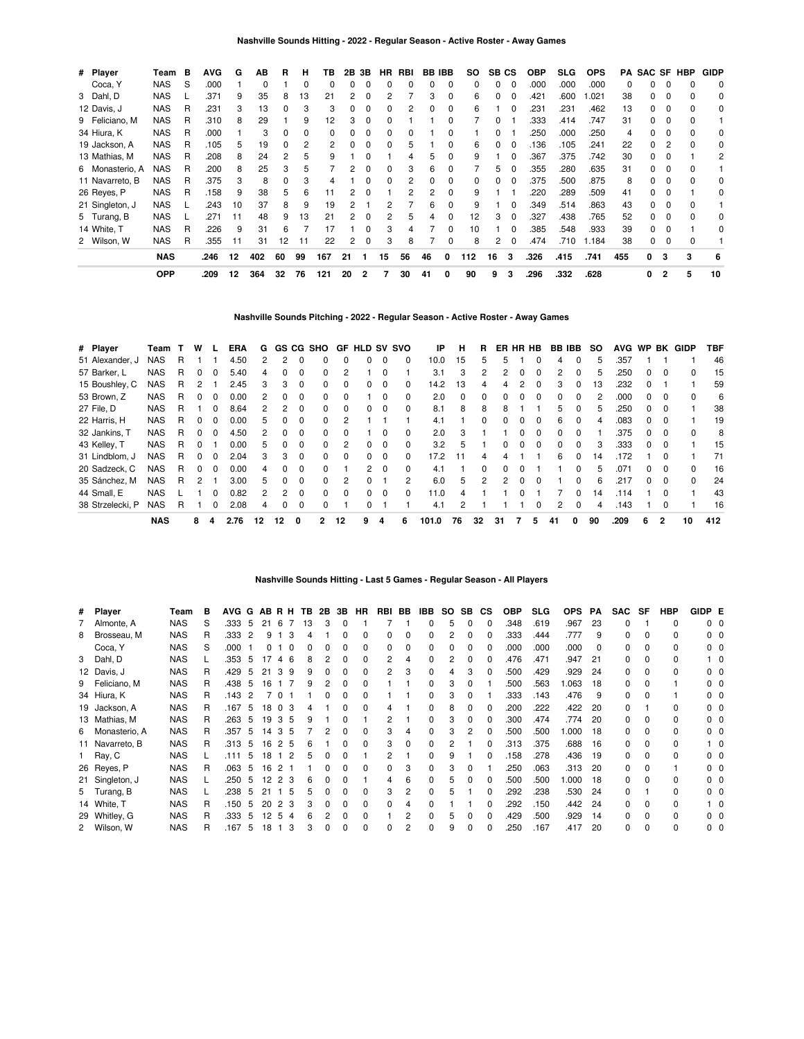| # Player        | Team       | в | <b>AVG</b> | G  | ΑВ  | R  | н        | тв  | 2В | 3Β | HR | RBI | BB | IBB | SO. | SB. | CS       | <b>OBP</b> | <b>SLG</b> | <b>OPS</b> | PA  | <b>SAC SF</b> |          | HBP | <b>GIDP</b> |
|-----------------|------------|---|------------|----|-----|----|----------|-----|----|----|----|-----|----|-----|-----|-----|----------|------------|------------|------------|-----|---------------|----------|-----|-------------|
| Coca, Y         | <b>NAS</b> | S | .000       |    | 0   |    | $\Omega$ |     |    | O  | 0  |     |    | 0   | 0   | ი   |          | .000       | .000       | .000       | 0   |               |          |     | 0           |
| 3 Dahl, D       | <b>NAS</b> |   | .371       | 9  | 35  | 8  | 13       | 21  | 2  |    | 2  |     | 3  | 0   | 6   |     |          | .421       | .600       | 1.021      | 38  |               | 0        |     | 0           |
| 12 Davis, J     | <b>NAS</b> | R | .231       | 3  | 13  | 0  |          |     |    |    |    |     |    | 0   | 6   |     |          | .231       | .231       | .462       | 13  |               |          |     | 0           |
| 9 Feliciano, M  | <b>NAS</b> | R | .310       | 8  | 29  |    | 9        | 12  |    |    |    |     |    |     |     |     |          | .333       | .414       | .747       | 31  |               |          |     |             |
| 34 Hiura, K     | <b>NAS</b> | R | .000       |    | 3   | n  |          |     |    |    |    |     |    |     |     |     |          | .250       | .000       | .250       | 4   |               |          |     | 0           |
| 19 Jackson, A   | <b>NAS</b> | R | .105       | 5  | 19  | 0  |          |     |    |    |    | 5   |    | n   | 6   |     | 0        | .136       | .105       | .241       | 22  |               |          |     | 0           |
| 13 Mathias, M   | <b>NAS</b> | R | .208       | 8  | 24  | 2  |          |     |    |    |    |     |    | 0   | 9   |     | 0        | .367       | .375       | .742       | 30  |               |          |     | 2           |
| 6 Monasterio, A | <b>NAS</b> | R | .200       | 8  | 25  | 3  |          |     |    |    |    | 3   | 6  | 0   |     | 5   |          | .355       | .280       | .635       | 31  |               |          |     |             |
| 11 Navarreto, B | <b>NAS</b> | R | .375       | 3  | 8   | 0  |          |     |    |    |    | 2   |    | 0   | 0   |     | 0        | .375       | .500       | .875       | 8   |               |          |     | 0           |
| 26 Reyes, P     | <b>NAS</b> | R | .158       | 9  | 38  | 5  | 6        | 11  |    | 0  |    |     |    | 0   | 9   |     |          | .220       | .289       | .509       | 41  | 0             |          |     | 0           |
| 21 Singleton, J | <b>NAS</b> |   | .243       | 10 | 37  | 8  | 9        | 19  |    |    |    |     | 6  | 0   | 9   |     | 0        | .349       | .514       | .863       | 43  | 0             | 0        |     |             |
| 5 Turang, B     | <b>NAS</b> |   | .271       | 11 | 48  | 9  | 13       | 21  |    | O  | 2  | 5   | 4  | 0   | 12  | 3   | $\Omega$ | .327       | .438       | .765       | 52  | 0             | 0        |     | 0           |
| 14 White, T     | <b>NAS</b> | R | .226       | 9  | 31  | 6  |          | 17  |    | O  | 3  | 4   |    | 0   | 10  |     | $\Omega$ | .385       | .548       | .933       | 39  | 0             | $\Omega$ |     | 0           |
| 2 Wilson, W     | <b>NAS</b> | R | .355       | 11 | 31  | 12 | 11       | 22  | 2  | 0  | 3  | 8   |    | 0   | 8   | 2   | $\Omega$ | .474       | .710       | 1.184      | 38  | 0             | $\Omega$ |     |             |
|                 | <b>NAS</b> |   | .246       | 12 | 402 | 60 | 99       | 167 | 21 |    | 15 | 56  | 46 | 0   | 112 | 16  | 3        | .326       | .415       | .741       | 455 | 0             |          | 3   | 6           |
|                 | <b>OPP</b> |   | .209       | 12 | 364 | 32 | 76       | 121 | 20 | 2  | 7  | 30  | 41 | 0   | 90  | 9   | 3        | .296       | .332       | .628       |     | 0             | 2        | 5   | 10          |

**Nashville Sounds Pitching - 2022 - Regular Season - Active Roster - Away Games**

| # Player         | Team       |   | w |              | ERA  | G  | GS. |          | CG SHO       | GF.          | <b>HLD</b>     | <b>SV</b> | svo      | ΙP    | н        | R             | ER           | HR.          | HB       | BB.          | IBB        | so | <b>AVG</b> | <b>WP</b> |              | <b>BK GIDP</b> | TBF |
|------------------|------------|---|---|--------------|------|----|-----|----------|--------------|--------------|----------------|-----------|----------|-------|----------|---------------|--------------|--------------|----------|--------------|------------|----|------------|-----------|--------------|----------------|-----|
| 51 Alexander, J  | <b>NAS</b> | R |   |              | 4.50 | 2  | 2   |          |              |              | 0              | 0         | 0        | 10.0  | 15       | 5             | 'n.          |              | 0        | 4            | 0          | 5  | 357        |           |              |                | 46  |
| 57 Barker, L     | <b>NAS</b> | R | 0 |              | 5.40 | 4  | 0   | $\Omega$ | <sup>0</sup> | 2            |                | 0         |          | 3.1   | 3        | $\mathcal{P}$ |              |              | $\Omega$ | 2            | $\Omega$   | 5  | .250       | 0         | $\Omega$     | 0              | 15  |
| 15 Boushley, C   | <b>NAS</b> | R |   |              | 2.45 | 3  | 3   | $\Omega$ | 0            | 0            | 0              | 0         | 0        | 14.2  | 13       |               |              |              | $\Omega$ | 3            | 0          | 13 | .232       |           |              |                | 59  |
| 53 Brown, Z      | <b>NAS</b> | R | 0 | <sup>0</sup> | 0.00 | 2  | 0   | $\Omega$ | <sup>0</sup> | 0            |                | $\Omega$  | $\Omega$ | 2.0   | $\Omega$ | <sup>0</sup>  | <sup>0</sup> | $\Omega$     | $\Omega$ | 0            | $\Omega$   | 2  | .000       | 0         | - 0          | 0              | 6   |
| 27 File, D       | <b>NAS</b> | R |   | 0            | 8.64 | 2  | 2   | $\Omega$ | <sup>0</sup> | 0            | 0              | 0         | $\Omega$ | 8.1   | 8        | 8             | 8            |              |          | 5            |            | 5  | .250       | 0         |              |                | 38  |
| 22 Harris, H     | <b>NAS</b> | R | 0 | <sup>0</sup> | 0.00 | 5  | 0   | $\Omega$ | <sup>0</sup> | 2            |                |           |          | 4.1   |          | <sup>0</sup>  | <sup>n</sup> | $\Omega$     | $\Omega$ | 6            | $\Omega$   | 4  | .083       | 0         | $\Omega$     |                | 19  |
| 32 Jankins, T    | <b>NAS</b> | R | 0 |              | 4.50 | 2  | O   | $\Omega$ | <sup>0</sup> | <sup>0</sup> |                | 0         | 0        | 2.0   | 3        |               |              | <sup>0</sup> | $\Omega$ | <sup>0</sup> | $\Omega$   |    | .375       | 0         | $\Omega$     | $\Omega$       | 8   |
| 43 Kelley, T     | <b>NAS</b> | R | 0 |              | 0.00 | 5  | 0   | $\Omega$ | $\Omega$     | 2            | 0              | 0         | $\Omega$ | 3.2   | 5        |               |              | $\Omega$     | $\Omega$ | 0            | $\Omega$   | 3  | .333       | 0         | - 0          |                | 15  |
| 31 Lindblom, J   | <b>NAS</b> | R | 0 | <sup>n</sup> | 2.04 | 3  | 3   | $\Omega$ | $\Omega$     | 0            | 0              | $\Omega$  | 0        | 17.2  | 11       | 4             | 4            |              |          | 6            | $\Omega$   | 14 | 172        |           | $\Omega$     |                | 71  |
| 20 Sadzeck, C    | <b>NAS</b> | R | 0 | 0            | 0.00 | 4  | 0   | $\Omega$ | 0            |              | $\overline{2}$ | $\Omega$  | $\Omega$ | 4.1   |          | <sup>0</sup>  |              | <sup>0</sup> |          |              | 0          | 5  | .071       | 0         |              | 0              | 16  |
| 35 Sánchez, M    | <b>NAS</b> | R | 2 |              | 3.00 | 5  | 0   | $\Omega$ | $\Omega$     | 2            | $\Omega$       |           | 2        | 6.0   | 5        | 2             | 2            | $\Omega$     | $\Omega$ |              | $\Omega$   | 6  | .217       | O.        | - 0          | $\Omega$       | 24  |
| 44 Small, E      | <b>NAS</b> |   |   |              | 0.82 | 2  | 2   | $\Omega$ | <sup>0</sup> | $\Omega$     | 0              | 0         | 0        | 11.0  | 4        |               |              |              |          |              | $^{\circ}$ | 14 | .114       |           |              |                | 43  |
| 38 Strzelecki, P | <b>NAS</b> | R |   |              | 2.08 | 4  | 0   | $\Omega$ | $\Omega$     |              |                |           |          | 4.1   | 2        |               |              |              | $\Omega$ | 2            | $\Omega$   | 4  | .143       |           | <sup>0</sup> |                | 16  |
|                  | <b>NAS</b> |   | 8 | 4            | 2.76 | 12 | 12  | 0        | $\mathbf{2}$ | 12           | 9              | 4         | 6        | 101.0 | 76       | 32            | 31           |              | 5        | 41           | 0          | 90 | .209       | 6         | 2            | 10             | 412 |

# **Nashville Sounds Hitting - Last 5 Games - Regular Season - All Players**

| # Player        | Team       | в  | AVG G |    | ABRH TB 2B      |                |   |    |   | 3B | HR.          | RBI BB |   | IBB | SO. | SB.          | СS       | <b>OBP</b> | <b>SLG</b> | <b>OPS</b> | PA       | <b>SAC</b> | SF       | HBP | GIDP E            |            |
|-----------------|------------|----|-------|----|-----------------|----------------|---|----|---|----|--------------|--------|---|-----|-----|--------------|----------|------------|------------|------------|----------|------------|----------|-----|-------------------|------------|
| 7 Almonte, A    | <b>NAS</b> | S  | .333  | 5  | 21              | -6<br>-7       |   | 13 | 3 | 0  |              |        |   |     | 5   | $\Omega$     | $\Omega$ | .348       | .619       | .967       | 23       | 0          |          | 0   | 0 <sub>0</sub>    |            |
| 8 Brosseau, M   | <b>NAS</b> | R  | .333  | 2  | 9               |                | 3 |    |   |    | <sup>0</sup> | 0      | 0 |     | 2   | <sup>0</sup> | 0        | 333        | .444       | .777       | 9        | 0          | $\Omega$ | 0   | $0\quad 0$        |            |
| Coca, Y         | <b>NAS</b> | S  | .000  |    | 0               | $\Omega$       |   |    |   |    | 0            | 0      | 0 |     | 0   | 0            | 0        | .000       | .000       | .000       | $\Omega$ | 0          | $\Omega$ | 0   | 00                |            |
| 3 Dahl, D       | <b>NAS</b> |    | .353  | 5  | 17              | 46             |   | 8  |   | 0  | $\Omega$     | 2      | 4 |     | 2   | 0            | 0        | .476       | .471       | .947       | 21       | 0          | $\Omega$ | 0   |                   | $1\quad$ 0 |
| 12 Davis, J     | <b>NAS</b> | R. | .429  | 5  | 21              | 39             |   | 9  |   |    | 0            | 2      | 3 |     |     |              | 0        | 500        | .429       | .929       | 24       | 0          | $\Omega$ | 0   |                   | $0\quad 0$ |
| 9 Feliciano, M  | <b>NAS</b> | R. | .438  | 5  | 16              |                |   | 9  |   | 0  | 0            |        |   |     | 3   | 0            |          | .500       | .563       | .063       | 18       | 0          | $\Omega$ |     | 00                |            |
| 34 Hiura, K     | <b>NAS</b> | R. | .143  | 2  |                 | $\overline{0}$ |   |    |   |    | 0            |        |   |     | 3   |              |          | .333       | .143       | .476       | 9        | 0          | $\Omega$ |     | 00                |            |
| 19 Jackson, A   | <b>NAS</b> | R. | .167  | 5  |                 | 18 0 3         |   |    |   |    | <sup>0</sup> | 4      |   |     | 8   | <sup>0</sup> | 0        | 200        | .222       | .422       | 20       | 0          |          | 0   | 0 <sub>0</sub>    |            |
| 13 Mathias, M   | <b>NAS</b> | R  | .263  | 5  |                 | 19 3 5         |   | 9  |   |    |              | 2      |   |     | 3   | 0            | $\Omega$ | 300        | .474       | .774       | 20       | 0          | 0        | 0   | $0\quad 0$        |            |
| 6 Monasterio, A | <b>NAS</b> | R. | .357  | 5  |                 | 14 3 5         |   |    |   | 0  | 0            | 3      | 4 |     | 3   |              | 0        | .500       | .500       | .000       | -18      | 0          | $\Omega$ | 0   | 00                |            |
| 11 Navarreto, B | <b>NAS</b> | R  | .313  | -5 | 16              | 25             |   | 6  |   |    | 0            | 3      | 0 |     | 2   |              | 0        | .313       | .375       | .688       | 16       | 0          | $\Omega$ | 0   |                   | $1\quad$ 0 |
| 1 Ray, C        | <b>NAS</b> |    | .111  | 5  | 18              | 1 <sub>2</sub> |   | 5  |   | 0  |              | 2      |   |     | 9   |              | 0        | .158       | .278       | .436       | 19       | 0          | $\Omega$ | 0   | $0\quad 0$        |            |
| 26 Reyes, P     | <b>NAS</b> | R  | .063  | 5  | 16              | 2 <sub>1</sub> |   |    |   |    | <sup>0</sup> | 0      | 3 |     | 3   | 0            |          | 250        | .063       | .313       | 20       | 0          | $\Omega$ |     | $0\quad 0$        |            |
| 21 Singleton, J | <b>NAS</b> |    | .250  | 5  | $12\ 2\ 3$      |                |   | 6  |   |    |              | 4      | 6 |     | 5   | 0            | $\Omega$ | 500        | .500       | .000       | -18      | 0          | $\Omega$ | 0   | 0 <sub>0</sub>    |            |
| 5 Turang, B     | <b>NAS</b> |    | .238  | 5  | 21              | - 5            |   | 5  |   |    | 0            | 3      | 2 |     | 5   |              | 0        | 292        | .238       | .530       | 24       | 0          |          | 0   | $0\quad 0$        |            |
| 14 White, T     | <b>NAS</b> | R  | .150  | 5  | 20              | 2 3            |   |    |   | 0  | $\Omega$     | 0      |   |     |     |              | 0        | 292        | .150       | .442       | 24       | 0          | $\Omega$ | 0   | $1\quad$ $\Omega$ |            |
| 29 Whitley, G   | <b>NAS</b> | R  | .333  | 5  | 12              | 5<br>4         |   |    |   |    | <sup>0</sup> |        |   |     | 5   | O            | 0        | .429       | .500       | .929       | -14      | 0          | $\Omega$ | 0   | n n               |            |
| 2 Wilson, W     | <b>NAS</b> | R  | .167  | 5  | 18 <sub>1</sub> | 3              |   |    |   | 0  | <sup>0</sup> | 0      |   |     | 9   | $\Omega$     | 0        | 250        | .167       | .417       | 20       | 0          |          | 0   | $0\quad 0$        |            |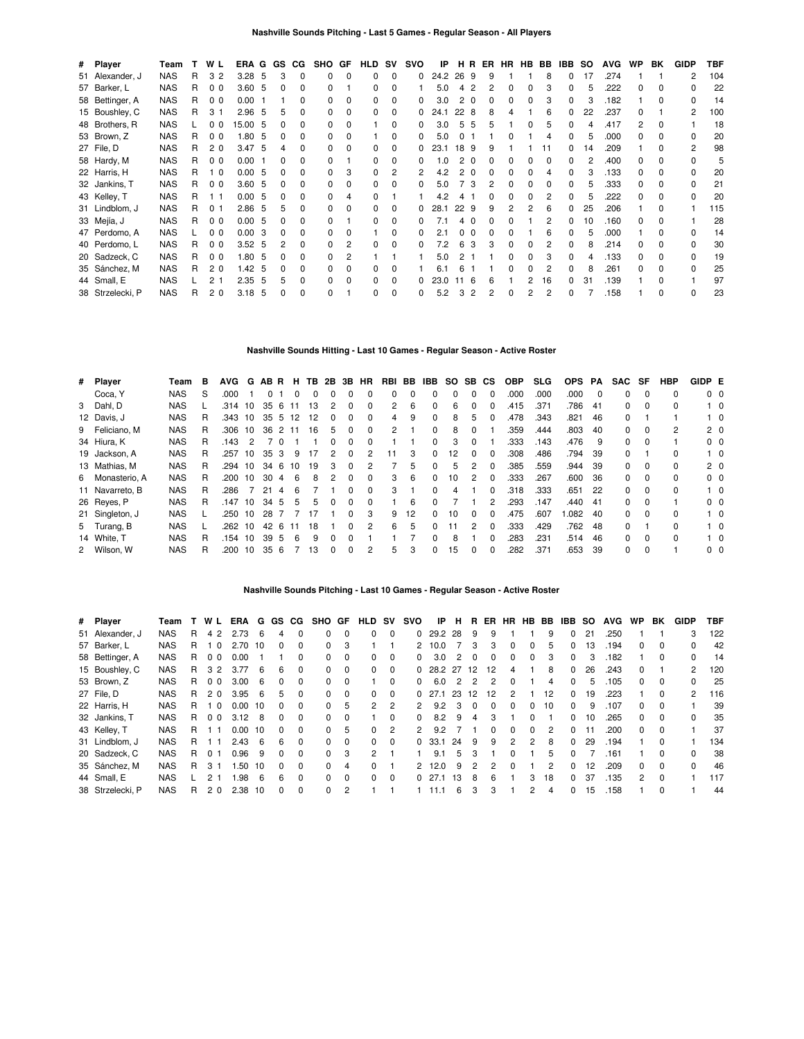| # Player         | Team       |   | W L            | ERA G GS |     |   | CG.      | SHO          | GF           | HLD      | <b>SV</b>    | svo          | IP       | н  | B.  |   | ER HR HB | BB | IBB | SO. | <b>AVG</b> | <b>WP</b> | BK           | <b>GIDP</b> | TBF |
|------------------|------------|---|----------------|----------|-----|---|----------|--------------|--------------|----------|--------------|--------------|----------|----|-----|---|----------|----|-----|-----|------------|-----------|--------------|-------------|-----|
| 51 Alexander, J  | <b>NAS</b> | R | 3 <sub>2</sub> | 3.28     | -5  | 3 | $\Omega$ | 0            | n            | 0        | <sup>0</sup> | 0            | 24.2     | 26 | -9  | 9 |          | 8  | 0   | 17  | .274       |           |              | 2           | 104 |
| 57 Barker, L     | <b>NAS</b> | R | 0 <sub>0</sub> | 3.60     | -5  | 0 | $\Omega$ | <sup>0</sup> |              | 0        |              |              | 5.0      |    |     |   | 0        |    | 0   | 5   | .222       | n         |              |             | 22  |
| 58 Bettinger, A  | <b>NAS</b> | R | 0 <sub>0</sub> | 0.00     | - 1 |   | n        | <sup>0</sup> |              |          |              |              | 3.0      | 2  | - 0 |   |          |    |     | 3   | .182       |           |              |             | 14  |
| 15 Boushley, C   | <b>NAS</b> | R | 3              | 2.96     | 5   | 5 | 0        | 0            | n            | $\Omega$ | U            | 0            | 24.1     | 22 | -8  |   |          | 6  | O.  | 22  | .237       | O.        |              | 2           | 100 |
| 48 Brothers, R   | <b>NAS</b> |   | 0 <sub>0</sub> | 15.00    | -5  |   | ŋ        | 0            |              |          | O            |              | 3.0      | 5  | 5   |   |          | 5  | U   |     | .417       | 2         |              |             | 18  |
| 53 Brown, Z      | <b>NAS</b> | R | 0 <sub>0</sub> | 1.80     | -5  |   | 0        | 0            |              |          | O            |              | 5.0      |    |     |   |          |    | 0   | 5   | .000       | n         |              |             | 20  |
| 27 File, D       | <b>NAS</b> | R | 2 <sub>0</sub> | 3.47     | -5  |   | ŋ        | 0            |              | $\Omega$ | <sup>0</sup> | 0            | 23.1     | 18 | -9  |   |          |    | O.  | 14  | .209       |           |              | 2           | 98  |
| 58 Hardy, M      | <b>NAS</b> | R | 0 <sub>0</sub> | 0.00     |     | 0 | 0        | <sup>n</sup> |              | 0        | <sup>0</sup> | 0            | $\Omega$ |    |     |   | O.       | ŋ  | O.  | 2   | .400       | 0         | <sup>0</sup> |             | 5   |
| 22 Harris, H     | <b>NAS</b> | R | 1 <sub>0</sub> | 0.00     | -5  | 0 | 0        | 0            | 3            | 0        |              |              | 4.2      | 2  | - 0 |   | ი        |    | 0   | 3   | .133       | 0         |              | ŋ           | 20  |
| 32 Jankins, T    | <b>NAS</b> | R | 0 <sub>0</sub> | 3.60     | -5  | 0 | ŋ        | <sup>0</sup> |              | 0        |              | 0            | 5.0      |    | 3   |   | ი        |    |     | 5   | .333       | 0         |              |             | 21  |
| 43 Kelley, T     | <b>NAS</b> | R | 11             | 0.00     | -5  | 0 | 0        | 0            | 4            |          |              |              | 4.2      |    |     |   |          |    | n   | 5   | .222       | n         |              |             | 20  |
| 31 Lindblom, J   | <b>NAS</b> | R | $\Omega$       | 2.86     | -5  | 5 | 0        | 0            | n            | 0        |              |              | 28.1     | 22 | -9  |   | 2        | հ  | O.  | 25  | .206       |           |              |             | 115 |
| 33 Mejía, J      | <b>NAS</b> | R | 0 <sub>0</sub> | 0.00     | -5  |   | ŋ        |              |              | 0        | O            |              |          |    |     |   |          |    | O.  | 10  | .160       | n         |              |             | 28  |
| 47 Perdomo, A    | <b>NAS</b> |   | 0 <sub>0</sub> | 0.00     | 3   | 0 | ŋ        | U            |              |          | O            | <sup>0</sup> | 2.1      |    |     |   |          |    | O.  | 5   | .000       |           |              |             | 14  |
| 40 Perdomo, L    | <b>NAS</b> | R | 0 <sub>0</sub> | 3.52     | 5   | 2 | 0        | 0            | 2            | $\Omega$ | <sup>0</sup> | <sup>0</sup> | 7.2      | 6  | 3   |   | 0        |    | 0   | 8   | .214       | O.        |              | ŋ           | 30  |
| 20 Sadzeck, C    | <b>NAS</b> | R | 0 <sub>0</sub> | 1.80     | -5  | 0 | 0        | <sup>0</sup> |              |          |              |              | 5.0      |    |     |   | 0        |    | O.  | 4   | .133       | O.        |              |             | 19  |
| 35 Sánchez, M    | <b>NAS</b> | R | 2 <sub>0</sub> | 1.42     | -5  | 0 | 0        | 0            | <sup>0</sup> | 0        |              |              | 6.1      |    |     |   | n        |    | O.  | 8   | .261       | n         |              |             | 25  |
| 44 Small, E      | <b>NAS</b> |   | 2              | 2.35     | -5  | 5 | 0        | 0            |              | 0        |              | 0            | 23.0     |    | -6  |   |          | 16 | O.  | 31  | .139       |           |              |             | 97  |
| 38 Strzelecki, P | <b>NAS</b> | R | 2 <sub>0</sub> | 3.18     | -5  | 0 | 0        | <sup>0</sup> |              | 0        | <sup>0</sup> | 0            | 5.2      | З  | 2   |   | 0        | 2  | O.  |     | .158       |           |              | 0           | 23  |

**Nashville Sounds Hitting - Last 10 Games - Regular Season - Active Roster**

| # Player        | Team       | в | <b>AVG</b> | G  |      |    | н                 | ΤВ                     | 2B           | 3В       | HR             |    |    | IBB       |    |              |              | <b>OBP</b> | <b>SLG</b> | <b>OPS</b> | PA  | <b>SAC</b> | SF       | <b>HBP</b>   |                                                                                                                    |
|-----------------|------------|---|------------|----|------|----|-------------------|------------------------|--------------|----------|----------------|----|----|-----------|----|--------------|--------------|------------|------------|------------|-----|------------|----------|--------------|--------------------------------------------------------------------------------------------------------------------|
| Coca, Y         | NAS.       | S | .000       |    | 0    |    |                   |                        |              |          |                | 0  |    | 0         | 0  |              |              | .000       | .000       | .000       | 0   | 0          |          | 0            |                                                                                                                    |
| 3 Dahl, D       | NAS        |   |            | 10 | 35   | 6  |                   | 13                     | 2            | 0        | $\Omega$       | 2  | 6  | 0         | 6  | $\Omega$     | <sup>0</sup> | .415       | .371       | 786        | -41 | 0          | $\Omega$ | 0            | $1\quad 0$                                                                                                         |
| 12 Davis, J     | NAS.       | R | .343       | 10 |      |    |                   | 12                     |              | 0        | $\Omega$       | 4  | 9  | 0         | 8  | 5            |              | .478       | .343       | .821       | 46  | 0          |          |              | $1\quad 0$                                                                                                         |
| 9 Feliciano, M  | <b>NAS</b> | R | .306       | 10 | 36   |    |                   | 16                     | 5            | 0        | $\Omega$       | 2  |    | $\Omega$  | 8  | <sup>0</sup> |              | 359        | .444       | .803       | 40  | 0          | 0        | 2            |                                                                                                                    |
| 34 Hiura, K     | <b>NAS</b> | R | .143       | 2  |      |    |                   |                        |              | 0        | $\Omega$       |    |    | 0         | з  |              |              | .333       | .143       | .476       | 9   | 0          | $\Omega$ |              | $0\quad 0$                                                                                                         |
| 19 Jackson, A   | <b>NAS</b> | R | .257       | 10 | 35   | 3  | 9                 |                        | 2            | $\Omega$ | 2              | 11 | 3  | 0         | 12 | <sup>0</sup> | <sup>0</sup> | 308        | .486       | .794       | 39  | 0          |          | 0            | $1\quad 0$                                                                                                         |
| 13 Mathias, M   | <b>NAS</b> | R | .294       | 10 | 34   | 6  | 10                | 19                     | з            | $\Omega$ |                |    | 5  | 0         | 5  | 2            |              | .385       | .559       | .944       | 39  | 0          | $\Omega$ |              |                                                                                                                    |
| 6 Monasterio, A | NAS        | R | .200       | 10 | 30   | 4  | 6                 | 8                      | 2            | $\Omega$ | $\Omega$       | 3  | 6  | $\Omega$  | 10 | 2            | $\Omega$     | .333       | .267       | .600       | 36  | 0          | $\Omega$ | <sup>0</sup> |                                                                                                                    |
| 11 Navarreto, B | <b>NAS</b> | R | .286       |    | 21   | Δ  | 6                 |                        |              | $\Omega$ | $\Omega$       | 3  |    | $\Omega$  | 4  |              | <sup>0</sup> | .318       | .333       | .651       | -22 | 0          | $\Omega$ | <sup>0</sup> | $1\quad 0$                                                                                                         |
| 26 Reyes, P     | NAS        | R | .147       | 10 | 34   | 5  | 5                 | 5                      | <sup>0</sup> | $\Omega$ | $\Omega$       |    | 6  | 0         |    |              |              | .293       | .147       | .440       | -41 | 0          | $\Omega$ |              |                                                                                                                    |
| 21 Singleton, J | <b>NAS</b> |   | .250       | 10 | 28   |    |                   |                        |              | 0        | 3              | 9  | 12 | 0         | 10 | 0            |              | .475       | .607       | .082       | 40  | 0          | $\Omega$ |              | $1\quad 0$                                                                                                         |
| 5 Turang, B     | <b>NAS</b> |   | 262        | 10 | 42   | -6 |                   | 18                     |              | $\Omega$ | $\mathcal{P}$  | 6  | 5  | $\Omega$  | 11 | 2            | $\Omega$     | .333       | .429       | .762       | -48 | 0          |          |              | $1\quad 0$                                                                                                         |
| 14 White, T     | <b>NAS</b> | R | .154       | 10 | 39   | .5 | 6                 | 9                      | <sup>0</sup> | $\Omega$ |                |    |    | $\Omega$  | 8  |              |              | 283        | .231       | .514       | 46  | 0          | $\Omega$ | <sup>0</sup> | $1\quad 0$                                                                                                         |
| 2 Wilson, W     | <b>NAS</b> | R | .200       | 10 | 35   | 6  |                   | 13                     | <sup>0</sup> | 0        | $\overline{2}$ | 5  | 3  | 0         | 15 | 0            | $\Omega$     | .282       | .371       | .653       | 39  | 0          | $\Omega$ |              |                                                                                                                    |
|                 |            |   |            |    | .314 |    | AB R<br>35 5<br>2 | -11<br>12<br>-11<br>11 |              |          |                |    |    | BB<br>RBI |    |              | SO.          | SB CS      |            |            |     |            |          |              | GIDP E<br>0 <sub>0</sub><br>2 <sub>0</sub><br>2 <sub>0</sub><br>0 <sub>0</sub><br>0 <sub>0</sub><br>0 <sub>0</sub> |

# **Nashville Sounds Pitching - Last 10 Games - Regular Season - Active Roster**

| # Player         | Team       |    | W L            | ERA  | G  |          | GS CG    | SHO GF   |                | <b>HLD</b> | <b>SV</b> | svo           | IP      | н  | R             | ER           | <b>HR</b>     | HB           | BB | IBB          | <b>SO</b> | <b>AVG</b> | WP.          | BK           | <b>GIDP</b>   | <b>TBF</b> |
|------------------|------------|----|----------------|------|----|----------|----------|----------|----------------|------------|-----------|---------------|---------|----|---------------|--------------|---------------|--------------|----|--------------|-----------|------------|--------------|--------------|---------------|------------|
| 51 Alexander, J  | <b>NAS</b> | R  | 4 2            | 2.73 | 6  | 4        | $\Omega$ | 0        | $\Omega$       | 0          | $\Omega$  | $\Omega$      | 29.2 28 |    | - 9           | 9            |               |              | 9  | 0            | 21        | .250       |              |              | 3             | 122        |
| 57 Barker, L     | <b>NAS</b> | R  | $\Omega$       | 2.70 | 10 | 0        | $\Omega$ | $\Omega$ | 3              |            |           | $\mathcal{P}$ | 10.0    |    | 3             | 3            | $\Omega$      | 0            | 5  | 0            | 13        | .194       | 0            | 0            | O.            | 42         |
| 58 Bettinger, A  | <b>NAS</b> | R  | 0 <sub>0</sub> | 0.00 |    |          | $\Omega$ | $\Omega$ | 0              | 0          | $\Omega$  | 0             | 3.0     | 2  |               | 0            | $\Omega$      | $\Omega$     | з  | 0            | 3         | .182       |              | 0            | 0             | 14         |
| 15 Boushley, C   | <b>NAS</b> | R. | 3 2            | 3.77 | 6  | 6        | $\Omega$ | $\Omega$ | $\Omega$       | 0          | $\Omega$  | <sup>0</sup>  | 28.2 27 |    | 12            | 12           | 4             |              | 8  | 0            | 26        | .243       | 0            |              | 2             | 120        |
| 53 Brown, Z      | <b>NAS</b> | R  | 0 <sub>0</sub> | 3.00 | 6  | 0        | $\Omega$ | $\Omega$ | $\Omega$       |            | $\Omega$  | 0             | 6.0     | 2  | $\mathcal{P}$ | 2            | $\Omega$      |              | 4  | 0            | 5         | .105       | 0            | 0            | 0             | 25         |
| 27 File, D       | <b>NAS</b> | R  | 20             | 3.95 | 6  | 5        | $\Omega$ | 0        | $\Omega$       | 0          | $\Omega$  | <sup>0</sup>  | 271     | 23 | 12            | 12           | 2             |              | 12 | 0            | 19        | .223       |              | $\Omega$     | $\mathcal{P}$ | 116        |
| 22 Harris, H     | <b>NAS</b> | R  | $\Omega$       | 0.00 | 10 | 0        | $\Omega$ | $\Omega$ | 5              | 2          | 2         | $\mathcal{P}$ | 9.2     | 3  | $\Omega$      | $\Omega$     | $\Omega$      | 0            | 10 | 0            | 9         | .107       | <sup>o</sup> | 0            |               | 39         |
| 32 Jankins, T    | <b>NAS</b> | R  | 0 <sub>0</sub> | 3.12 | 8  | 0        | $\Omega$ | 0        | $\Omega$       |            | $\Omega$  | <sup>n</sup>  | 8.2     | 9  | 4             | 3            |               | <sup>0</sup> |    | 0            | 10        | .265       | 0            | $\Omega$     | 0             | 35         |
| 43 Kelley, T     | <b>NAS</b> | R  |                | 0.00 | 10 | 0        | $\Omega$ | $\Omega$ | 5              | $\Omega$   | 2         | 2             | 9.2     |    |               | <sup>0</sup> | $\Omega$      | $\Omega$     | 2  | 0            | 11        | .200       | <sup>o</sup> | $\Omega$     |               | 37         |
| 31 Lindblom, J   | <b>NAS</b> | R  |                | 2.43 | 6  | 6        | $\Omega$ | $\Omega$ | $\Omega$       | 0          | $\Omega$  | <sup>0</sup>  | 33.1    | 24 | -9            | 9            | $\mathcal{P}$ | 2            | 8  | 0            | 29        | .194       |              | <sup>0</sup> |               | 134        |
| 20 Sadzeck, C    | <b>NAS</b> | R  | 0 <sub>1</sub> | 0.96 | 9  | 0        | $\Omega$ | $\Omega$ | 3              | 2          |           |               | 9.1     | 5. | 3             |              | $\Omega$      |              | 5  | <sup>0</sup> |           | .161       |              | $\Omega$     | 0             | 38         |
| 35 Sánchez, M    | <b>NAS</b> | R  | 3 1            | .50  | 10 | 0        | $\Omega$ | 0        | 4              | 0          |           | 2             | 12.0    | 9  |               | 2            | $\Omega$      |              | 2  | 0            | 12        | .209       | <sup>o</sup> | $\Omega$     | 0             | 46         |
| 44 Small, E      | <b>NAS</b> |    | 2              | .98  | 6  | 6        | $\Omega$ | 0        | $\Omega$       | $\Omega$   | $\Omega$  | <sup>0</sup>  | 271     | 13 | 8             | 6            |               | 3            | 18 | 0            | 37        | .135       | 2            | $\Omega$     |               | 117        |
| 38 Strzelecki, P | <b>NAS</b> | R  | 20             | 2.38 | 10 | $\Omega$ | $\Omega$ | 0        | $\overline{c}$ |            |           |               | 11.1    | 6  | 3             | 3            |               | 2            | 4  | 0            | 15        | .158       |              | $\Omega$     |               | 44         |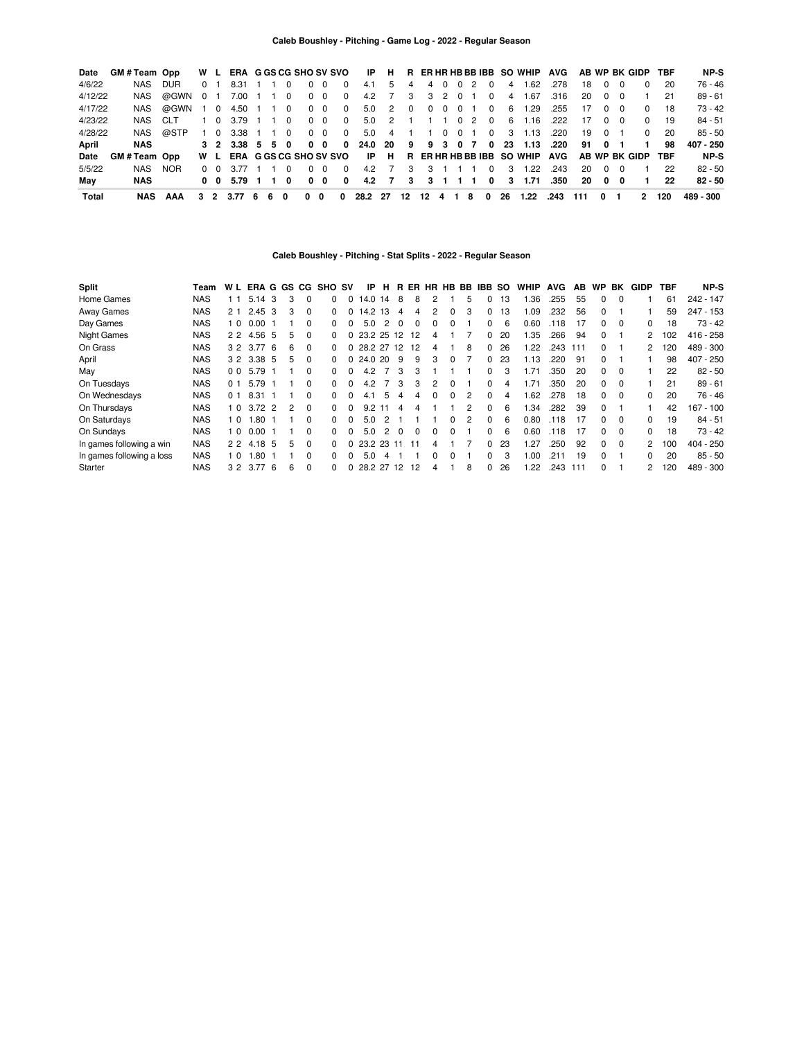| Date    | GM#Team Opp |              |                | W L         |                                           |  |            |                |                         |                         |                |                |             |         |                   |                | ERA GGS CG SHO SV SVO IP H R ER HR HB BB IBB SO WHIP AVG AB WP BK GIDP TBF      |      |       |                |            |              |     | NP-S      |
|---------|-------------|--------------|----------------|-------------|-------------------------------------------|--|------------|----------------|-------------------------|-------------------------|----------------|----------------|-------------|---------|-------------------|----------------|---------------------------------------------------------------------------------|------|-------|----------------|------------|--------------|-----|-----------|
| 4/6/22  | NAS         | DUR          | 0 <sub>1</sub> |             | 8.31 1 1 0                                |  |            | $0\quad 0$     | $\mathbf 0$             | 4.1                     | 5              | $\overline{4}$ | 4 0         |         | $0\quad 2\quad 0$ | 4 <sup>1</sup> | 1.62                                                                            | .278 | 18    |                | $0\quad 0$ | $\Omega$     | -20 | $76 - 46$ |
| 4/12/22 | NAS         | @GWN 0 1     |                |             | 7.00 1 1 0                                |  |            | $0\quad 0$     | $\overline{\mathbf{0}}$ |                         | 4.2 7          | 3              |             |         | 3 2 0 1 0         | 4              | 1.67                                                                            | .316 | 20    | $0\quad 0$     |            |              | 21  | $89 - 61$ |
| 4/17/22 |             | NAS @GWN 1 0 |                |             | 4.50 1 1 0                                |  | $0\quad 0$ |                | $\overline{\mathbf{0}}$ |                         | 5.0 2          | $\overline{0}$ |             | 0 0 0 1 |                   | 0 <sub>6</sub> | 1.29                                                                            | .255 | 17    |                | $0\quad 0$ | $\Omega$     | -18 | 73 - 42   |
| 4/23/22 | NAS CIT     |              |                | $1 \quad 0$ | 3.79 1 1 0                                |  |            | 0 <sub>0</sub> | $\overline{0}$          |                         | 5.0 2          |                |             |         |                   |                | 1 1 1 0 2 0 6 1.16                                                              | .222 | 17    |                | $0\quad 0$ | $\Omega$     | -19 | $84 - 51$ |
| 4/28/22 |             | NAS @STP     |                |             | 1 0 3.38 1 1 0                            |  | $0\quad 0$ |                | $\overline{0}$          |                         | 5.0 4          |                | 1 0         |         |                   |                | 0 1 0 3 1 1 3                                                                   | .220 | 19    | $0 \quad 1$    |            | $^{\circ}$   | 20  | $85 - 50$ |
| April   | <b>NAS</b>  |              |                |             | $3\quad 2\quad 3.38\quad 5\quad 5\quad 0$ |  | $0\quad 0$ |                | $\Omega$                |                         |                |                |             |         |                   |                | 24.0 20 9 9 3 0 7 0 23 1.13                                                     | .220 | 91    | 0 <sub>1</sub> |            | $\mathbf{1}$ | 98  | 407 - 250 |
| Date    | GM#Team Opp |              |                |             |                                           |  |            |                |                         |                         |                |                |             |         |                   |                | W L ERA G GS CG SHO SV SVO IP H R ER HR HB BB IBB SO WHIP AVG AB WP BK GIDP TBF |      |       |                |            |              |     | NP-S      |
| 5/5/22  | NAS         | NOR.         |                |             | 0 0 3.77 1 1 0                            |  |            | 0 <sub>0</sub> | $\Omega$                | 4.2                     | $\overline{7}$ | 3              | $3 \quad 1$ |         | $\Omega$          | - 3 -          | 1.22                                                                            | .243 | 20    | $0\quad 0$     |            |              | 22  | $82 - 50$ |
| Mav     | NAS         |              |                |             | 0 0 5.79 1 1 0                            |  | $0\quad 0$ |                | 0                       |                         | 4.2 7          |                |             |         |                   |                |                                                                                 |      | 20    | 00             |            |              | 22  | $82 - 50$ |
| Total   | NAS         | AAA          |                |             | 3 2 3.77 6 6 0                            |  | $0\quad 0$ |                |                         | 0 28.2 27 12 12 4 1 8 0 |                |                |             |         |                   |                | 26 1.22                                                                         | .243 | - 111 | 0              |            | 2            | 120 | 489 - 300 |

### **Caleb Boushley - Pitching - Stat Splits - 2022 - Regular Season**

| <b>Split</b>              | Team       | W L            |          |     |    |          | ERA G GS CG SHO SV |              | IP         | н             | В.           |    |                |          | ER HR HB BB | IBB      | <b>SO</b>  | <b>WHIP</b> | <b>AVG</b> | AB  | <b>WP</b>    | BK       | <b>GIDP</b> | TBF | NP-S        |
|---------------------------|------------|----------------|----------|-----|----|----------|--------------------|--------------|------------|---------------|--------------|----|----------------|----------|-------------|----------|------------|-------------|------------|-----|--------------|----------|-------------|-----|-------------|
| Home Games                | <b>NAS</b> | 11             | 5.14     | 3   | 3  |          | 0                  | 0            | 14.0 14    |               | 8            | 8  |                |          | 5           |          | 13         | .36         | .255       | 55  | 0            | $\Omega$ |             | 61  | 242 - 147   |
| Away Games                | <b>NAS</b> | 2 <sub>1</sub> | 2.45     | -3  | 3  | $\Omega$ | 0                  | 0            | 14.2       | 13            | 4            | 4  | $\overline{2}$ | $\Omega$ | 3           | 0        | 13         | .09         | .232       | 56  | $\Omega$     |          |             | 59  | $247 - 153$ |
| Day Games                 | <b>NAS</b> | 1 <sub>0</sub> | 0.00     |     |    | $\Omega$ | 0                  | 0            | 5.0        | 2             | <sup>0</sup> | 0  | $\Omega$       | $\Omega$ |             | 0        | 6          | 0.60        | .118       | 17  | $\Omega$     | $\Omega$ | 0           | 18  | $73 - 42$   |
| <b>Night Games</b>        | <b>NAS</b> | 22             | 4.56 5   |     | 5  | $\Omega$ | <sup>0</sup>       | O.           | 23.2 25 12 |               |              | 12 | 4              |          |             | 0        | 20         | .35         | .266       | 94  | $\Omega$     |          | 2           | 102 | $416 - 258$ |
| On Grass                  | <b>NAS</b> |                | 3 2 3.77 | - 6 | 6  | $\Omega$ | 0                  | 0            | 28.2 27 12 |               |              | 12 | 4              |          | 8           | 0        | 26         | .22         | .243       | 111 | $\Omega$     |          |             | 120 | 489 - 300   |
| April                     | <b>NAS</b> |                | 3 2 3.38 | -5  | 5  | $\Omega$ | 0                  |              | 24.0 20    |               | 9            | 9  | 3              | $\Omega$ |             | 0        | 23         | 1.13        | 220        | 91  | $\Omega$     |          |             | 98  | $407 - 250$ |
| May                       | <b>NAS</b> | 0 <sub>0</sub> | 5.79     |     |    | $\Omega$ | 0                  | <sup>0</sup> | 4.2        |               | 3            | 3  |                |          |             | 0        | 3          | l.71        | .350       | 20  | $\Omega$     | $\Omega$ |             | 22  | $82 - 50$   |
| On Tuesdays               | <b>NAS</b> | 0 <sub>1</sub> | 5.79     |     |    | $\Omega$ | <sup>0</sup>       | 0            | 4.2        |               | 3            | 3  | 2              | $\Omega$ |             | 0        | 4          | .71         | .350       | 20  | $\Omega$     | $\Omega$ |             | 21  | $89 - 61$   |
| On Wednesdays             | <b>NAS</b> | 0 <sub>1</sub> | 8.31     |     |    | $\Omega$ | 0                  | <sup>0</sup> | 4.1        | 5             |              | 4  | $\Omega$       | $\Omega$ | 2           | 0        | 4          | .62         | .278       | 18  | <sup>0</sup> | $\Omega$ | 0           | 20  | $76 - 46$   |
| On Thursdays              | <b>NAS</b> | 10             | $3.72$ 2 |     | 2  | $\Omega$ |                    | <sup>0</sup> | 9.2        |               | 4            | Δ  |                |          | 2           | $\Omega$ | 6          | - 34        | .282       | 39  | $\Omega$     |          |             | 42  | $167 - 100$ |
| On Saturdays              | NAS        | 1 <sub>0</sub> | .80      |     |    | $\Omega$ | 0                  | 0            | 5.0        | 2             |              |    |                | $\Omega$ | 2           | 0        | 6          | 0.80        | .118       | 17  | $\Omega$     | $\Omega$ | 0           | 19  | $84 - 51$   |
| On Sundays                | <b>NAS</b> | 1 <sub>0</sub> | 0.00     |     |    | $\Omega$ | <sup>0</sup>       | U            | 5.0        | $\mathcal{P}$ | $\Omega$     | 0  | 0              | $\Omega$ |             | 0        | $\epsilon$ | 0.60        | .118       | 17  | 0            | $\Omega$ | 0           | 18  | $73 - 42$   |
| In games following a win  | <b>NAS</b> | 22             | 4.18     | -5  | 5  | $\Omega$ | 0                  | 0            | 23.2 23 11 |               |              | 11 | 4              |          |             | 0        | 23         | 1.27        | .250       | 92  | $\Omega$     | $\Omega$ | 2           | 100 | $404 - 250$ |
| In games following a loss | <b>NAS</b> | 1 <sub>0</sub> | .80      |     |    | $\Omega$ | 0                  | U            | 5.0        | Δ             |              |    | 0              | $\Omega$ |             | 0        | 3          | .00         | .211       | 19  | $\Omega$     |          | 0           | 20  | $85 - 50$   |
| Starter                   | <b>NAS</b> |                | 3 2 3.77 | -6  | -6 | 0        | <sup>0</sup>       |              | 28.2 27 12 |               |              | 12 | 4              |          | 8           | 0        | 26         | .22         | .243       | 111 | 0            |          | 2           | 120 | 489 - 300   |